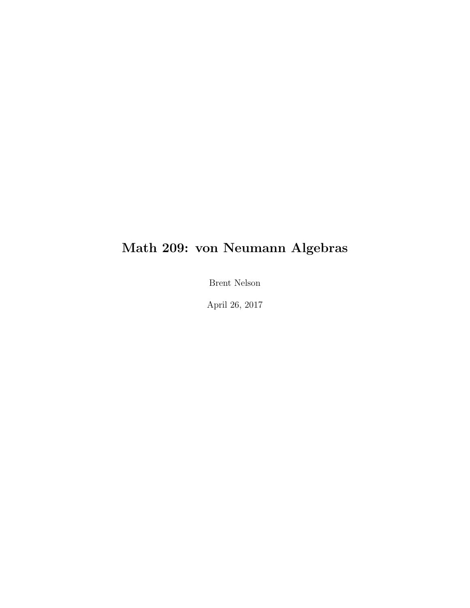### Math 209: von Neumann Algebras

Brent Nelson

April 26, 2017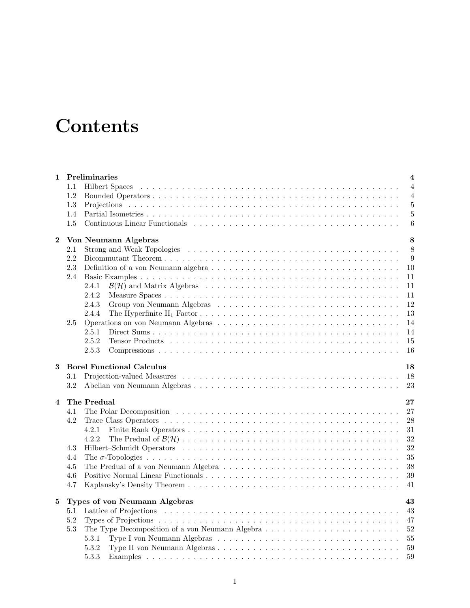## **Contents**

| 1                       | Preliminaries                                                                                                                | $\overline{\mathbf{4}}$ |
|-------------------------|------------------------------------------------------------------------------------------------------------------------------|-------------------------|
|                         | 1.1                                                                                                                          | $\overline{4}$          |
|                         | 1.2                                                                                                                          | $\overline{4}$          |
|                         | 1.3                                                                                                                          | $\overline{5}$          |
|                         | 1.4                                                                                                                          | $\overline{5}$          |
|                         | 1.5                                                                                                                          | 6                       |
| $\boldsymbol{2}$        | Von Neumann Algebras                                                                                                         | 8                       |
|                         | $2.1\,$                                                                                                                      | 8                       |
|                         | 2.2                                                                                                                          | 9                       |
|                         | 2.3                                                                                                                          | 10                      |
|                         | 2.4                                                                                                                          | 11                      |
|                         | 2.4.1                                                                                                                        | 11                      |
|                         | 2.4.2                                                                                                                        | 11                      |
|                         | 2.4.3                                                                                                                        | 12                      |
|                         | 2.4.4<br>The Hyperfinite $II_1$ Factor $\ldots \ldots \ldots \ldots \ldots \ldots \ldots \ldots \ldots \ldots \ldots \ldots$ | 13                      |
|                         | 2.5                                                                                                                          | 14                      |
|                         | 2.5.1                                                                                                                        | 14                      |
|                         | 2.5.2                                                                                                                        | 15                      |
|                         | 2.5.3                                                                                                                        | 16                      |
| 3                       | <b>Borel Functional Calculus</b>                                                                                             | 18                      |
|                         | $3.1\,$                                                                                                                      | 18                      |
|                         | 3.2                                                                                                                          | 23                      |
| $\overline{\mathbf{4}}$ | The Predual                                                                                                                  | 27                      |
|                         | 4.1                                                                                                                          | 27                      |
|                         | 4.2                                                                                                                          | 28                      |
|                         | 4.2.1                                                                                                                        | 31                      |
|                         | 4.2.2                                                                                                                        | 32                      |
|                         | 4.3                                                                                                                          | 32                      |
|                         | 4.4                                                                                                                          | 35                      |
|                         | 4.5                                                                                                                          | 38                      |
|                         | 4.6                                                                                                                          | $39\,$                  |
|                         | 4.7                                                                                                                          | 41                      |
| 5                       | Types of von Neumann Algebras                                                                                                | 43                      |
|                         | 5.1                                                                                                                          | 43                      |
|                         | 5.2                                                                                                                          | 47                      |
|                         | 5.3                                                                                                                          | 52                      |
|                         | 5.3.1                                                                                                                        | 55                      |
|                         | 5.3.2                                                                                                                        | 59                      |
|                         | 5.3.3                                                                                                                        | 59                      |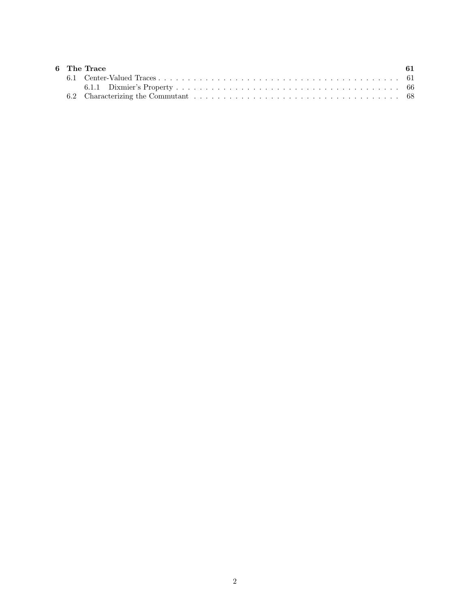|  | 6 The Trace | -61 |
|--|-------------|-----|
|  |             |     |
|  |             |     |
|  |             |     |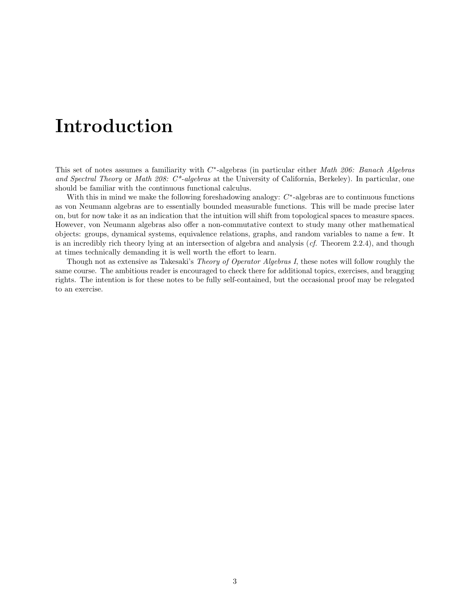## Introduction

This set of notes assumes a familiarity with  $C^*$ -algebras (in particular either Math 206: Banach Algebras and Spectral Theory or Math 208:  $C^*$ -algebras at the University of California, Berkeley). In particular, one should be familiar with the continuous functional calculus.

With this in mind we make the following foreshadowing analogy:  $C^*$ -algebras are to continuous functions as von Neumann algebras are to essentially bounded measurable functions. This will be made precise later on, but for now take it as an indication that the intuition will shift from topological spaces to measure spaces. However, von Neumann algebras also offer a non-commutative context to study many other mathematical objects: groups, dynamical systems, equivalence relations, graphs, and random variables to name a few. It is an incredibly rich theory lying at an intersection of algebra and analysis (cf. Theorem [2.2.4\)](#page-10-1), and though at times technically demanding it is well worth the effort to learn.

Though not as extensive as Takesaki's Theory of Operator Algebras I, these notes will follow roughly the same course. The ambitious reader is encouraged to check there for additional topics, exercises, and bragging rights. The intention is for these notes to be fully self-contained, but the occasional proof may be relegated to an exercise.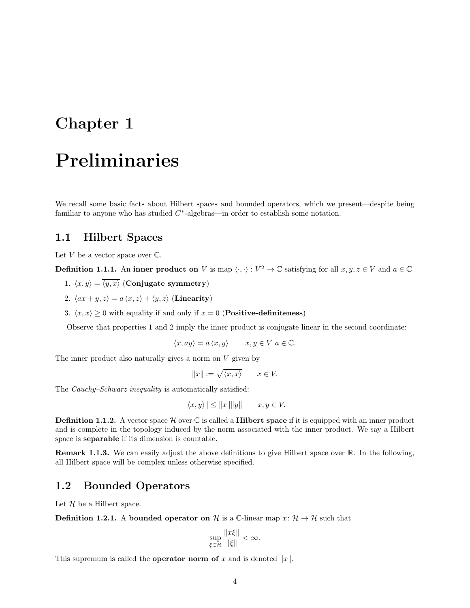# <span id="page-4-0"></span>Chapter 1 Preliminaries

We recall some basic facts about Hilbert spaces and bounded operators, which we present—despite being familiar to anyone who has studied  $C^*$ -algebras—in order to establish some notation.

#### <span id="page-4-1"></span>1.1 Hilbert Spaces

Let  $V$  be a vector space over  $\mathbb{C}$ .

**Definition 1.1.1.** An inner product on V is map  $\langle \cdot, \cdot \rangle : V^2 \to \mathbb{C}$  satisfying for all  $x, y, z \in V$  and  $a \in \mathbb{C}$ 

- 1.  $\langle x, y \rangle = \langle y, x \rangle$  (Conjugate symmetry)
- 2.  $\langle ax + y, z \rangle = a \langle x, z \rangle + \langle y, z \rangle$  (Linearity)
- 3.  $\langle x, x \rangle \ge 0$  with equality if and only if  $x = 0$  (**Positive-definiteness**)

Observe that properties 1 and 2 imply the inner product is conjugate linear in the second coordinate:

$$
\langle x, ay \rangle = \bar{a} \langle x, y \rangle \qquad x, y \in V \ a \in \mathbb{C}.
$$

The inner product also naturally gives a norm on  $V$  given by

$$
||x|| := \sqrt{\langle x, x \rangle} \qquad x \in V.
$$

The *Cauchy–Schwarz inequality* is automatically satisfied:

$$
|\langle x, y \rangle| \le ||x|| ||y|| \qquad x, y \in V.
$$

**Definition 1.1.2.** A vector space  $\mathcal{H}$  over  $\mathbb{C}$  is called a **Hilbert space** if it is equipped with an inner product and is complete in the topology induced by the norm associated with the inner product. We say a Hilbert space is separable if its dimension is countable.

Remark 1.1.3. We can easily adjust the above definitions to give Hilbert space over R. In the following, all Hilbert space will be complex unless otherwise specified.

#### <span id="page-4-2"></span>1.2 Bounded Operators

Let  $H$  be a Hilbert space.

**Definition 1.2.1.** A bounded operator on H is a C-linear map  $x: \mathcal{H} \to \mathcal{H}$  such that

$$
\sup_{\xi \in \mathcal{H}} \frac{\|x\xi\|}{\|\xi\|} < \infty.
$$

This supremum is called the **operator norm of** x and is denoted  $||x||$ .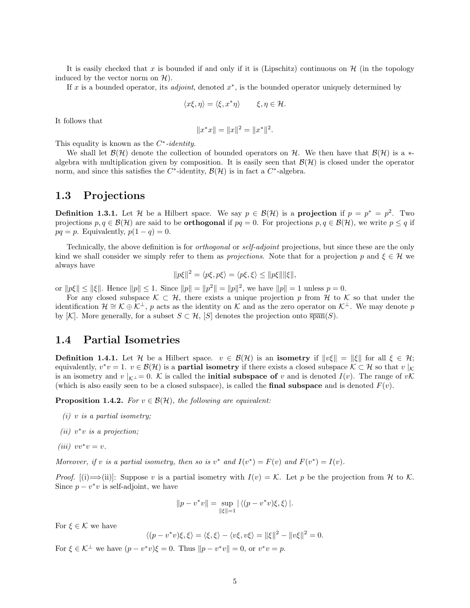It is easily checked that x is bounded if and only if it is (Lipschitz) continuous on  $\mathcal{H}$  (in the topology induced by the vector norm on  $\mathcal{H}$ ).

If x is a bounded operator, its *adjoint*, denoted  $x^*$ , is the bounded operator uniquely determined by

$$
\langle x\xi, \eta \rangle = \langle \xi, x^* \eta \rangle \qquad \xi, \eta \in \mathcal{H}.
$$

It follows that

$$
||x^*x|| = ||x||^2 = ||x^*||^2.
$$

This equality is known as the  $C^*$ -identity.

We shall let  $\mathcal{B}(\mathcal{H})$  denote the collection of bounded operators on H. We then have that  $\mathcal{B}(\mathcal{H})$  is a  $*$ algebra with multiplication given by composition. It is easily seen that  $\mathcal{B}(\mathcal{H})$  is closed under the operator norm, and since this satisfies the  $C^*$ -identity,  $\mathcal{B}(\mathcal{H})$  is in fact a  $C^*$ -algebra.

#### <span id="page-5-0"></span>1.3 Projections

**Definition 1.3.1.** Let H be a Hilbert space. We say  $p \in \mathcal{B}(\mathcal{H})$  is a **projection** if  $p = p^* = p^2$ . Two projections  $p, q \in \mathcal{B}(\mathcal{H})$  are said to be **orthogonal** if  $pq = 0$ . For projections  $p, q \in \mathcal{B}(\mathcal{H})$ , we write  $p \leq q$  if  $pq = p$ . Equivalently,  $p(1 - q) = 0$ .

Technically, the above definition is for orthogonal or self-adjoint projections, but since these are the only kind we shall consider we simply refer to them as *projections*. Note that for a projection p and  $\xi \in \mathcal{H}$  we always have

$$
||p\xi||^2 = \langle p\xi, p\xi \rangle = \langle p\xi, \xi \rangle \le ||p\xi|| ||\xi||,
$$

or  $||p\xi|| \le ||\xi||$ . Hence  $||p|| \le 1$ . Since  $||p|| = ||p^2|| = ||p||^2$ , we have  $||p|| = 1$  unless  $p = 0$ .

For any closed subspace  $\mathcal{K} \subset \mathcal{H}$ , there exists a unique projection p from H to K so that under the identification  $\mathcal{H} \cong \mathcal{K} \oplus \mathcal{K}^{\perp}$ , p acts as the identity on K and as the zero operator on  $\mathcal{K}^{\perp}$ . We may denote p by [K]. More generally, for a subset  $S \subset \mathcal{H}$ , [S] denotes the projection onto  $\overline{\text{span}}(S)$ .

#### <span id="page-5-1"></span>1.4 Partial Isometries

**Definition 1.4.1.** Let H be a Hilbert space.  $v \in \mathcal{B}(\mathcal{H})$  is an **isometry** if  $||v\xi|| = ||\xi||$  for all  $\xi \in \mathcal{H}$ ; equivalently,  $v^*v = 1$ .  $v \in \mathcal{B}(\mathcal{H})$  is a **partial isometry** if there exists a closed subspace  $\mathcal{K} \subset \mathcal{H}$  so that  $v \mid_{\mathcal{K}}$ is an isometry and v  $|_{\mathcal{K}^{\perp}}=0$ . K is called the **initial subspace of** v and is denoted  $I(v)$ . The range of vK (which is also easily seen to be a closed subspace), is called the **final subspace** and is denoted  $F(v)$ .

<span id="page-5-2"></span>**Proposition 1.4.2.** For  $v \in \mathcal{B}(\mathcal{H})$ , the following are equivalent:

- $(i)$  v is a partial isometry;
- (*ii*)  $v^*v$  *is a projection*;
- (iii)  $vv^*v = v$ .

Moreover, if v is a partial isometry, then so is  $v^*$  and  $I(v^*) = F(v)$  and  $F(v^*) = I(v)$ .

*Proof.* [(i)  $\Longrightarrow$  (ii)]: Suppose v is a partial isometry with  $I(v) = K$ . Let p be the projection from H to K. Since  $p - v^*v$  is self-adjoint, we have

$$
||p - v^*v|| = \sup_{\|\xi\|=1} |\langle (p - v^*v)\xi, \xi \rangle|.
$$

For  $\xi \in \mathcal{K}$  we have

$$
\langle (p - v^*v)\xi, \xi \rangle = \langle \xi, \xi \rangle - \langle v\xi, v\xi \rangle = ||\xi||^2 - ||v\xi||^2 = 0.
$$

For  $\xi \in \mathcal{K}^{\perp}$  we have  $(p - v^*v)\xi = 0$ . Thus  $||p - v^*v|| = 0$ , or  $v^*v = p$ .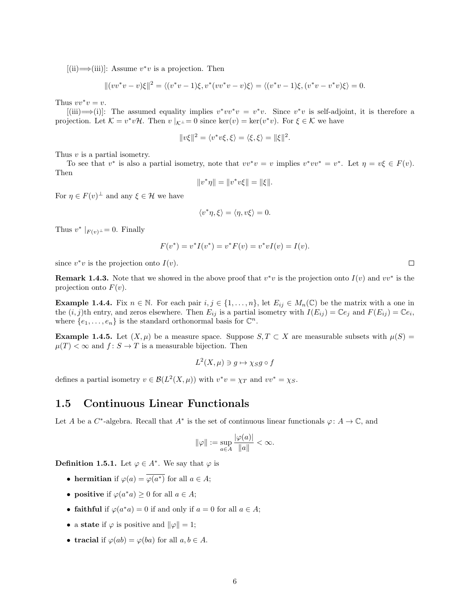$[(ii) \implies (iii)]$ : Assume  $v^*v$  is a projection. Then

$$
||(vv^*v - v)\xi||^2 = \langle (v^*v - 1)\xi, v^*(vv^*v - v)\xi \rangle = \langle (v^*v - 1)\xi, (v^*v - v^*v)\xi \rangle = 0.
$$

Thus  $vv^*v = v$ .

 $[(iii) \rightarrow (i)]$ : The assumed equality implies  $v^*vv^*v = v^*v$ . Since  $v^*v$  is self-adjoint, it is therefore a projection. Let  $\mathcal{K} = v^* v \mathcal{H}$ . Then  $v|_{\mathcal{K}^\perp} = 0$  since ker $(v) = \text{ker}(v^* v)$ . For  $\xi \in \mathcal{K}$  we have

$$
||v\xi||^2 = \langle v^*v\xi, \xi \rangle = \langle \xi, \xi \rangle = ||\xi||^2.
$$

Thus v is a partial isometry.

To see that  $v^*$  is also a partial isometry, note that  $vv^*v = v$  implies  $v^*vv^* = v^*$ . Let  $\eta = v\xi \in F(v)$ . Then

$$
||v^*\eta|| = ||v^*v\xi|| = ||\xi||.
$$

For  $\eta \in F(v)^{\perp}$  and any  $\xi \in \mathcal{H}$  we have

$$
\langle v^*\eta, \xi \rangle = \langle \eta, v\xi \rangle = 0.
$$

Thus  $v^*|_{F(v)} = 0$ . Finally

$$
F(v^*) = v^*I(v^*) = v^*F(v) = v^*vI(v) = I(v).
$$

since  $v^*v$  is the projection onto  $I(v)$ .

**Remark 1.4.3.** Note that we showed in the above proof that  $v^*v$  is the projection onto  $I(v)$  and  $vv^*$  is the projection onto  $F(v)$ .

**Example 1.4.4.** Fix  $n \in \mathbb{N}$ . For each pair  $i, j \in \{1, ..., n\}$ , let  $E_{ij} \in M_n(\mathbb{C})$  be the matrix with a one in the  $(i, j)$ th entry, and zeros elsewhere. Then  $E_{ij}$  is a partial isometry with  $I(E_{ij}) = \mathbb{C}e_j$  and  $F(E_{ij}) = \mathbb{C}e_i$ , where  $\{e_1, \ldots, e_n\}$  is the standard orthonormal basis for  $\mathbb{C}^n$ .

**Example 1.4.5.** Let  $(X, \mu)$  be a measure space. Suppose  $S, T \subset X$  are measurable subsets with  $\mu(S)$  =  $\mu(T) < \infty$  and  $f: S \to T$  is a measurable bijection. Then

$$
L^2(X,\mu) \ni g \mapsto \chi_S g \circ f
$$

defines a partial isometry  $v \in \mathcal{B}(L^2(X,\mu))$  with  $v^*v = \chi_T$  and  $vv^* = \chi_S$ .

#### <span id="page-6-0"></span>1.5 Continuous Linear Functionals

Let A be a C<sup>\*</sup>-algebra. Recall that A<sup>\*</sup> is the set of continuous linear functionals  $\varphi: A \to \mathbb{C}$ , and

$$
\|\varphi\|:=\sup_{a\in A}\frac{|\varphi(a)|}{\|a\|}<\infty.
$$

**Definition 1.5.1.** Let  $\varphi \in A^*$ . We say that  $\varphi$  is

- hermitian if  $\varphi(a) = \varphi(a^*)$  for all  $a \in A$ ;
- positive if  $\varphi(a^*a) \geq 0$  for all  $a \in A$ ;
- faithful if  $\varphi(a^*a) = 0$  if and only if  $a = 0$  for all  $a \in A$ ;
- a state if  $\varphi$  is positive and  $\|\varphi\|=1;$
- tracial if  $\varphi(ab) = \varphi(ba)$  for all  $a, b \in A$ .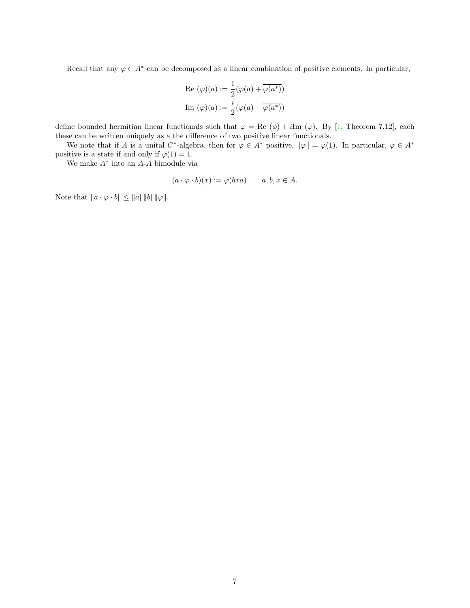Recall that any  $\varphi \in A^*$  can be decomposed as a linear combination of positive elements. In particular,

Re 
$$
(\varphi)(a) := \frac{1}{2}(\varphi(a) + \overline{\varphi(a^*)})
$$
  
Im  $(\varphi)(a) := \frac{i}{2}(\varphi(a) - \overline{\varphi(a^*)})$ 

define bounded hermitian linear functionals such that  $\varphi = \text{Re}(\phi) + i\text{Im}(\varphi)$ . By [\[1,](#page-70-0) Theorem 7.12], each these can be written uniquely as a the difference of two positive linear functionals.

We note that if A is a unital C<sup>\*</sup>-algebra, then for  $\varphi \in A^*$  positive,  $\|\varphi\| = \varphi(1)$ . In particular,  $\varphi \in A^*$ positive is a state if and only if  $\varphi(1) = 1$ .

We make A<sup>∗</sup> into an A-A bimodule via

$$
(a \cdot \varphi \cdot b)(x) := \varphi(bxa) \qquad a, b, x \in A.
$$

Note that  $||a \cdot \varphi \cdot b|| \le ||a|| ||b|| ||\varphi||.$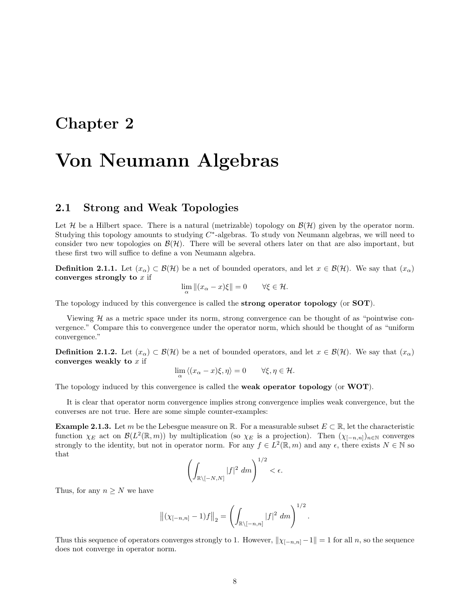### <span id="page-8-0"></span>Chapter 2

## Von Neumann Algebras

#### <span id="page-8-1"></span>2.1 Strong and Weak Topologies

Let H be a Hilbert space. There is a natural (metrizable) topology on  $\mathcal{B}(\mathcal{H})$  given by the operator norm. Studying this topology amounts to studying  $C^*$ -algebras. To study von Neumann algebras, we will need to consider two new topologies on  $\mathcal{B}(\mathcal{H})$ . There will be several others later on that are also important, but these first two will suffice to define a von Neumann algebra.

**Definition 2.1.1.** Let  $(x_{\alpha}) \subset \mathcal{B}(\mathcal{H})$  be a net of bounded operators, and let  $x \in \mathcal{B}(\mathcal{H})$ . We say that  $(x_{\alpha})$ converges strongly to  $x$  if

$$
\lim_{\alpha} \|(x_{\alpha} - x)\xi\| = 0 \qquad \forall \xi \in \mathcal{H}.
$$

The topology induced by this convergence is called the strong operator topology (or SOT).

Viewing  $H$  as a metric space under its norm, strong convergence can be thought of as "pointwise convergence." Compare this to convergence under the operator norm, which should be thought of as "uniform convergence."

**Definition 2.1.2.** Let  $(x_\alpha) \subset \mathcal{B}(\mathcal{H})$  be a net of bounded operators, and let  $x \in \mathcal{B}(\mathcal{H})$ . We say that  $(x_\alpha)$ converges weakly to  $x$  if

$$
\lim_{\alpha} \langle (x_{\alpha} - x)\xi, \eta \rangle = 0 \qquad \forall \xi, \eta \in \mathcal{H}.
$$

The topology induced by this convergence is called the weak operator topology (or WOT).

It is clear that operator norm convergence implies strong convergence implies weak convergence, but the converses are not true. Here are some simple counter-examples:

**Example 2.1.3.** Let m be the Lebesgue measure on R. For a measurable subset  $E \subset \mathbb{R}$ , let the characteristic function  $\chi_E$  act on  $\mathcal{B}(L^2(\mathbb{R},m))$  by multiplication (so  $\chi_E$  is a projection). Then  $(\chi_{[-n,n]})_{n\in\mathbb{N}}$  converges strongly to the identity, but not in operator norm. For any  $f \in L^2(\mathbb{R}, m)$  and any  $\epsilon$ , there exists  $N \in \mathbb{N}$  so that

$$
\left(\int_{\mathbb{R}\setminus[-N,N]}|f|^2\ dm\right)^{1/2}<\epsilon.
$$

Thus, for any  $n \geq N$  we have

$$
\left\| (\chi_{[-n,n]} - 1)f \right\|_2 = \left( \int_{\mathbb{R} \setminus [-n,n]} |f|^2 \ dm \right)^{1/2}.
$$

Thus this sequence of operators converges strongly to 1. However,  $\|\chi_{[-n,n]}-1\|=1$  for all n, so the sequence does not converge in operator norm.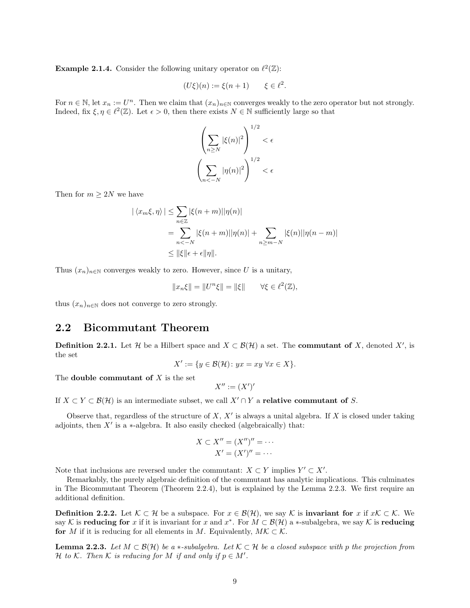**Example 2.1.4.** Consider the following unitary operator on  $\ell^2(\mathbb{Z})$ :

$$
(U\xi)(n) := \xi(n+1) \qquad \xi \in \ell^2.
$$

For  $n \in \mathbb{N}$ , let  $x_n := U^n$ . Then we claim that  $(x_n)_{n \in \mathbb{N}}$  converges weakly to the zero operator but not strongly. Indeed, fix  $\xi, \eta \in \ell^2(\mathbb{Z})$ . Let  $\epsilon > 0$ , then there exists  $N \in \mathbb{N}$  sufficiently large so that

$$
\left(\sum_{n\geq N} |\xi(n)|^2\right)^{1/2} < \epsilon
$$
\n
$$
\left(\sum_{n<-N} |\eta(n)|^2\right)^{1/2} < \epsilon
$$

Then for  $m \geq 2N$  we have

$$
|\langle x_m \xi, \eta \rangle| \leq \sum_{n \in \mathbb{Z}} |\xi(n+m)| |\eta(n)|
$$
  
= 
$$
\sum_{n < -N} |\xi(n+m)| |\eta(n)| + \sum_{n \geq m-N} |\xi(n)| |\eta(n-m)|
$$
  

$$
\leq \|\xi\| \epsilon + \epsilon \|\eta\|.
$$

Thus  $(x_n)_{n\in\mathbb{N}}$  converges weakly to zero. However, since U is a unitary,

$$
||x_n\xi|| = ||U^n\xi|| = ||\xi|| \quad \forall \xi \in \ell^2(\mathbb{Z}),
$$

thus  $(x_n)_{n\in\mathbb{N}}$  does not converge to zero strongly.

#### <span id="page-9-0"></span>2.2 Bicommutant Theorem

<span id="page-9-2"></span>**Definition 2.2.1.** Let H be a Hilbert space and  $X \subset \mathcal{B}(\mathcal{H})$  a set. The **commutant of** X, denoted X', is the set

$$
X' := \{ y \in \mathcal{B}(\mathcal{H}) : yx = xy \,\,\forall x \in X \}.
$$

The **double commutant of**  $X$  is the set

 $X'' := (X')'$ 

If  $X \subset Y \subset \mathcal{B}(\mathcal{H})$  is an intermediate subset, we call  $X' \cap Y$  a relative commutant of S.

Observe that, regardless of the structure of  $X, X'$  is always a unital algebra. If X is closed under taking adjoints, then  $X'$  is a  $*$ -algebra. It also easily checked (algebraically) that:

$$
X \subset X'' = (X'')'' = \cdots
$$

$$
X' = (X')'' = \cdots
$$

Note that inclusions are reversed under the commutant:  $X \subset Y$  implies  $Y' \subset X'$ .

Remarkably, the purely algebraic definition of the commutant has analytic implications. This culminates in The Bicommutant Theorem (Theorem [2.2.4\)](#page-10-1), but is explained by the Lemma [2.2.3.](#page-9-1) We first require an additional definition.

**Definition 2.2.2.** Let  $K \subset \mathcal{H}$  be a subspace. For  $x \in \mathcal{B}(\mathcal{H})$ , we say K is **invariant for** x if  $xK \subset \mathcal{K}$ . We say K is reducing for x if it is invariant for x and  $x^*$ . For  $M \subset \mathcal{B}(\mathcal{H})$  a \*-subalgebra, we say K is reducing for M if it is reducing for all elements in M. Equivalently,  $M\mathcal{K} \subset \mathcal{K}$ .

<span id="page-9-1"></span>**Lemma 2.2.3.** Let  $M \subset \mathcal{B}(\mathcal{H})$  be a  $*$ -subalgebra. Let  $\mathcal{K} \subset \mathcal{H}$  be a closed subspace with p the projection from H to K. Then K is reducing for M if and only if  $p \in M'$ .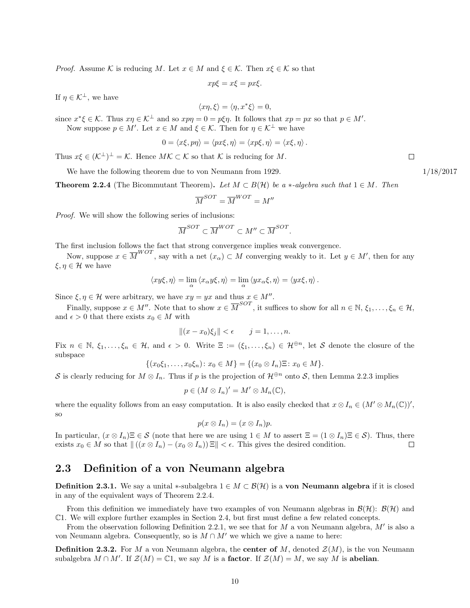*Proof.* Assume K is reducing M. Let  $x \in M$  and  $\xi \in K$ . Then  $x\xi \in K$  so that

$$
xp\xi = x\xi = px\xi.
$$

If  $\eta \in \mathcal{K}^{\perp}$ , we have

$$
\langle x\eta, \xi \rangle = \langle \eta, x^* \xi \rangle = 0,
$$

since  $x^*\xi \in \mathcal{K}$ . Thus  $x\eta \in \mathcal{K}^{\perp}$  and so  $x p \eta = 0 = p \xi \eta$ . It follows that  $x p = p x$  so that  $p \in M'$ .

Now suppose  $p \in M'$ . Let  $x \in M$  and  $\xi \in \mathcal{K}$ . Then for  $\eta \in \mathcal{K}^{\perp}$  we have

$$
0 = \langle x\xi, p\eta \rangle = \langle px\xi, \eta \rangle = \langle xp\xi, \eta \rangle = \langle x\xi, \eta \rangle.
$$

Thus  $x\xi \in (\mathcal{K}^{\perp})^{\perp} = \mathcal{K}$ . Hence  $M\mathcal{K} \subset \mathcal{K}$  so that  $\mathcal{K}$  is reducing for M.

We have the following theorem due to von Neumann from 1929.  $1/18/2017$ 

<span id="page-10-1"></span>**Theorem 2.2.4** (The Bicommutant Theorem). Let  $M \subset B(H)$  be a \*-algebra such that  $1 \in M$ . Then

$$
\overline{M}^{SOT}=\overline{M}^{WOT}=M''
$$

Proof. We will show the following series of inclusions:

$$
\overline{M}^{SOT} \subset \overline{M}^{WOT} \subset M'' \subset \overline{M}^{SOT}.
$$

The first inclusion follows the fact that strong convergence implies weak convergence.

Now, suppose  $x \in \overline{M}^{WOT}$ , say with a net  $(x_\alpha) \subset M$  converging weakly to it. Let  $y \in M'$ , then for any  $\xi, \eta \in \mathcal{H}$  we have

$$
\langle xy\xi, \eta \rangle = \lim_{\alpha} \langle x_{\alpha} y \xi, \eta \rangle = \lim_{\alpha} \langle yx_{\alpha} \xi, \eta \rangle = \langle yx\xi, \eta \rangle.
$$

Since  $\xi, \eta \in \mathcal{H}$  were arbitrary, we have  $xy = yx$  and thus  $x \in M''$ .

Finally, suppose  $x \in M''$ . Note that to show  $x \in \overline{M}^{SOT}$ , it suffices to show for all  $n \in \mathbb{N}$ ,  $\xi_1, \ldots, \xi_n \in \mathcal{H}$ , and  $\epsilon > 0$  that there exists  $x_0 \in M$  with

$$
||(x-x_0)\xi_j|| < \epsilon \qquad j=1,\ldots,n.
$$

Fix  $n \in \mathbb{N}, \xi_1, \ldots, \xi_n \in \mathcal{H},$  and  $\epsilon > 0$ . Write  $\Xi := (\xi_1, \ldots, \xi_n) \in \mathcal{H}^{\oplus n}$ , let S denote the closure of the subspace

$$
\{(x_0\xi_1,\ldots,x_0\xi_n): x_0 \in M\} = \{(x_0 \otimes I_n)\Xi: x_0 \in M\}.
$$

S is clearly reducing for  $M \otimes I_n$ . Thus if p is the projection of  $\mathcal{H}^{\oplus n}$  onto S, then Lemma [2.2.3](#page-9-1) implies

$$
p\in (M\otimes I_n)'=M'\otimes M_n(\mathbb{C}),
$$

where the equality follows from an easy computation. It is also easily checked that  $x \otimes I_n \in (M' \otimes M_n(\mathbb{C}))'$ , so

$$
p(x \otimes I_n) = (x \otimes I_n)p.
$$

In particular,  $(x \otimes I_n) \equiv \in \mathcal{S}$  (note that here we are using  $1 \in M$  to assert  $\Xi = (1 \otimes I_n) \Xi \in \mathcal{S}$ ). Thus, there exists  $x_0 \in M$  so that  $\| ((x \otimes I_n) - (x_0 \otimes I_n)) \Xi \| < \epsilon$ . This gives the desired condition.  $\Box$ 

#### <span id="page-10-0"></span>2.3 Definition of a von Neumann algebra

**Definition 2.3.1.** We say a unital \*-subalgebra  $1 \in M \subset \mathcal{B}(\mathcal{H})$  is a **von Neumann algebra** if it is closed in any of the equivalent ways of Theorem [2.2.4.](#page-10-1)

From this definition we immediately have two examples of von Neumann algebras in  $\mathcal{B}(\mathcal{H})$ :  $\mathcal{B}(\mathcal{H})$  and C1. We will explore further examples in Section [2.4,](#page-11-0) but first must define a few related concepts.

From the observation following Definition [2.2.1,](#page-9-2) we see that for  $M$  a von Neumann algebra,  $M'$  is also a von Neumann algebra. Consequently, so is  $M \cap M'$  we which we give a name to here:

**Definition 2.3.2.** For M a von Neumann algebra, the **center of** M, denoted  $\mathcal{Z}(M)$ , is the von Neumann subalgebra  $M \cap M'$ . If  $\mathcal{Z}(M) = \mathbb{C}1$ , we say  $M$  is a **factor**. If  $\mathcal{Z}(M) = M$ , we say  $M$  is **abelian**.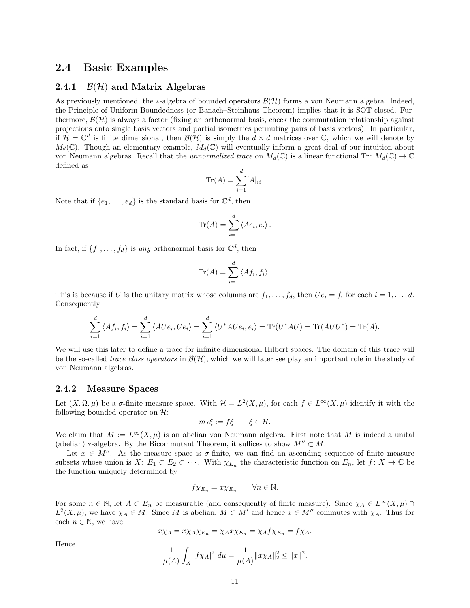#### <span id="page-11-0"></span>2.4 Basic Examples

#### <span id="page-11-1"></span>2.4.1  $\mathcal{B}(\mathcal{H})$  and Matrix Algebras

As previously mentioned, the  $*$ -algebra of bounded operators  $\mathcal{B}(\mathcal{H})$  forms a von Neumann algebra. Indeed, the Principle of Uniform Boundedness (or Banach–Steinhaus Theorem) implies that it is SOT-closed. Furthermore,  $\mathcal{B}(\mathcal{H})$  is always a factor (fixing an orthonormal basis, check the commutation relationship against projections onto single basis vectors and partial isometries permuting pairs of basis vectors). In particular, if  $\mathcal{H} = \mathbb{C}^d$  is finite dimensional, then  $\mathcal{B}(\mathcal{H})$  is simply the  $d \times d$  matrices over  $\mathbb{C}$ , which we will denote by  $M_d(\mathbb{C})$ . Though an elementary example,  $M_d(\mathbb{C})$  will eventually inform a great deal of our intuition about von Neumann algebras. Recall that the unnormalized trace on  $M_d(\mathbb{C})$  is a linear functional Tr:  $M_d(\mathbb{C}) \to \mathbb{C}$ defined as

$$
\operatorname{Tr}(A) = \sum_{i=1}^{d} [A]_{ii}.
$$

Note that if  $\{e_1, \ldots, e_d\}$  is the standard basis for  $\mathbb{C}^d$ , then

$$
\text{Tr}(A) = \sum_{i=1}^d \langle Ae_i, e_i \rangle.
$$

In fact, if  $\{f_1, \ldots, f_d\}$  is any orthonormal basis for  $\mathbb{C}^d$ , then

$$
\text{Tr}(A) = \sum_{i=1}^d \langle Af_i, f_i \rangle.
$$

This is because if U is the unitary matrix whose columns are  $f_1, \ldots, f_d$ , then  $Ue_i = f_i$  for each  $i = 1, \ldots, d$ . Consequently

$$
\sum_{i=1}^{d} \langle Af_i, f_i \rangle = \sum_{i=1}^{d} \langle A U e_i, U e_i \rangle = \sum_{i=1}^{d} \langle U^* A U e_i, e_i \rangle = \text{Tr}(U^* A U) = \text{Tr}(A U U^*) = \text{Tr}(A).
$$

We will use this later to define a trace for infinite dimensional Hilbert spaces. The domain of this trace will be the so-called trace class operators in  $\mathcal{B}(\mathcal{H})$ , which we will later see play an important role in the study of von Neumann algebras.

#### <span id="page-11-2"></span>2.4.2 Measure Spaces

Let  $(X, \Omega, \mu)$  be a  $\sigma$ -finite measure space. With  $\mathcal{H} = L^2(X, \mu)$ , for each  $f \in L^{\infty}(X, \mu)$  identify it with the following bounded operator on  $\mathcal{H}$ :

$$
m_f \xi := f \xi \qquad \xi \in \mathcal{H}.
$$

We claim that  $M := L^{\infty}(X, \mu)$  is an abelian von Neumann algebra. First note that M is indeed a unital (abelian) \*-algebra. By the Bicommutant Theorem, it suffices to show  $M'' \subset M$ .

Let  $x \in M''$ . As the measure space is  $\sigma$ -finite, we can find an ascending sequence of finite measure subsets whose union is  $X: E_1 \subset E_2 \subset \cdots$ . With  $\chi_{E_n}$  the characteristic function on  $E_n$ , let  $f: X \to \mathbb{C}$  be the function uniquely determined by

$$
f\chi_{E_n} = x\chi_{E_n} \qquad \forall n \in \mathbb{N}.
$$

For some  $n \in \mathbb{N}$ , let  $A \subset E_n$  be measurable (and consequently of finite measure). Since  $\chi_A \in L^{\infty}(X, \mu)$  $L^2(X,\mu)$ , we have  $\chi_A \in M$ . Since M is abelian,  $M \subset M'$  and hence  $x \in M''$  commutes with  $\chi_A$ . Thus for each  $n \in \mathbb{N}$ , we have

$$
x\chi_A = x\chi_A\chi_{E_n} = \chi_A x\chi_{E_n} = \chi_A f\chi_{E_n} = f\chi_A.
$$

Hence

$$
\frac{1}{\mu(A)} \int_X |f \chi_A|^2 \ d\mu = \frac{1}{\mu(A)} \|x \chi_A\|_2^2 \le \|x\|^2.
$$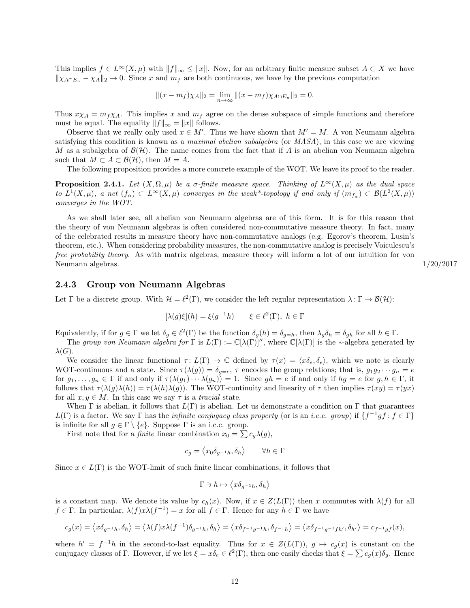This implies  $f \in L^{\infty}(X, \mu)$  with  $||f||_{\infty} \le ||x||$ . Now, for an arbitrary finite measure subset  $A \subset X$  we have  $\|\chi_{A\cap E_n} - \chi_A\|_2 \to 0$ . Since x and  $m_f$  are both continuous, we have by the previous computation

$$
||(x - m_f)\chi_A||_2 = \lim_{n \to \infty} ||(x - m_f)\chi_{A \cap E_n}||_2 = 0.
$$

Thus  $x\chi_A = m_f\chi_A$ . This implies x and  $m_f$  agree on the dense subspace of simple functions and therefore must be equal. The equality  $||f||_{\infty} = ||x||$  follows.

Observe that we really only used  $x \in M'$ . Thus we have shown that  $M' = M$ . A von Neumann algebra satisfying this condition is known as a *maximal abelian subalgebra* (or *MASA*), in this case we are viewing M as a subalgebra of  $\mathcal{B}(\mathcal{H})$ . The name comes from the fact that if A is an abelian von Neumann algebra such that  $M \subset A \subset \mathcal{B}(\mathcal{H})$ , then  $M = A$ .

The following proposition provides a more concrete example of the WOT. We leave its proof to the reader.

<span id="page-12-1"></span>**Proposition 2.4.1.** Let  $(X, \Omega, \mu)$  be a  $\sigma$ -finite measure space. Thinking of  $L^{\infty}(X, \mu)$  as the dual space to  $L^1(X,\mu)$ , a net  $(f_\alpha) \subset L^\infty(X,\mu)$  converges in the weak\*-topology if and only if  $(m_{f_\alpha}) \subset \mathcal{B}(L^2(X,\mu))$ converges in the WOT.

As we shall later see, all abelian von Neumann algebras are of this form. It is for this reason that the theory of von Neumann algebras is often considered non-commutative measure theory. In fact, many of the celebrated results in measure theory have non-commutative analogs (e.g. Egorov's theorem, Lusin's theorem, etc.). When considering probability measures, the non-commutative analog is precisely Voiculescu's free probability theory. As with matrix algebras, measure theory will inform a lot of our intuition for von Neumann algebras. 1/20/2017

#### <span id="page-12-0"></span>2.4.3 Group von Neumann Algebras

Let  $\Gamma$  be a discrete group. With  $\mathcal{H} = \ell^2(\Gamma)$ , we consider the left regular representation  $\lambda \colon \Gamma \to \mathcal{B}(\mathcal{H})$ :

$$
[\lambda(g)\xi](h) = \xi(g^{-1}h) \qquad \xi \in \ell^2(\Gamma), \ h \in \Gamma
$$

Equivalently, if for  $g \in \Gamma$  we let  $\delta_g \in \ell^2(\Gamma)$  be the function  $\delta_g(h) = \delta_{g=h}$ , then  $\lambda_g \delta_h = \delta_{gh}$  for all  $h \in \Gamma$ .

The group von Neumann algebra for  $\Gamma$  is  $L(\Gamma) := \mathbb{C}[\lambda(\Gamma)]^{\prime\prime}$ , where  $\mathbb{C}[\lambda(\Gamma)]$  is the \*-algebra generated by  $\lambda(G)$ .

We consider the linear functional  $\tau: L(\Gamma) \to \mathbb{C}$  defined by  $\tau(x) = \langle x\delta_e, \delta_e \rangle$ , which we note is clearly WOT-continuous and a state. Since  $\tau(\lambda(g)) = \delta_{g=e}$ ,  $\tau$  encodes the group relations; that is,  $g_1g_2\cdots g_n = e$ for  $g_1, \ldots, g_n \in \Gamma$  if and only if  $\tau(\lambda(g_1) \cdots \lambda(g_n)) = 1$ . Since  $gh = e$  if and only if  $hg = e$  for  $g, h \in \Gamma$ , it follows that  $\tau(\lambda(g)\lambda(h)) = \tau(\lambda(h)\lambda(g))$ . The WOT-continuity and linearity of  $\tau$  then implies  $\tau(xy) = \tau(yx)$ for all  $x, y \in M$ . In this case we say  $\tau$  is a tracial state.

When  $\Gamma$  is abelian, it follows that  $L(\Gamma)$  is abelian. Let us demonstrate a condition on  $\Gamma$  that guarantees  $L(\Gamma)$  is a factor. We say  $\Gamma$  has the *infinite conjugacy class property* (or is an *i.c.c. group*) if  $\{f^{-1}gf : f \in \Gamma\}$ is infinite for all  $g \in \Gamma \setminus \{e\}$ . Suppose  $\Gamma$  is an i.c.c. group.

First note that for a *finite* linear combination  $x_0 = \sum c_g \lambda(g)$ ,

$$
c_g = \langle x_0 \delta_{g^{-1}h}, \delta_h \rangle \qquad \forall h \in \Gamma
$$

Since  $x \in L(\Gamma)$  is the WOT-limit of such finite linear combinations, it follows that

$$
\Gamma \ni h \mapsto \langle x \delta_{g^{-1}h}, \delta_h \rangle
$$

is a constant map. We denote its value by  $c_h(x)$ . Now, if  $x \in Z(L(\Gamma))$  then x commutes with  $\lambda(f)$  for all  $f \in \Gamma$ . In particular,  $\lambda(f)x\lambda(f^{-1}) = x$  for all  $f \in \Gamma$ . Hence for any  $h \in \Gamma$  we have

$$
c_g(x) = \langle x\delta_{g^{-1}h}, \delta_h \rangle = \langle \lambda(f)x\lambda(f^{-1})\delta_{g^{-1}h}, \delta_h \rangle = \langle x\delta_{f^{-1}g^{-1}h}, \delta_{f^{-1}h} \rangle = \langle x\delta_{f^{-1}g^{-1}fh'}, \delta_{h'} \rangle = c_{f^{-1}gf}(x),
$$

where  $h' = f^{-1}h$  in the second-to-last equality. Thus for  $x \in Z(L(\Gamma))$ ,  $g \mapsto c_g(x)$  is constant on the conjugacy classes of Γ. However, if we let  $\xi = x\delta_e \in \ell^2(\Gamma)$ , then one easily checks that  $\xi = \sum c_g(x)\delta_g$ . Hence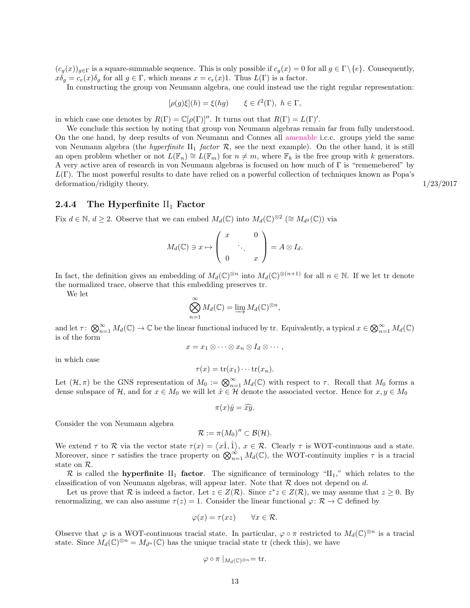$(c_g(x))_{g\in\Gamma}$  is a square-summable sequence. This is only possible if  $c_g(x) = 0$  for all  $g \in \Gamma \backslash \{e\}$ . Consequently,  $x\delta_g = c_e(x)\delta_g$  for all  $g \in \Gamma$ , which means  $x = c_e(x)1$ . Thus  $L(\Gamma)$  is a factor.

In constructing the group von Neumann algebra, one could instead use the right regular representation:

$$
[\rho(g)\xi](h) = \xi(hg) \qquad \xi \in \ell^2(\Gamma), \ h \in \Gamma,
$$

in which case one denotes by  $R(\Gamma) = \mathbb{C}[\rho(\Gamma)]''$ . It turns out that  $R(\Gamma) = L(\Gamma)'$ .

We conclude this section by noting that group von Neumann algebras remain far from fully understood. On the one hand, by deep results of von Neumann and Connes all [amenable](https://en.wikipedia.org/wiki/Amenable_group) i.c.c. groups yield the same von Neumann algebra (the *hyperfinite*  $II_1$  *factor*  $\mathcal{R}$ , see the next example). On the other hand, it is still an open problem whether or not  $L(\mathbb{F}_n) \cong L(\mathbb{F}_m)$  for  $n \neq m$ , where  $\mathbb{F}_k$  is the free group with k generators. A very active area of research in von Neumann algebras is focused on how much of Γ is "rememebered" by  $L(\Gamma)$ . The most powerful results to date have relied on a powerful collection of techniques known as Popa's deformation/ridigity theory. 1/23/2017

#### <span id="page-13-0"></span>2.4.4 The Hyperfinite  $II_1$  Factor

Fix  $d \in \mathbb{N}$ ,  $d \geq 2$ . Observe that we can embed  $M_d(\mathbb{C})$  into  $M_d(\mathbb{C})^{\otimes 2}$  ( $\cong M_{d^2}(\mathbb{C})$ ) via

$$
M_d(\mathbb{C}) \ni x \mapsto \left( \begin{array}{ccc} x & & 0 \\ & \ddots & \\ 0 & & x \end{array} \right) = A \otimes I_d.
$$

In fact, the definition gives an embedding of  $M_d(\mathbb{C})^{\otimes n}$  into  $M_d(\mathbb{C})^{\otimes (n+1)}$  for all  $n \in \mathbb{N}$ . If we let tr denote the normalized trace, observe that this embedding preserves tr.

We let

$$
\bigotimes_{n=1}^{\infty} M_d(\mathbb{C}) = \varinjlim M_d(\mathbb{C})^{\otimes n},
$$

and let  $\tau: \bigotimes_{n=1}^{\infty} M_d(\mathbb{C}) \to \mathbb{C}$  be the linear functional induced by tr. Equivalently, a typical  $x \in \bigotimes_{n=1}^{\infty} M_d(\mathbb{C})$ is of the form

$$
x = x_1 \otimes \cdots \otimes x_n \otimes I_d \otimes \cdots,
$$

in which case

$$
\tau(x) = \operatorname{tr}(x_1) \cdots \operatorname{tr}(x_n).
$$

Let  $(\mathcal{H}, \pi)$  be the GNS representation of  $M_0 := \bigotimes_{n=1}^{\infty} M_d(\mathbb{C})$  with respect to  $\tau$ . Recall that  $M_0$  forms a dense subspace of H, and for  $x \in M_0$  we will let  $\hat{x} \in \mathcal{H}$  denote the associated vector. Hence for  $x, y \in M_0$ 

$$
\pi(x)\hat{y} = \widehat{xy}.
$$

Consider the von Neumann algebra

$$
\mathcal{R} := \pi(M_0)'' \subset \mathcal{B}(\mathcal{H}).
$$

We extend  $\tau$  to  $\mathcal R$  via the vector state  $\tau(x) = \langle x_1^{\hat{1}}, x \in \mathcal R$ . Clearly  $\tau$  is WOT-continuous and a state. Moreover, since  $\tau$  satisfies the trace property on  $\bigotimes_{n=1}^{\infty} M_d(\mathbb{C})$ , the WOT-continuity implies  $\tau$  is a tracial state on R.

R is called the **hyperfinite** II<sub>1</sub> factor. The significance of terminology "II<sub>1</sub>," which relates to the classification of von Neumann algebras, will appear later. Note that  $R$  does not depend on d.

Let us prove that R is indeed a factor. Let  $z \in Z(\mathcal{R})$ . Since  $z^*z \in Z(\mathcal{R})$ , we may assume that  $z \geq 0$ . By renormalizing, we can also assume  $\tau(z) = 1$ . Consider the linear functional  $\varphi \colon \mathcal{R} \to \mathbb{C}$  defined by

$$
\varphi(x) = \tau(xz) \qquad \forall x \in \mathcal{R}.
$$

Observe that  $\varphi$  is a WOT-continuous tracial state. In particular,  $\varphi \circ \pi$  restricted to  $M_d(\mathbb{C})^{\otimes n}$  is a tracial state. Since  $M_d(\mathbb{C})^{\otimes n} = M_{d^n}(\mathbb{C})$  has the unique tracial state tr (check this), we have

$$
\varphi \circ \pi \mid_{M_d(\mathbb{C})^{\otimes n}} = \text{tr}.
$$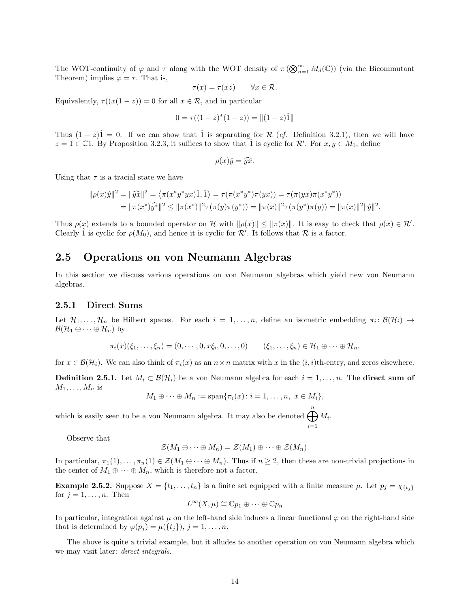The WOT-continuity of  $\varphi$  and  $\tau$  along with the WOT density of  $\pi(\bigotimes_{n=1}^{\infty}M_d(\mathbb{C}))$  (via the Bicommutant Theorem) implies  $\varphi = \tau$ . That is,

$$
\tau(x) = \tau(xz) \qquad \forall x \in \mathcal{R}.
$$

Equivalently,  $\tau((x(1-z))=0$  for all  $x \in \mathcal{R}$ , and in particular

$$
0 = \tau((1-z)^*(1-z)) = ||(1-z)\hat{1}||
$$

Thus  $(1-z)\hat{1} = 0$ . If we can show that  $\hat{1}$  is separating for R (*cf.* Definition [3.2.1\)](#page-23-1), then we will have  $z = 1 \in \mathbb{C}$ 1. By Proposition [3.2.3,](#page-23-2) it suffices to show that  $\hat{1}$  is cyclic for  $\mathcal{R}'$ . For  $x, y \in M_0$ , define

$$
\rho(x)\hat{y} = \hat{y}\hat{x}.
$$

Using that  $\tau$  is a tracial state we have

$$
\|\rho(x)\hat{y}\|^2 = \|\widehat{yx}\|^2 = \langle \pi(x^*y^*yx)\hat{1}, \hat{1}\rangle = \tau(\pi(x^*y^*)\pi(yx)) = \tau(\pi(yx)\pi(x^*y^*))
$$
  
= 
$$
\|\pi(x^*)\hat{y^*}\|^2 \le \|\pi(x^*)\|^2 \tau(\pi(y)\pi(y^*)) = \|\pi(x)\|^2 \tau(\pi(y^*)\pi(y)) = \|\pi(x)\|^2 \|\hat{y}\|^2.
$$

Thus  $\rho(x)$  extends to a bounded operator on H with  $\|\rho(x)\| \leq \|\pi(x)\|$ . It is easy to check that  $\rho(x) \in \mathcal{R}'$ . Clearly 1 is cyclic for  $\rho(M_0)$ , and hence it is cyclic for  $\mathcal{R}'$ . It follows that  $\mathcal R$  is a factor.

#### <span id="page-14-0"></span>2.5 Operations on von Neumann Algebras

In this section we discuss various operations on von Neumann algebras which yield new von Neumann algebras.

#### <span id="page-14-1"></span>2.5.1 Direct Sums

Let  $\mathcal{H}_1,\ldots,\mathcal{H}_n$  be Hilbert spaces. For each  $i=1,\ldots,n$ , define an isometric embedding  $\pi_i: \mathcal{B}(\mathcal{H}_i) \to$  $\mathcal{B}(\mathcal{H}_1 \oplus \cdots \oplus \mathcal{H}_n)$  by

$$
\pi_i(x)(\xi_1,\ldots,\xi_n)=(0,\cdots,0,x\xi_i,0,\ldots,0) \qquad (\xi_1,\ldots,\xi_n)\in \mathcal{H}_1\oplus\cdots\oplus\mathcal{H}_n,
$$

for  $x \in \mathcal{B}(\mathcal{H}_i)$ . We can also think of  $\pi_i(x)$  as an  $n \times n$  matrix with x in the  $(i, i)$ th-entry, and zeros elsewhere.

**Definition 2.5.1.** Let  $M_i \text{ }\subset \mathcal{B}(\mathcal{H}_i)$  be a von Neumann algebra for each  $i = 1, \ldots, n$ . The **direct sum of**  $M_1, \ldots, M_n$  is

$$
M_1 \oplus \cdots \oplus M_n := \mathrm{span}\{\pi_i(x) \colon i = 1, \ldots, n, \ x \in M_i\},\
$$

which is easily seen to be a von Neumann algebra. It may also be denoted  $\bigoplus^{n} M_i$ .  $i=1$ 

Observe that

$$
\mathcal{Z}(M_1\oplus\cdots\oplus M_n)=\mathcal{Z}(M_1)\oplus\cdots\oplus\mathcal{Z}(M_n).
$$

In particular,  $\pi_1(1), \ldots, \pi_n(1) \in \mathcal{Z}(M_1 \oplus \cdots \oplus M_n)$ . Thus if  $n \geq 2$ , then these are non-trivial projections in the center of  $M_1 \oplus \cdots \oplus M_n$ , which is therefore not a factor.

**Example 2.5.2.** Suppose  $X = \{t_1, \ldots, t_n\}$  is a finite set equipped with a finite measure  $\mu$ . Let  $p_j = \chi_{\{t_j\}}$ for  $j = 1, \ldots, n$ . Then

$$
L^{\infty}(X,\mu)\cong \mathbb{C}p_1\oplus\cdots\oplus\mathbb{C}p_n
$$

In particular, integration against  $\mu$  on the left-hand side induces a linear functional  $\varphi$  on the right-hand side that is determined by  $\varphi(p_i) = \mu({t_i})$ ,  $j = 1, \ldots, n$ .

The above is quite a trivial example, but it alludes to another operation on von Neumann algebra which we may visit later: *direct integrals*.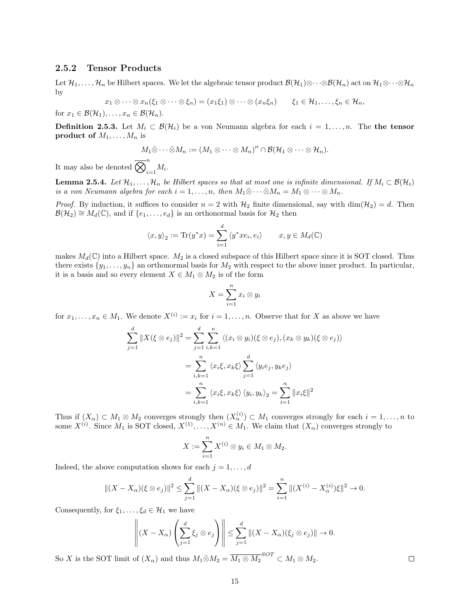#### <span id="page-15-0"></span>2.5.2 Tensor Products

Let  $\mathcal{H}_1, \ldots, \mathcal{H}_n$  be Hilbert spaces. We let the algebraic tensor product  $\mathcal{B}(\mathcal{H}_1) \otimes \cdots \otimes \mathcal{B}(\mathcal{H}_n)$  act on  $\mathcal{H}_1 \otimes \cdots \otimes \mathcal{H}_n$ by

$$
x_1 \otimes \cdots \otimes x_n (\xi_1 \otimes \cdots \otimes \xi_n) = (x_1 \xi_1) \otimes \cdots \otimes (x_n \xi_n) \qquad \xi_1 \in \mathcal{H}_1, \ldots, \xi_n \in \mathcal{H}_n,
$$

for  $x_1 \in \mathcal{B}(\mathcal{H}_1), \ldots, x_n \in \mathcal{B}(\mathcal{H}_n)$ .

**Definition 2.5.3.** Let  $M_i \subset \mathcal{B}(\mathcal{H}_i)$  be a von Neumann algebra for each  $i = 1, \ldots, n$ . The the tensor product of  $M_1, \ldots, M_n$  is

$$
M_1\bar{\otimes}\cdots\bar{\otimes}M_n:=(M_1\otimes\cdots\otimes M_n)''\cap\mathcal{B}(\mathcal{H}_1\otimes\cdots\otimes\mathcal{H}_n).
$$

It may also be denoted  $\overline{\bigotimes}_{i=1}^n M_i$ .

<span id="page-15-1"></span>**Lemma 2.5.4.** Let  $\mathcal{H}_1, \ldots, \mathcal{H}_n$  be Hilbert spaces so that at most one is infinite dimensional. If  $M_i \subset \mathcal{B}(\mathcal{H}_i)$ is a von Neumann algebra for each  $i = 1, \ldots, n$ , then  $M_1 \bar{\otimes} \cdots \bar{\otimes} M_n = M_1 \otimes \cdots \otimes M_n$ .

*Proof.* By induction, it suffices to consider  $n = 2$  with  $H_2$  finite dimensional, say with  $\dim(\mathcal{H}_2) = d$ . Then  $\mathcal{B}(\mathcal{H}_2) \cong M_d(\mathbb{C})$ , and if  $\{e_1, \ldots, e_d\}$  is an orthonormal basis for  $\mathcal{H}_2$  then

$$
\langle x, y \rangle_2 := \text{Tr}(y^*x) = \sum_{i=1}^d \langle y^*xe_i, e_i \rangle \qquad x, y \in M_d(\mathbb{C})
$$

makes  $M_d(\mathbb{C})$  into a Hilbert space.  $M_2$  is a closed subspace of this Hilbert space since it is SOT closed. Thus there exists  $\{y_1, \ldots, y_n\}$  an orthonormal basis for  $M_2$  with respect to the above inner product. In particular, it is a basis and so every element  $X \in M_1 \otimes M_2$  is of the form

$$
X = \sum_{i=1}^{n} x_i \otimes y_i
$$

for  $x_1, \ldots, x_n \in M_1$ . We denote  $X^{(i)} := x_i$  for  $i = 1, \ldots, n$ . Observe that for X as above we have

$$
\sum_{j=1}^{d} ||X(\xi \otimes e_j)||^2 = \sum_{j=1}^{d} \sum_{i,k=1}^{n} \langle (x_i \otimes y_i)(\xi \otimes e_j), (x_k \otimes y_k)(\xi \otimes e_j) \rangle
$$

$$
= \sum_{i,k=1}^{n} \langle x_i \xi, x_k \xi \rangle \sum_{j=1}^{d} \langle y_i e_j, y_k e_j \rangle
$$

$$
= \sum_{i,k=1}^{n} \langle x_i \xi, x_k \xi \rangle \langle y_i, y_k \rangle_2 = \sum_{i=1}^{n} ||x_i \xi||^2
$$

Thus if  $(X_\alpha) \subset M_1 \otimes M_2$  converges strongly then  $(X_\alpha^{(i)}) \subset M_1$  converges strongly for each  $i = 1, \ldots, n$  to some  $X^{(i)}$ . Since  $M_1$  is SOT closed,  $X^{(1)}, \ldots, X^{(n)} \in M_1$ . We claim that  $(X_\alpha)$  converges strongly to

$$
X := \sum_{i=1}^{n} X^{(i)} \otimes y_i \in M_1 \otimes M_2.
$$

Indeed, the above computation shows for each  $j = 1, \ldots, d$ 

$$
||(X - X\alpha)(\xi \otimes e_j)||^2 \le \sum_{j=1}^d ||(X - X_{\alpha})(\xi \otimes e_j)||^2 = \sum_{i=1}^n ||(X^{(i)} - X_{\alpha}^{(i)})\xi||^2 \to 0.
$$

Consequently, for  $\xi_1, \ldots, \xi_d \in \mathcal{H}_1$  we have

$$
\left\|(X - X_{\alpha})\left(\sum_{j=1}^{d} \xi_{j} \otimes e_{j}\right)\right\| \leq \sum_{j=1}^{d} \|(X - X_{\alpha})(\xi_{j} \otimes e_{j})\| \to 0.
$$

So X is the SOT limit of  $(X_{\alpha})$  and thus  $M_1 \bar{\otimes} M_2 = \overline{M_1 \otimes M_2}^{SOT} \subset M_1 \otimes M_2$ .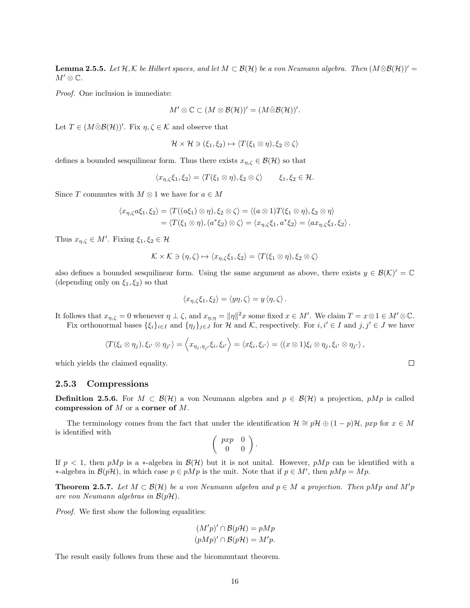**Lemma 2.5.5.** Let  $\mathcal{H}, \mathcal{K}$  be Hilbert spaces, and let  $M \subset \mathcal{B}(\mathcal{H})$  be a von Neumann algebra. Then  $(M \bar{\otimes} \mathcal{B}(\mathcal{H}))'$  $M'\otimes \mathbb{C}$ .

Proof. One inclusion is immediate:

$$
M' \otimes \mathbb{C} \subset (M \otimes \mathcal{B}(\mathcal{H}))' = (M \bar{\otimes} \mathcal{B}(\mathcal{H}))'.
$$

Let  $T \in (M \bar{\otimes} \mathcal{B}(\mathcal{H}))'$ . Fix  $\eta, \zeta \in \mathcal{K}$  and observe that

$$
\mathcal{H} \times \mathcal{H} \ni (\xi_1, \xi_2) \mapsto \langle T(\xi_1 \otimes \eta), \xi_2 \otimes \zeta \rangle
$$

defines a bounded sesquilinear form. Thus there exists  $x_{n,\zeta} \in \mathcal{B}(\mathcal{H})$  so that

$$
\langle x_{\eta,\zeta}\xi_1,\xi_2\rangle = \langle T(\xi_1\otimes\eta),\xi_2\otimes\zeta\rangle \qquad \xi_1,\xi_2\in\mathcal{H}.
$$

Since T commutes with  $M \otimes 1$  we have for  $a \in M$ 

$$
\langle x_{\eta,\zeta}a\xi_1,\xi_2\rangle = \langle T((a\xi_1)\otimes\eta),\xi_2\otimes\zeta\rangle = \langle (a\otimes 1)T(\xi_1\otimes\eta),\xi_2\otimes\eta\rangle
$$
  
= 
$$
\langle T(\xi_1\otimes\eta), (a^*\xi_2)\otimes\zeta\rangle = \langle x_{\eta,\zeta}\xi_1, a^*\xi_2\rangle = \langle ax_{\eta,\zeta}\xi_1, \xi_2\rangle.
$$

Thus  $x_{\eta,\zeta} \in M'$ . Fixing  $\xi_1, \xi_2 \in \mathcal{H}$ 

$$
\mathcal{K} \times \mathcal{K} \ni (\eta, \zeta) \mapsto \langle x_{\eta, \zeta} \xi_1, \xi_2 \rangle = \langle T(\xi_1 \otimes \eta), \xi_2 \otimes \zeta \rangle
$$

also defines a bounded sesquilinear form. Using the same argument as above, there exists  $y \in \mathcal{B}(\mathcal{K})' = \mathbb{C}$ (depending only on  $\xi_1, \xi_2$ ) so that

$$
\langle x_{\eta,\zeta}\xi_1,\xi_2\rangle = \langle y\eta,\zeta\rangle = y \langle \eta,\zeta\rangle.
$$

It follows that  $x_{\eta,\zeta} = 0$  whenever  $\eta \perp \zeta$ , and  $x_{\eta,\eta} = ||\eta||^2 x$  some fixed  $x \in M'$ . We claim  $T = x \otimes 1 \in M' \otimes \mathbb{C}$ . Fix orthonormal bases  $\{\xi_i\}_{i\in I}$  and  $\{\eta_j\}_{j\in J}$  for H and K, respectively. For  $i, i' \in I$  and  $j, j' \in J$  we have

$$
\langle T(\xi_i\otimes \eta_j),\xi_{i'}\otimes \eta_{j'}\rangle=\left\langle x_{\eta_j,\eta_{j'}}\xi_i,\xi_{i'}\right\rangle=\left\langle x\xi_i,\xi_{i'}\right\rangle=\left\langle (x\otimes 1)\xi_i\otimes \eta_j,\xi_{i'}\otimes \eta_{j'}\right\rangle,
$$

which yields the claimed equality.

#### <span id="page-16-0"></span>2.5.3 Compressions

**Definition 2.5.6.** For  $M \subset \mathcal{B}(\mathcal{H})$  a von Neumann algebra and  $p \in \mathcal{B}(\mathcal{H})$  a projection,  $pMp$  is called compression of M or a corner of M.

The terminology comes from the fact that under the identification  $\mathcal{H} \cong p\mathcal{H} \oplus (1-p)\mathcal{H}$ , pxp for  $x \in M$ is identified with

$$
\left(\begin{array}{cc}pxp & 0\\0 & 0\end{array}\right).
$$

If  $p < 1$ , then pMp is a ∗-algebra in  $\mathcal{B}(\mathcal{H})$  but it is not unital. However, pMp can be identified with a ∗-algebra in  $\mathcal{B}(p\mathcal{H})$ , in which case  $p \in pMp$  is the unit. Note that if  $p \in M'$ , then  $pMp = Mp$ .

<span id="page-16-1"></span>**Theorem 2.5.7.** Let  $M \subset \mathcal{B}(\mathcal{H})$  be a von Neumann algebra and  $p \in M$  a projection. Then pMp and M'p are von Neumann algebras in  $\mathcal{B}(p\mathcal{H})$ .

Proof. We first show the following equalities:

$$
(M'p)' \cap \mathcal{B}(p\mathcal{H}) = pMp
$$

$$
(pMp)' \cap \mathcal{B}(p\mathcal{H}) = M'p.
$$

The result easily follows from these and the bicommutant theorem.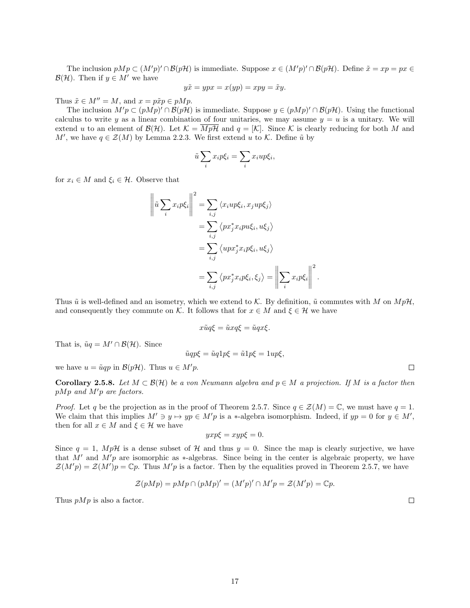The inclusion  $pMp \subset (M'p)' \cap \mathcal{B}(p\mathcal{H})$  is immediate. Suppose  $x \in (M'p)' \cap \mathcal{B}(p\mathcal{H})$ . Define  $\tilde{x} = xp = px \in$  $\mathcal{B}(\mathcal{H})$ . Then if  $y \in M'$  we have

$$
y\tilde{x} = ypx = x(yp) = xpy = \tilde{x}y.
$$

Thus  $\tilde{x} \in M'' = M$ , and  $x = p\tilde{x}p \in pMp$ .

The inclusion  $M'p \subset (pMp)' \cap \mathcal{B}(p\mathcal{H})$  is immediate. Suppose  $y \in (pMp)' \cap \mathcal{B}(p\mathcal{H})$ . Using the functional calculus to write y as a linear combination of four unitaries, we may assume  $y = u$  is a unitary. We will extend u to an element of  $\mathcal{B}(\mathcal{H})$ . Let  $\mathcal{K} = \overline{Mp\mathcal{H}}$  and  $q = [\mathcal{K}]$ . Since  $\mathcal K$  is clearly reducing for both M and M', we have  $q \in \mathcal{Z}(M)$  by Lemma [2.2.3.](#page-9-1) We first extend u to K. Define  $\tilde{u}$  by

$$
\tilde{u}\sum_i x_i p\xi_i = \sum_i x_i u p\xi_i,
$$

for  $x_i \in M$  and  $\xi_i \in \mathcal{H}$ . Observe that

$$
\left\| \tilde{u} \sum_{i} x_{i} p \xi_{i} \right\|^{2} = \sum_{i,j} \left\langle x_{i} u p \xi_{i}, x_{j} u p \xi_{j} \right\rangle
$$
  

$$
= \sum_{i,j} \left\langle p x_{j}^{*} x_{i} p u \xi_{i}, u \xi_{j} \right\rangle
$$
  

$$
= \sum_{i,j} \left\langle u p x_{j}^{*} x_{i} p \xi_{i}, u \xi_{j} \right\rangle
$$
  

$$
= \sum_{i,j} \left\langle p x_{j}^{*} x_{i} p \xi_{i}, \xi_{j} \right\rangle = \left\| \sum_{i} x_{i} p \xi_{i} \right\|^{2}
$$

Thus  $\tilde{u}$  is well-defined and an isometry, which we extend to K. By definition,  $\tilde{u}$  commutes with M on  $MpH$ , and consequently they commute on K. It follows that for  $x \in M$  and  $\xi \in \mathcal{H}$  we have

.

$$
x\tilde{u}q\xi = \tilde{u}xq\xi = \tilde{u}qx\xi.
$$

That is,  $\tilde{u}q = M' \cap \mathcal{B}(\mathcal{H})$ . Since

$$
\tilde{u}qp\xi = \tilde{u}q1p\xi = \tilde{u}1p\xi = 1up\xi,
$$

we have  $u = \tilde{u}qp$  in  $\mathcal{B}(p\mathcal{H})$ . Thus  $u \in M'p$ .

**Corollary 2.5.8.** Let  $M \subset \mathcal{B}(\mathcal{H})$  be a von Neumann algebra and  $p \in M$  a projection. If M is a factor then  $pMp$  and  $M'p$  are factors.

*Proof.* Let q be the projection as in the proof of Theorem [2.5.7.](#page-16-1) Since  $q \in \mathcal{Z}(M) = \mathbb{C}$ , we must have  $q = 1$ . We claim that this implies  $M' \ni y \mapsto yp \in M'p$  is a \*-algebra isomorphism. Indeed, if  $yp = 0$  for  $y \in M'$ , then for all  $x \in M$  and  $\xi \in \mathcal{H}$  we have

$$
yxp\xi = xyp\xi = 0.
$$

Since  $q = 1$ ,  $Mp\mathcal{H}$  is a dense subset of  $\mathcal{H}$  and thus  $y = 0$ . Since the map is clearly surjective, we have that M' and M'p are isomorphic as  $*$ -algebras. Since being in the center is algebraic property, we have  $\mathcal{Z}(M'p) = \mathcal{Z}(M')p = \mathbb{C}p$ . Thus  $M'p$  is a factor. Then by the equalities proved in Theorem [2.5.7,](#page-16-1) we have

$$
\mathcal{Z}(pMp) = pMp \cap (pMp)' = (M'p)' \cap M'p = \mathcal{Z}(M'p) = \mathbb{C}p.
$$

Thus  $pMp$  is also a factor.

 $\Box$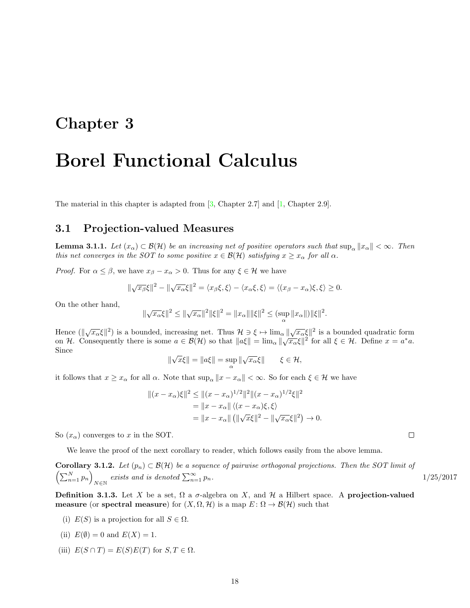### <span id="page-18-0"></span>Chapter 3

## Borel Functional Calculus

The material in this chapter is adapted from [\[3,](#page-70-1) Chapter 2.7] and [\[1,](#page-70-0) Chapter 2.9].

#### <span id="page-18-1"></span>3.1 Projection-valued Measures

<span id="page-18-3"></span>**Lemma 3.1.1.** Let  $(x_\alpha) \subset \mathcal{B}(\mathcal{H})$  be an increasing net of positive operators such that  $\sup_\alpha ||x_\alpha|| < \infty$ . Then this net converges in the SOT to some positive  $x \in \mathcal{B}(\mathcal{H})$  satisfying  $x \geq x_{\alpha}$  for all  $\alpha$ .

*Proof.* For  $\alpha \leq \beta$ , we have  $x_{\beta} - x_{\alpha} > 0$ . Thus for any  $\xi \in \mathcal{H}$  we have

$$
\|\sqrt{x_{\beta}}\xi\|^2 - \|\sqrt{x_{\alpha}}\xi\|^2 = \langle x_{\beta}\xi, \xi \rangle - \langle x_{\alpha}\xi, \xi \rangle = \langle (x_{\beta} - x_{\alpha})\xi, \xi \rangle \ge 0.
$$

On the other hand,

$$
\|\sqrt{x_{\alpha}}\xi\|^2 \le \|\sqrt{x_{\alpha}}\|^2 \|\xi\|^2 = \|x_{\alpha}\| \|\xi\|^2 \le (\sup_{\alpha} \|x_{\alpha}\|) \|\xi\|^2.
$$

Hence  $(\sqrt{x_{\alpha}}\xi)^2$  is a bounded, increasing net. Thus  $\mathcal{H} \ni \xi \mapsto \lim_{\alpha} ||\sqrt{x_{\alpha}}\xi||^2$  is a bounded quadratic form The consequently there is some  $a \in \mathcal{B}(\mathcal{H})$  so that  $||a\xi|| = \lim_{\alpha} ||\sqrt{x_{\alpha}}\xi||^2$  for all  $\xi \in \mathcal{H}$ . Define  $x = a^*a$ . Since √ √

$$
\|\sqrt{x}\xi\| = \|a\xi\| = \sup_{\alpha} \|\sqrt{x_{\alpha}}\xi\| \qquad \xi \in \mathcal{H},
$$

it follows that  $x \geq x_\alpha$  for all  $\alpha$ . Note that  $\sup_{\alpha} ||x - x_\alpha|| < \infty$ . So for each  $\xi \in \mathcal{H}$  we have

$$
||(x - x\alpha)\xi||2 \le ||(x - x\alpha)1/2||2||(x - x\alpha)1/2\xi||2
$$
  
=  $||x - x\alpha|| \langle (x - x\alpha)\xi, \xi \rangle$   
=  $||x - x\alpha|| (||\sqrt{x}\xi||2 - ||\sqrt{x\alpha}\xi||2) \to 0.$ 

So  $(x_{\alpha})$  converges to x in the SOT.

We leave the proof of the next corollary to reader, which follows easily from the above lemma.

<span id="page-18-2"></span>**Corollary 3.1.2.** Let  $(p_n) \subset \mathcal{B}(\mathcal{H})$  be a sequence of pairwise orthogonal projections. Then the SOT limit of  $\left(\sum_{n=1}^{N} p_n\right)$  $N \in \mathbb{N}$  exists and is denoted  $\sum_{n=1}^{\infty}$ 

**Definition 3.1.3.** Let X be a set,  $\Omega$  a  $\sigma$ -algebra on X, and H a Hilbert space. A projection-valued measure (or spectral measure) for  $(X, \Omega, \mathcal{H})$  is a map  $E: \Omega \to \mathcal{B}(\mathcal{H})$  such that

(i)  $E(S)$  is a projection for all  $S \in \Omega$ .

(ii) 
$$
E(\emptyset) = 0
$$
 and  $E(X) = 1$ .

(iii)  $E(S \cap T) = E(S)E(T)$  for  $S, T \in \Omega$ .

1/25/2017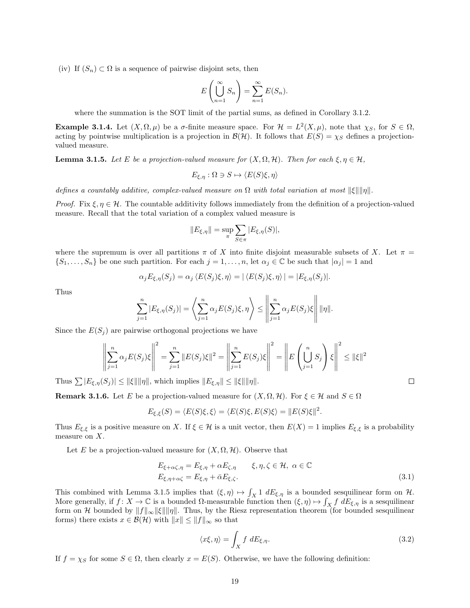(iv) If  $(S_n) \subset \Omega$  is a sequence of pairwise disjoint sets, then

$$
E\left(\bigcup_{n=1}^{\infty} S_n\right) = \sum_{n=1}^{\infty} E(S_n).
$$

where the summation is the SOT limit of the partial sums, as defined in Corollary [3.1.2.](#page-18-2)

**Example 3.1.4.** Let  $(X, \Omega, \mu)$  be a  $\sigma$ -finite measure space. For  $\mathcal{H} = L^2(X, \mu)$ , note that  $\chi_S$ , for  $S \in \Omega$ , acting by pointwise multiplication is a projection in  $\mathcal{B}(\mathcal{H})$ . It follows that  $E(S) = \chi_S$  defines a projectionvalued measure.

<span id="page-19-0"></span>**Lemma 3.1.5.** Let E be a projection-valued measure for  $(X, \Omega, \mathcal{H})$ . Then for each  $\xi, \eta \in \mathcal{H}$ ,

$$
E_{\xi,\eta} : \Omega \ni S \mapsto \langle E(S)\xi, \eta \rangle
$$

defines a countably additive, complex-valued measure on  $\Omega$  with total variation at most  $\|\xi\|$ |||||||||.

*Proof.* Fix  $\xi, \eta \in \mathcal{H}$ . The countable additivity follows immediately from the definition of a projection-valued measure. Recall that the total variation of a complex valued measure is

$$
||E_{\xi,\eta}|| = \sup_{\pi} \sum_{S \in \pi} |E_{\xi,\eta}(S)|,
$$

where the supremum is over all partitions  $\pi$  of X into finite disjoint measurable subsets of X. Let  $\pi$  =  $\{S_1,\ldots,S_n\}$  be one such partition. For each  $j=1,\ldots,n$ , let  $\alpha_j\in\mathbb{C}$  be such that  $|\alpha_j|=1$  and

$$
\alpha_j E_{\xi,\eta}(S_j) = \alpha_j \langle E(S_j)\xi, \eta \rangle = |\langle E(S_j)\xi, \eta \rangle| = |E_{\xi,\eta}(S_j)|.
$$

Thus

$$
\sum_{j=1}^n |E_{\xi,\eta}(S_j)| = \left\langle \sum_{j=1}^n \alpha_j E(S_j)\xi, \eta \right\rangle \le \left\| \sum_{j=1}^n \alpha_j E(S_j)\xi \right\| \|\eta\|.
$$

Since the  $E(S_i)$  are pairwise orthogonal projections we have

$$
\left\| \sum_{j=1}^{n} \alpha_{j} E(S_{j}) \xi \right\|^{2} = \sum_{j=1}^{n} \|E(S_{j}) \xi\|^{2} = \left\| \sum_{j=1}^{n} E(S_{j}) \xi \right\|^{2} = \left\| E\left(\bigcup_{j=1}^{n} S_{j}\right) \xi \right\|^{2} \leq \|\xi\|^{2}
$$

Thus  $\sum |E_{\xi,\eta}(S_j)| \leq ||\xi|| ||\eta||$ , which implies  $||E_{\xi,\eta}|| \leq ||\xi|| ||\eta||$ .

**Remark 3.1.6.** Let E be a projection-valued measure for  $(X, \Omega, \mathcal{H})$ . For  $\xi \in \mathcal{H}$  and  $S \in \Omega$ 

$$
E_{\xi,\xi}(S) = \langle E(S)\xi,\xi \rangle = \langle E(S)\xi, E(S)\xi \rangle = ||E(S)\xi||^2.
$$

Thus  $E_{\xi,\xi}$  is a positive measure on X. If  $\xi \in \mathcal{H}$  is a unit vector, then  $E(X) = 1$  implies  $E_{\xi,\xi}$  is a probability measure on X.

Let E be a projection-valued measure for  $(X, \Omega, \mathcal{H})$ . Observe that

$$
E_{\xi + \alpha \zeta, \eta} = E_{\xi, \eta} + \alpha E_{\zeta, \eta} \qquad \xi, \eta, \zeta \in \mathcal{H}, \ \alpha \in \mathbb{C}
$$
  

$$
E_{\xi, \eta + \alpha \zeta} = E_{\xi, \eta} + \bar{\alpha} E_{\xi, \zeta}.
$$
  
(3.1)

This combined with Lemma [3.1.5](#page-19-0) implies that  $(\xi, \eta) \mapsto \int_X 1 \, dE_{\xi, \eta}$  is a bounded sesquilinear form on H. More generally, if  $f: X \to \mathbb{C}$  is a bounded  $\Omega$ -measurable function then  $(\xi, \eta) \mapsto \int_X f \ dE_{\xi, \eta}$  is a sesquilinear form on H bounded by  $||f||_{\infty}||\xi|| ||\eta||$ . Thus, by the Riesz representation theorem (for bounded sesquilinear forms) there exists  $x \in \mathcal{B}(\mathcal{H})$  with  $||x|| \le ||f||_{\infty}$  so that

$$
\langle x\xi, \eta \rangle = \int_X f \, dE_{\xi, \eta}.\tag{3.2}
$$

If  $f = \chi_S$  for some  $S \in \Omega$ , then clearly  $x = E(S)$ . Otherwise, we have the following definition:

<span id="page-19-1"></span>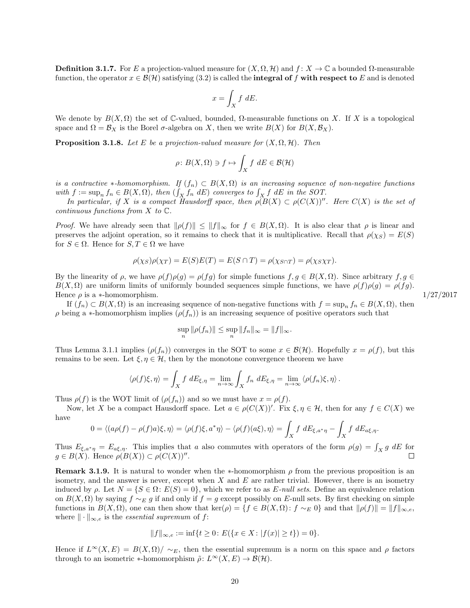**Definition 3.1.7.** For E a projection-valued measure for  $(X, \Omega, \mathcal{H})$  and  $f: X \to \mathbb{C}$  a bounded  $\Omega$ -measurable function, the operator  $x \in \mathcal{B}(\mathcal{H})$  satisfying [\(3.2\)](#page-19-1) is called the **integral of f** with respect to E and is denoted

$$
x = \int_X f \, dE.
$$

We denote by  $B(X, \Omega)$  the set of C-valued, bounded,  $\Omega$ -measurable functions on X. If X is a topological space and  $\Omega = \mathcal{B}_X$  is the Borel  $\sigma$ -algebra on X, then we write  $B(X)$  for  $B(X, \mathcal{B}_X)$ .

<span id="page-20-0"></span>**Proposition 3.1.8.** Let E be a projection-valued measure for  $(X, \Omega, \mathcal{H})$ . Then

$$
\rho\colon B(X,\Omega)\ni f\mapsto \int_X f\ dE\in\mathcal{B}(\mathcal{H})
$$

is a contractive \*-homomorphism. If  $(f_n) \subset B(X, \Omega)$  is an increasing sequence of non-negative functions with  $f := \sup_n f_n \in B(X, \Omega)$ , then  $(\int_X f_n \, dE)$  converges to  $\int_X f \, dE$  in the SOT.

In particular, if X is a compact Hausdorff space, then  $\rho(B(X) \subset \rho(C(X))$ ". Here  $C(X)$  is the set of continuous functions from  $X$  to  $\mathbb{C}$ .

*Proof.* We have already seen that  $\|\rho(f)\| \leq \|f\|_{\infty}$  for  $f \in B(X, \Omega)$ . It is also clear that  $\rho$  is linear and preserves the adjoint operation, so it remains to check that it is multiplicative. Recall that  $\rho(\chi_S) = E(S)$ for  $S \in \Omega$ . Hence for  $S, T \in \Omega$  we have

$$
\rho(\chi_S)\rho(\chi_T) = E(S)E(T) = E(S \cap T) = \rho(\chi_{S \cap T}) = \rho(\chi_S \chi_T).
$$

By the linearity of  $\rho$ , we have  $\rho(f)\rho(g) = \rho(fg)$  for simple functions  $f, g \in B(X, \Omega)$ . Since arbitrary  $f, g \in B(X, \Omega)$  $B(X, \Omega)$  are uniform limits of uniformly bounded sequences simple functions, we have  $\rho(f)\rho(g) = \rho(fg)$ . Hence  $\rho$  is a \*-homomorphism. 1/27/2017

If  $(f_n) \subset B(X, \Omega)$  is an increasing sequence of non-negative functions with  $f = \sup_n f_n \in B(X, \Omega)$ , then  $\rho$  being a \*-homomorphism implies  $(\rho(f_n))$  is an increasing sequence of positive operators such that

$$
\sup_n \|\rho(f_n)\| \le \sup_n \|f_n\|_{\infty} = \|f\|_{\infty}.
$$

Thus Lemma [3.1.1](#page-18-3) implies  $(\rho(f_n))$  converges in the SOT to some  $x \in \mathcal{B}(\mathcal{H})$ . Hopefully  $x = \rho(f)$ , but this remains to be seen. Let  $\xi, \eta \in \mathcal{H}$ , then by the monotone convergence theorem we have

$$
\langle \rho(f)\xi, \eta \rangle = \int_X f \, dE_{\xi, \eta} = \lim_{n \to \infty} \int_X f_n \, dE_{\xi, \eta} = \lim_{n \to \infty} \langle \rho(f_n)\xi, \eta \rangle.
$$

Thus  $\rho(f)$  is the WOT limit of  $(\rho(f_n))$  and so we must have  $x = \rho(f)$ .

Now, let X be a compact Hausdorff space. Let  $a \in \rho(C(X))'$ . Fix  $\xi, \eta \in \mathcal{H}$ , then for any  $f \in C(X)$  we have

$$
0 = \langle (a\rho(f) - \rho(f)a)\xi, \eta \rangle = \langle \rho(f)\xi, a^*\eta \rangle - \langle \rho(f)(a\xi), \eta \rangle = \int_X f \, dE_{\xi, a^*\eta} - \int_X f \, dE_{a\xi, \eta}.
$$

Thus  $E_{\xi,a^*\eta} = E_{a\xi,\eta}$ . This implies that a also commutes with operators of the form  $\rho(g) = \int_X g \, dE$  for  $g \in B(X)$ . Hence  $\rho(B(X)) \subset \rho(C(X))''$ .  $\Box$ 

**Remark 3.1.9.** It is natural to wonder when the  $*$ -homomorphism  $\rho$  from the previous proposition is an isometry, and the answer is never, except when  $X$  and  $E$  are rather trivial. However, there is an isometry induced by  $\rho$ . Let  $N = \{S \in \Omega : E(S) = 0\}$ , which we refer to as E-null sets. Define an equivalence relation on  $B(X, \Omega)$  by saying  $f \sim_E g$  if and only if  $f = g$  except possibly on E-null sets. By first checking on simple functions in  $B(X, \Omega)$ , one can then show that ker( $\rho$ ) = {f ∈ B(X,  $\Omega$ ): f ~E 0} and that  $\|\rho(f)\| = \|f\|_{\infty, \epsilon}$ , where  $\|\cdot\|_{\infty,e}$  is the *essential supremum* of f:

$$
||f||_{\infty,e} := \inf\{t \ge 0 \colon E(\{x \in X : |f(x)| \ge t\}) = 0\}.
$$

Hence if  $L^{\infty}(X, E) = B(X, \Omega)/\sim_E$ , then the essential supremum is a norm on this space and  $\rho$  factors through to an isometric  $\ast$ -homomorphism  $\tilde{\rho}: L^{\infty}(X, E) \to \mathcal{B}(\mathcal{H})$ .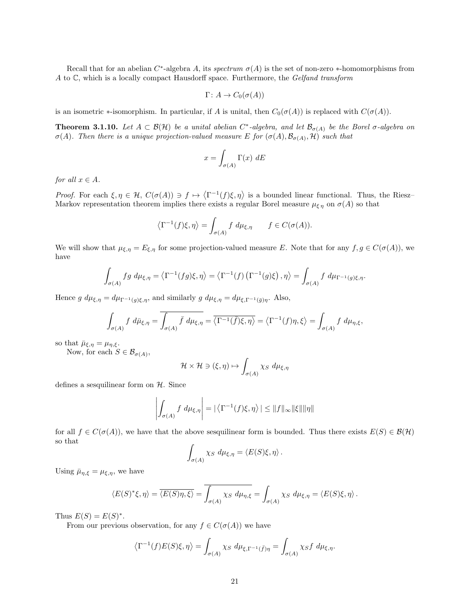Recall that for an abelian  $C^*$ -algebra A, its spectrum  $\sigma(A)$  is the set of non-zero \*-homomorphisms from A to C, which is a locally compact Hausdorff space. Furthermore, the Gelfand transform

$$
\Gamma\colon A\to C_0(\sigma(A))
$$

is an isometric  $\ast$ -isomorphism. In particular, if A is unital, then  $C_0(\sigma(A))$  is replaced with  $C(\sigma(A))$ .

<span id="page-21-0"></span>**Theorem 3.1.10.** Let  $A \subset \mathcal{B}(\mathcal{H})$  be a unital abelian C<sup>\*</sup>-algebra, and let  $\mathcal{B}_{\sigma(A)}$  be the Borel  $\sigma$ -algebra on  $\sigma(A)$ . Then there is a unique projection-valued measure E for  $(\sigma(A), \mathcal{B}_{\sigma(A)}, \mathcal{H})$  such that

$$
x = \int_{\sigma(A)} \Gamma(x) \, dE
$$

for all  $x \in A$ .

Proof. For each  $\xi, \eta \in \mathcal{H}$ ,  $C(\sigma(A)) \ni f \mapsto \langle \Gamma^{-1}(f)\xi, \eta \rangle$  is a bounded linear functional. Thus, the Riesz-Markov representation theorem implies there exists a regular Borel measure  $\mu_{\xi\eta}$  on  $\sigma(A)$  so that

$$
\left\langle \Gamma^{-1}(f)\xi, \eta \right\rangle = \int_{\sigma(A)} f \, d\mu_{\xi, \eta} \qquad f \in C(\sigma(A)).
$$

We will show that  $\mu_{\xi,\eta} = E_{\xi,\eta}$  for some projection-valued measure E. Note that for any  $f, g \in C(\sigma(A))$ , we have

$$
\int_{\sigma(A)} fg \ d\mu_{\xi,\eta} = \left\langle \Gamma^{-1}(fg)\xi, \eta \right\rangle = \left\langle \Gamma^{-1}(f) \left( \Gamma^{-1}(g)\xi \right), \eta \right\rangle = \int_{\sigma(A)} f \ d\mu_{\Gamma^{-1}(g)\xi,\eta}.
$$

Hence  $g \, d\mu_{\xi,\eta} = d\mu_{\Gamma^{-1}(g)\xi,\eta}$ , and similarly  $g \, d\mu_{\xi,\eta} = d\mu_{\xi,\Gamma^{-1}(\bar{g})\eta}$ . Also,

$$
\int_{\sigma(A)} f \ d\bar{\mu}_{\xi,\eta} = \overline{\int_{\sigma(A)} \bar{f} \ d\mu_{\xi,\eta}} = \overline{\langle \Gamma^{-1}(\bar{f})\xi, \eta \rangle} = \langle \Gamma^{-1}(f)\eta, \xi \rangle = \int_{\sigma(A)} f \ d\mu_{\eta,\xi},
$$

so that  $\bar{\mu}_{\xi,\eta} = \mu_{\eta,\xi}$ .

Now, for each  $S \in \mathcal{B}_{\sigma(A)}$ ,

$$
\mathcal{H} \times \mathcal{H} \ni (\xi, \eta) \mapsto \int_{\sigma(A)} \chi_S \ d\mu_{\xi, \eta}
$$

defines a sesquilinear form on  $H$ . Since

$$
\left| \int_{\sigma(A)} f \ d\mu_{\xi,\eta} \right| = |\langle \Gamma^{-1}(f)\xi, \eta \rangle| \leq ||f||_{\infty} ||\xi|| ||\eta||
$$

for all  $f \in C(\sigma(A))$ , we have that the above sesquilinear form is bounded. Thus there exists  $E(S) \in \mathcal{B}(\mathcal{H})$ so that

$$
\int_{\sigma(A)} \chi_S \, d\mu_{\xi,\eta} = \langle E(S)\xi, \eta \rangle.
$$

Using  $\bar{\mu}_{\eta,\xi} = \mu_{\xi,\eta}$ , we have

$$
\langle E(S)^{*}\xi, \eta \rangle = \overline{\langle E(S)\eta, \xi \rangle} = \overline{\int_{\sigma(A)} \chi_S \, d\mu_{\eta, \xi}} = \int_{\sigma(A)} \chi_S \, d\mu_{\xi, \eta} = \langle E(S)\xi, \eta \rangle.
$$

Thus  $E(S) = E(S)^*$ .

From our previous observation, for any  $f \in C(\sigma(A))$  we have

$$
\left\langle \Gamma^{-1}(f)E(S)\xi, \eta \right\rangle = \int_{\sigma(A)} \chi_S \ d\mu_{\xi, \Gamma^{-1}(\bar{f})\eta} = \int_{\sigma(A)} \chi_S f \ d\mu_{\xi, \eta}.
$$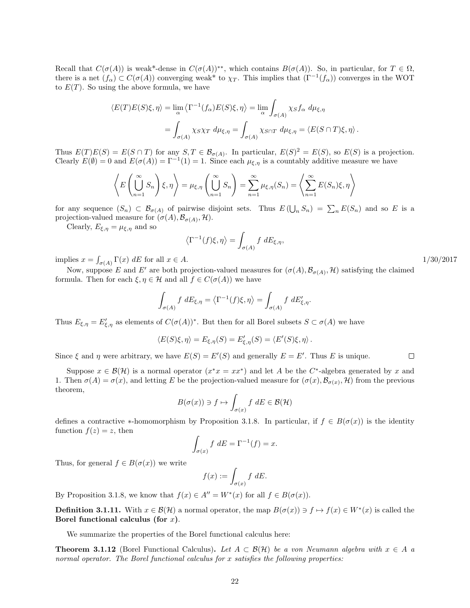Recall that  $C(\sigma(A))$  is weak<sup>\*</sup>-dense in  $C(\sigma(A))^{**}$ , which contains  $B(\sigma(A))$ . So, in particular, for  $T \in \Omega$ , there is a net  $(f_\alpha) \subset C(\sigma(A))$  converging weak<sup>\*</sup> to  $\chi_T$ . This implies that  $(\Gamma^{-1}(f_\alpha))$  converges in the WOT to  $E(T)$ . So using the above formula, we have

$$
\langle E(T)E(S)\xi, \eta \rangle = \lim_{\alpha} \langle \Gamma^{-1}(f_{\alpha})E(S)\xi, \eta \rangle = \lim_{\alpha} \int_{\sigma(A)} \chi_S f_{\alpha} d\mu_{\xi, \eta}
$$

$$
= \int_{\sigma(A)} \chi_S \chi_T d\mu_{\xi, \eta} = \int_{\sigma(A)} \chi_{S \cap T} d\mu_{\xi, \eta} = \langle E(S \cap T)\xi, \eta \rangle.
$$

Thus  $E(T)E(S) = E(S \cap T)$  for any  $S, T \in \mathcal{B}_{\sigma(A)}$ . In particular,  $E(S)^2 = E(S)$ , so  $E(S)$  is a projection. Clearly  $E(\emptyset) = 0$  and  $E(\sigma(A)) = \Gamma^{-1}(1) = 1$ . Since each  $\mu_{\xi,\eta}$  is a countably additive measure we have

$$
\left\langle E\left(\bigcup_{n=1}^{\infty} S_n\right) \xi, \eta \right\rangle = \mu_{\xi, \eta} \left(\bigcup_{n=1}^{\infty} S_n\right) = \sum_{n=1}^{\infty} \mu_{\xi, \eta}(S_n) = \left\langle \sum_{n=1}^{\infty} E(S_n) \xi, \eta \right\rangle
$$

for any sequence  $(S_n) \subset \mathcal{B}_{\sigma(A)}$  of pairwise disjoint sets. Thus  $E(\bigcup_n S_n) = \sum_n E(S_n)$  and so E is a projection-valued measure for  $(\sigma(A), \mathcal{B}_{\sigma(A)}, \mathcal{H})$ .

Clearly,  $E_{\xi,\eta} = \mu_{\xi,\eta}$  and so

$$
\left\langle \Gamma^{-1}(f)\xi, \eta \right\rangle = \int_{\sigma(A)} f \, dE_{\xi, \eta},
$$

implies  $x = \int_{\sigma(A)} \Gamma(x) dE$  for all  $x \in A$ . 1/30/2017

Now, suppose E and E' are both projection-valued measures for  $(\sigma(A), \mathcal{B}_{\sigma(A)}, \mathcal{H})$  satisfying the claimed formula. Then for each  $\xi, \eta \in \mathcal{H}$  and all  $f \in C(\sigma(A))$  we have

$$
\int_{\sigma(A)} f \, dE_{\xi,\eta} = \left\langle \Gamma^{-1}(f)\xi, \eta \right\rangle = \int_{\sigma(A)} f \, dE'_{\xi,\eta}.
$$

Thus  $E_{\xi,\eta} = E'_{\xi,\eta}$  as elements of  $C(\sigma(A))^*$ . But then for all Borel subsets  $S \subset \sigma(A)$  we have

$$
\langle E(S)\xi, \eta \rangle = E_{\xi, \eta}(S) = E'_{\xi, \eta}(S) = \langle E'(S)\xi, \eta \rangle.
$$

Since  $\xi$  and  $\eta$  were arbitrary, we have  $E(S) = E'(S)$  and generally  $E = E'$ . Thus E is unique.

Suppose  $x \in \mathcal{B}(\mathcal{H})$  is a normal operator  $(x^*x = xx^*)$  and let A be the C<sup>\*</sup>-algebra generated by x and 1. Then  $\sigma(A) = \sigma(x)$ , and letting E be the projection-valued measure for  $(\sigma(x), \mathcal{B}_{\sigma(x)}, \mathcal{H})$  from the previous theorem,

$$
B(\sigma(x)) \ni f \mapsto \int_{\sigma(x)} f \, dE \in \mathcal{B}(\mathcal{H})
$$

defines a contractive ∗-homomorphism by Proposition [3.1.8.](#page-20-0) In particular, if  $f \in B(\sigma(x))$  is the identity function  $f(z) = z$ , then

$$
\int_{\sigma(x)} f \, dE = \Gamma^{-1}(f) = x.
$$

Thus, for general  $f \in B(\sigma(x))$  we write

$$
f(x) := \int_{\sigma(x)} f \, dE.
$$

By Proposition [3.1.8,](#page-20-0) we know that  $f(x) \in A'' = W^*(x)$  for all  $f \in B(\sigma(x))$ .

**Definition 3.1.11.** With  $x \in \mathcal{B}(\mathcal{H})$  a normal operator, the map  $B(\sigma(x)) \ni f \mapsto f(x) \in W^*(x)$  is called the Borel functional calculus (for  $x$ ).

We summarize the properties of the Borel functional calculus here:

**Theorem 3.1.12** (Borel Functional Calculus). Let  $A \subset \mathcal{B}(\mathcal{H})$  be a von Neumann algebra with  $x \in A$  a normal operator. The Borel functional calculus for x satisfies the following properties: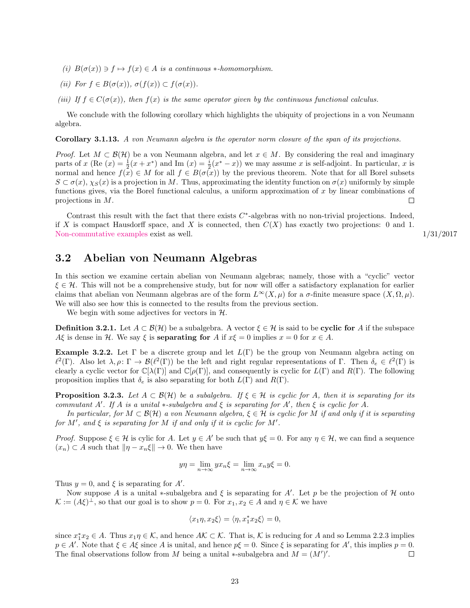- (i)  $B(\sigma(x)) \ni f \mapsto f(x) \in A$  is a continuous \*-homomorphism.
- (ii) For  $f \in B(\sigma(x)), \sigma(f(x)) \subset f(\sigma(x)).$
- (iii) If  $f \in C(\sigma(x))$ , then  $f(x)$  is the same operator given by the continuous functional calculus.

We conclude with the following corollary which highlights the ubiquity of projections in a von Neumann algebra.

<span id="page-23-4"></span>Corollary 3.1.13. A von Neumann algebra is the operator norm closure of the span of its projections.

*Proof.* Let  $M \subset \mathcal{B}(\mathcal{H})$  be a von Neumann algebra, and let  $x \in M$ . By considering the real and imaginary parts of x (Re  $(x) = \frac{1}{2}(x + x^*)$  and Im  $(x) = \frac{i}{2}(x^* - x)$ ) we may assume x is self-adjoint. In particular, x is normal and hence  $f(x) \in M$  for all  $f \in B(\sigma(x))$  by the previous theorem. Note that for all Borel subsets  $S \subset \sigma(x)$ ,  $\chi_S(x)$  is a projection in M. Thus, approximating the identity function on  $\sigma(x)$  uniformly by simple functions gives, via the Borel functional calculus, a uniform approximation of  $x$  by linear combinations of projections in M.  $\Box$ 

Contrast this result with the fact that there exists  $C^*$ -algebras with no non-trivial projections. Indeed, if X is compact Hausdorff space, and X is connected, then  $C(X)$  has exactly two projections: 0 and 1. [Non-commutative examples](http://www.theta.ro/jot/archive/1981-005-001/1981-005-001-006.pdf) exist as well. 1/31/2017

#### <span id="page-23-0"></span>3.2 Abelian von Neumann Algebras

In this section we examine certain abelian von Neumann algebras; namely, those with a "cyclic" vector  $\xi \in \mathcal{H}$ . This will not be a comprehensive study, but for now will offer a satisfactory explanation for earlier claims that abelian von Neumann algebras are of the form  $L^{\infty}(X,\mu)$  for a  $\sigma$ -finite measure space  $(X,\Omega,\mu)$ . We will also see how this is connected to the results from the previous section.

We begin with some adjectives for vectors in  $H$ .

<span id="page-23-1"></span>**Definition 3.2.1.** Let  $A \subset \mathcal{B}(\mathcal{H})$  be a subalgebra. A vector  $\xi \in \mathcal{H}$  is said to be **cyclic for** A if the subspace Aξ is dense in H. We say  $\xi$  is separating for A if  $x\xi = 0$  implies  $x = 0$  for  $x \in A$ .

<span id="page-23-3"></span>**Example 3.2.2.** Let  $\Gamma$  be a discrete group and let  $L(\Gamma)$  be the group von Neumann algebra acting on  $\ell^2(\Gamma)$ . Also let  $\lambda, \rho \colon \Gamma \to \mathcal{B}(\ell^2(\Gamma))$  be the left and right regular representations of Γ. Then  $\delta_e \in \ell^2(\Gamma)$  is clearly a cyclic vector for  $\mathbb{C}[\lambda(\Gamma)]$  and  $\mathbb{C}[\rho(\Gamma)]$ , and consequently is cyclic for  $L(\Gamma)$  and  $R(\Gamma)$ . The following proposition implies that  $\delta_e$  is also separating for both  $L(\Gamma)$  and  $R(\Gamma)$ .

<span id="page-23-2"></span>**Proposition 3.2.3.** Let  $A \subset \mathcal{B}(\mathcal{H})$  be a subalgebra. If  $\xi \in \mathcal{H}$  is cyclic for A, then it is separating for its commutant A'. If A is a unital  $*$ -subalgebra and  $\xi$  is separating for A', then  $\xi$  is cyclic for A.

In particular, for  $M \subset \mathcal{B}(\mathcal{H})$  a von Neumann algebra,  $\xi \in \mathcal{H}$  is cyclic for M if and only if it is separating for M', and  $\xi$  is separating for M if and only if it is cyclic for M'.

*Proof.* Suppose  $\xi \in \mathcal{H}$  is cylic for A. Let  $y \in A'$  be such that  $y\xi = 0$ . For any  $\eta \in \mathcal{H}$ , we can find a sequence  $(x_n) \subset A$  such that  $\|\eta - x_n\xi\| \to 0$ . We then have

$$
y\eta = \lim_{n \to \infty} yx_n\xi = \lim_{n \to \infty} x_n y\xi = 0.
$$

Thus  $y = 0$ , and  $\xi$  is separating for A'.

Now suppose A is a unital \*-subalgebra and  $\xi$  is separating for A'. Let p be the projection of H onto  $\mathcal{K} := (A\xi)^{\perp}$ , so that our goal is to show  $p = 0$ . For  $x_1, x_2 \in A$  and  $\eta \in \mathcal{K}$  we have

$$
\langle x_1\eta, x_2\xi\rangle = \langle \eta, x_1^*x_2\xi\rangle = 0,
$$

since  $x_1^*x_2 \in A$ . Thus  $x_1\eta \in \mathcal{K}$ , and hence  $A\mathcal{K} \subset \mathcal{K}$ . That is,  $\mathcal{K}$  is reducing for A and so Lemma [2.2.3](#page-9-1) implies  $p \in A'$ . Note that  $\xi \in A\xi$  since A is unital, and hence  $p\xi = 0$ . Since  $\xi$  is separating for A', this implies  $p = 0$ . The final observations follow from M being a unital \*-subalgebra and  $M = (M')'$ .  $\Box$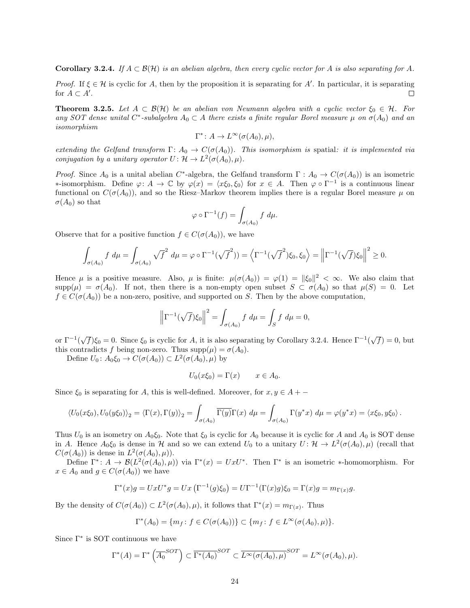<span id="page-24-0"></span>**Corollary 3.2.4.** If  $A \subset \mathcal{B}(\mathcal{H})$  is an abelian algebra, then every cyclic vector for A is also separating for A.

Proof. If  $\xi \in \mathcal{H}$  is cyclic for A, then by the proposition it is separating for A'. In particular, it is separating for  $A \subset A'$ .  $\Box$ 

<span id="page-24-1"></span>**Theorem 3.2.5.** Let  $A \subset \mathcal{B}(\mathcal{H})$  be an abelian von Neumann algebra with a cyclic vector  $\xi_0 \in \mathcal{H}$ . For any SOT dense unital C<sup>\*</sup>-subalgebra  $A_0 \subset A$  there exists a finite regular Borel measure  $\mu$  on  $\sigma(A_0)$  and an isomorphism

$$
\Gamma^* \colon A \to L^\infty(\sigma(A_0), \mu),
$$

extending the Gelfand transform  $\Gamma: A_0 \to C(\sigma(A_0))$ . This isomorphism is spatial: it is implemented via conjugation by a unitary operator  $U: \mathcal{H} \to L^2(\sigma(A_0), \mu)$ .

*Proof.* Since  $A_0$  is a unital abelian C<sup>\*</sup>-algebra, the Gelfand transform  $\Gamma: A_0 \to C(\sigma(A_0))$  is an isometric  $\ast$ -isomorphism. Define  $\varphi: A \to \mathbb{C}$  by  $\varphi(x) = \langle x\xi_0, \xi_0 \rangle$  for  $x \in A$ . Then  $\varphi \circ \Gamma^{-1}$  is a continuous linear functional on  $C(\sigma(A_0))$ , and so the Riesz–Markov theorem implies there is a regular Borel measure  $\mu$  on  $\sigma(A_0)$  so that

$$
\varphi \circ \Gamma^{-1}(f) = \int_{\sigma(A_0)} f \, d\mu.
$$

Observe that for a positive function  $f \in C(\sigma(A_0))$ , we have

$$
\int_{\sigma(A_0)} f \, d\mu = \int_{\sigma(A_0)} \sqrt{f}^2 \, d\mu = \varphi \circ \Gamma^{-1}(\sqrt{f}^2) = \left\langle \Gamma^{-1}(\sqrt{f}^2)\xi_0, \xi_0 \right\rangle = \left\| \Gamma^{-1}(\sqrt{f})\xi_0 \right\|^2 \ge 0.
$$

Hence  $\mu$  is a positive measure. Also,  $\mu$  is finite:  $\mu(\sigma(A_0)) = \varphi(1) = ||\xi_0||^2 < \infty$ . We also claim that  $\text{supp}(\mu) = \sigma(A_0)$ . If not, then there is a non-empty open subset  $S \subset \sigma(A_0)$  so that  $\mu(S) = 0$ . Let  $f \in C(\sigma(A_0))$  be a non-zero, positive, and supported on S. Then by the above computation,

$$
\left\| \Gamma^{-1}(\sqrt{f}) \xi_0 \right\|^2 = \int_{\sigma(A_0)} f \, d\mu = \int_S f \, d\mu = 0,
$$

or  $\Gamma^{-1}(\sqrt{f})\xi_0 = 0$ . Since  $\xi_0$  is cyclic for A, it is also separating by Corollary [3.2.4.](#page-24-0) Hence  $\Gamma^{-1}(\sqrt{f}) = 0$ , but this contradicts f being non-zero. Thus  $\text{supp}(\mu) = \sigma(A_0)$ .

Define  $U_0: A_0 \xi_0 \to C(\sigma(A_0)) \subset L^2(\sigma(A_0), \mu)$  by

$$
U_0(x\xi_0) = \Gamma(x) \qquad x \in A_0.
$$

Since  $\xi_0$  is separating for A, this is well-defined. Moreover, for  $x, y \in A + -$ 

$$
\langle U_0(x\xi_0), U_0(y\xi_0)\rangle_2 = \langle \Gamma(x), \Gamma(y)\rangle_2 = \int_{\sigma(A_0)} \overline{\Gamma(y)}\Gamma(x) d\mu = \int_{\sigma(A_0)} \Gamma(y^*x) d\mu = \varphi(y^*x) = \langle x\xi_0, y\xi_0\rangle.
$$

Thus  $U_0$  is an isometry on  $A_0 \xi_0$ . Note that  $\xi_0$  is cyclic for  $A_0$  because it is cyclic for A and  $A_0$  is SOT dense in A. Hence  $A_0 \xi_0$  is dense in H and so we can extend  $U_0$  to a unitary  $U: \mathcal{H} \to L^2(\sigma(A_0), \mu)$  (recall that  $C(\sigma(A_0))$  is dense in  $L^2(\sigma(A_0), \mu)$ .

Define  $\Gamma^*: A \to \mathcal{B}(L^2(\sigma(A_0), \mu))$  via  $\Gamma^*(x) = UxU^*$ . Then  $\Gamma^*$  is an isometric \*-homomorphism. For  $x \in A_0$  and  $g \in C(\sigma(A_0))$  we have

$$
\Gamma^*(x)g = UxU^*g = Ux\left(\Gamma^{-1}(g)\xi_0\right) = U\Gamma^{-1}(\Gamma(x)g)\xi_0 = \Gamma(x)g = m_{\Gamma(x)}g.
$$

By the density of  $C(\sigma(A_0)) \subset L^2(\sigma(A_0), \mu)$ , it follows that  $\Gamma^*(x) = m_{\Gamma(x)}$ . Thus

$$
\Gamma^*(A_0) = \{m_f \colon f \in C(\sigma(A_0))\} \subset \{m_f \colon f \in L^{\infty}(\sigma(A_0), \mu)\}.
$$

Since Γ<sup>∗</sup> is SOT continuous we have

$$
\Gamma^*(A) = \Gamma^*\left(\overline{A_0}^{SOT}\right) \subset \overline{\Gamma^*(A_0)}^{SOT} \subset \overline{L^\infty(\sigma(A_0), \mu)}^{SOT} = L^\infty(\sigma(A_0), \mu).
$$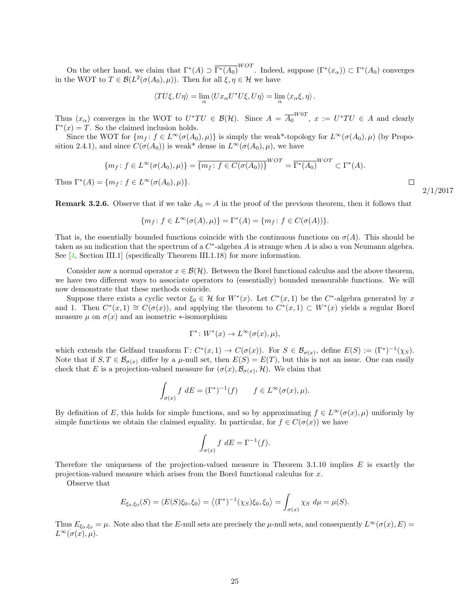On the other hand, we claim that  $\Gamma^*(A) \supset \overline{\Gamma^*(A_0)}^{WOT}$ . Indeed, suppose  $(\Gamma^*(x_\alpha)) \subset \Gamma^*(A_0)$  converges in the WOT to  $T \in \mathcal{B}(L^2(\sigma(A_0), \mu))$ . Then for all  $\xi, \eta \in \mathcal{H}$  we have

$$
\langle TU\xi, U\eta \rangle = \lim_{\alpha} \langle Ux_{\alpha}U^*U\xi, U\eta \rangle = \lim_{\alpha} \langle x_{\alpha}\xi, \eta \rangle.
$$

Thus  $(x_{\alpha})$  converges in the WOT to  $U^*TU \in \mathcal{B}(\mathcal{H})$ . Since  $A = \overline{A_0}^{W0T}$ ,  $x := U^*TU \in A$  and clearly  $\Gamma^*(x) = T$ . So the claimed inclusion holds.

Since the WOT for  $\{m_f : f \in L^\infty(\sigma(A_0), \mu)\}\$ is simply the weak\*-topology for  $L^\infty(\sigma(A_0), \mu)$  (by Propo-sition [2.4.1\)](#page-12-1), and since  $C(\sigma(A_0))$  is weak<sup>\*</sup> dense in  $L^{\infty}(\sigma(A_0), \mu)$ , we have

$$
\{m_f \colon f \in L^{\infty}(\sigma(A_0), \mu)\} = \overline{\{m_f \colon f \in C(\sigma(A_0))\}}^{WOT} = \overline{\Gamma^*(A_0)}^{WOT} \subset \Gamma^*(A).
$$
  
Thus  $\Gamma^*(A) = \{m_f \colon f \in L^{\infty}(\sigma(A_0), \mu)\}.$ 

**Remark 3.2.6.** Observe that if we take  $A_0 = A$  in the proof of the previous theorem, then it follows that

$$
\{m_f \colon f \in L^{\infty}(\sigma(A), \mu)\} = \Gamma^*(A) = \{m_f \colon f \in C(\sigma(A))\}.
$$

That is, the essentially bounded functions coincide with the continuous functions on  $\sigma(A)$ . This should be taken as an indication that the spectrum of a  $C^*$ -algebra A is strange when A is also a von Neumann algebra. See [\[4,](#page-70-2) Section III.1] (specifically Theorem III.1.18) for more information.

Consider now a normal operator  $x \in \mathcal{B}(\mathcal{H})$ . Between the Borel functional calculus and the above theorem, we have two different ways to associate operators to (essentially) bounded measurable functions. We will now demonstrate that these methods coincide.

Suppose there exists a cyclic vector  $\xi_0 \in \mathcal{H}$  for  $W^*(x)$ . Let  $C^*(x,1)$  be the  $C^*$ -algebra generated by x and 1. Then  $C^*(x,1) \cong C(\sigma(x))$ , and applying the theorem to  $C^*(x,1) \subset W^*(x)$  yields a regular Borel measure  $\mu$  on  $\sigma(x)$  and an isometric  $\ast$ -isomorphism

$$
\Gamma^* \colon W^*(x) \to L^\infty(\sigma(x), \mu),
$$

which extends the Gelfand transform  $\Gamma: C^*(x,1) \to C(\sigma(x))$ . For  $S \in \mathcal{B}_{\sigma(x)}$ , define  $E(S) := (\Gamma^*)^{-1}(\chi_S)$ . Note that if  $S, T \in \mathcal{B}_{\sigma(x)}$  differ by a  $\mu$ -null set, then  $E(S) = E(T)$ , but this is not an issue. One can easily check that E is a projection-valued measure for  $(\sigma(x), \mathcal{B}_{\sigma(x)}, \mathcal{H})$ . We claim that

$$
\int_{\sigma(x)} f \, dE = (\Gamma^*)^{-1}(f) \qquad f \in L^{\infty}(\sigma(x), \mu).
$$

By definition of E, this holds for simple functions, and so by approximating  $f \in L^{\infty}(\sigma(x), \mu)$  uniformly by simple functions we obtain the claimed equality. In particular, for  $f \in C(\sigma(x))$  we have

$$
\int_{\sigma(x)} f \, dE = \Gamma^{-1}(f).
$$

Therefore the uniqueness of the projection-valued measure in Theorem [3.1.10](#page-21-0) implies  $E$  is exactly the projection-valued measure which arises from the Borel functional calculus for x.

Observe that

$$
E_{\xi_0,\xi_0}(S) = \langle E(S)\xi_0,\xi_0\rangle = \langle (\Gamma^*)^{-1}(\chi_S)\xi_0,\xi_0\rangle = \int_{\sigma(x)} \chi_S d\mu = \mu(S).
$$

Thus  $E_{\xi_0,\xi_0} = \mu$ . Note also that the E-null sets are precisely the  $\mu$ -null sets, and consequently  $L^{\infty}(\sigma(x), E) =$  $L^{\infty}(\sigma(x), \mu).$ 

2/1/2017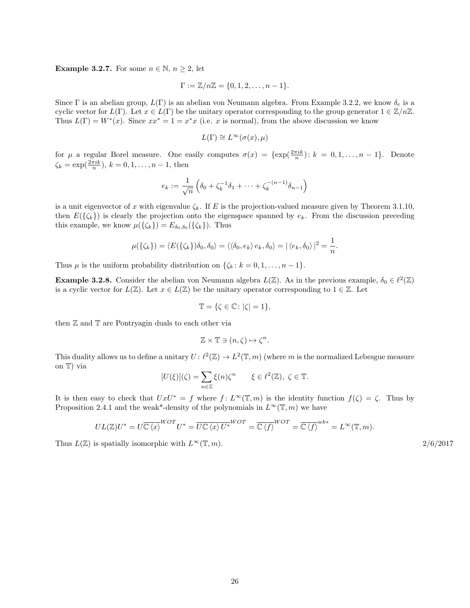**Example 3.2.7.** For some  $n \in \mathbb{N}$ ,  $n \geq 2$ , let

$$
\Gamma := \mathbb{Z}/n\mathbb{Z} = \{0, 1, 2, \dots, n-1\}.
$$

Since Γ is an abelian group,  $L(\Gamma)$  is an abelian von Neumann algebra. From Example [3.2.2,](#page-23-3) we know  $\delta_e$  is a cyclic vector for  $L(\Gamma)$ . Let  $x \in L(\Gamma)$  be the unitary operator corresponding to the group generator  $1 \in \mathbb{Z}/n\mathbb{Z}$ . Thus  $L(\Gamma) = W^*(x)$ . Since  $xx^* = 1 = x^*x$  (i.e. x is normal), from the above discussion we know

$$
L(\Gamma) \cong L^{\infty}(\sigma(x), \mu)
$$

for  $\mu$  a regular Borel measure. One easily computes  $\sigma(x) = {\exp(\frac{2\pi ik}{n}) : k = 0, 1, ..., n-1}.$  Denote  $\zeta_k = \exp(\frac{2\pi i k}{n}), k = 0, 1, \dots, n-1$ , then

$$
e_k := \frac{1}{\sqrt{n}} \left( \delta_0 + \zeta_k^{-1} \delta_1 + \dots + \zeta_k^{-(n-1)} \delta_{n-1} \right)
$$

is a unit eigenvector of x with eigenvalue  $\zeta_k$ . If E is the projection-valued measure given by Theorem [3.1.10,](#page-21-0) then  $E({\{\zeta_k\}})$  is clearly the projection onto the eigenspace spanned by  $e_k$ . From the discussion preceding this example, we know  $\mu({\{\zeta_k\}}) = E_{\delta_0, \delta_0}({\{\zeta_k\}})$ . Thus

$$
\mu(\{\zeta_k\}) = \langle E(\{\zeta_k\})\delta_0, \delta_0\rangle = \langle \langle \delta_0, e_k \rangle e_k, \delta_0 \rangle = |\langle e_k, \delta_0 \rangle|^2 = \frac{1}{n}.
$$

Thus  $\mu$  is the uniform probability distribution on  $\{\zeta_k : k = 0, 1, \ldots, n-1\}.$ 

**Example 3.2.8.** Consider the abelian von Neumann algebra  $L(\mathbb{Z})$ . As in the previous example,  $\delta_0 \in \ell^2(\mathbb{Z})$ is a cyclic vector for  $L(\mathbb{Z})$ . Let  $x \in L(\mathbb{Z})$  be the unitary operator corresponding to  $1 \in \mathbb{Z}$ . Let

$$
\mathbb{T} = \{ \zeta \in \mathbb{C} \colon |\zeta| = 1 \},
$$

then Z and T are Pontryagin duals to each other via

$$
\mathbb{Z} \times \mathbb{T} \ni (n, \zeta) \mapsto \zeta^n.
$$

This duality allows us to define a unitary  $U: \ell^2(\mathbb{Z}) \to L^2(\mathbb{T}, m)$  (where m is the normalized Lebesgue measure on T) via

$$
[U(\xi)](\zeta) = \sum_{n \in \mathbb{Z}} \xi(n)\zeta^n \qquad \xi \in \ell^2(\mathbb{Z}), \ \zeta \in \mathbb{T}.
$$

It is then easy to check that  $UxU^* = f$  where  $f: L^\infty(\mathbb{T}, m)$  is the identity function  $f(\zeta) = \zeta$ . Thus by Proposition [2.4.1](#page-12-1) and the weak\*-density of the polynomials in  $L^{\infty}(\mathbb{T},m)$  we have

$$
UL(\mathbb{Z})U^* = U\overline{\mathbb{C}\langle x \rangle}^{WOT}U^* = \overline{U\mathbb{C}\langle x \rangle U^*}^{WOT} = \overline{\mathbb{C}\langle f \rangle}^{WOT} = \overline{\mathbb{C}\langle f \rangle}^{wk*} = L^{\infty}(\mathbb{T}, m).
$$

Thus  $L(\mathbb{Z})$  is spatially isomorphic with  $L^{\infty}(\mathbb{T}, m)$ . 2/6/2017

26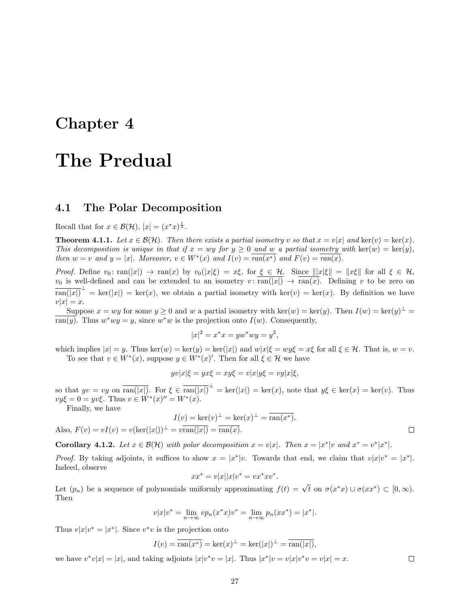### <span id="page-27-0"></span>Chapter 4

### The Predual

#### <span id="page-27-1"></span>4.1 The Polar Decomposition

Recall that for  $x \in \mathcal{B}(\mathcal{H}), |x| = (x^*x)^{\frac{1}{2}}.$ 

**Theorem 4.1.1.** Let  $x \in \mathcal{B}(\mathcal{H})$ . Then there exists a partial isometry v so that  $x = v|x|$  and ker(v) = ker(x). This decomposition is unique in that if  $x = wy$  for  $y \ge 0$  and w a partial isometry with ker(w) = ker(y), then  $w = v$  and  $y = |x|$ . Moreover,  $v \in W^*(x)$  and  $I(v) = \overline{ran(x^*)}$  and  $F(v) = \overline{ran(x)}$ .

Proof. Define  $v_0: \text{ran}(|x|) \to \text{ran}(x)$  by  $v_0(|x|\xi) = x\xi$ , for  $\xi \in \mathcal{H}$ . Since  $|||x|\xi|| = ||x\xi||$  for all  $\xi \in \mathcal{H}$ ,  $v_0$  is well-defined and can be extended to an isometry  $v: \overline{ran(|x|)} \to \overline{ran(x)}$ . Defining v to be zero on  $\overline{\text{ran}(|x|)}^{\perp} = \text{ker}(|x|) = \text{ker}(x)$ , we obtain a partial isometry with  $\text{ker}(v) = \text{ker}(x)$ . By definition we have  $v|x| = x.$ 

Suppose  $x = wy$  for some  $y \ge 0$  and w a partial isometry with  $\ker(w) = \ker(y)$ . Then  $I(w) = \ker(y)^{\perp} =$  $\overline{\text{ran}(y)}$ . Thus  $w^*wy = y$ , since  $w^*w$  is the projection onto  $I(w)$ . Consequently,

$$
|x|^2 = x^*x = yw^*wy = y^2,
$$

which implies  $|x| = y$ . Thus  $\ker(w) = \ker(y) = \ker(|x|)$  and  $w|x|\xi = wy\xi = x\xi$  for all  $\xi \in \mathcal{H}$ . That is,  $w = v$ . To see that  $v \in W^*(x)$ , suppose  $y \in W^*(x)'$ . Then for all  $\xi \in \mathcal{H}$  we have

$$
yv|x|\xi = yx\xi = xy\xi = v|x|y\xi = vy|x|\xi,
$$

so that  $yv = vy$  on  $\overline{\text{ran}(|x|)}$ . For  $\xi \in \overline{\text{ran}(|x|)}^{\perp} = \text{ker}(|x|) = \text{ker}(x)$ , note that  $y\xi \in \text{ker}(x) = \text{ker}(v)$ . Thus  $vy\xi = 0 = yv\xi$ . Thus  $v \in W^*(x)'' = W^*(x)$ .

Finally, we have

$$
I(v) = \ker(v)^{\perp} = \ker(x)^{\perp} = \overline{\operatorname{ran}(x^*)}.
$$

Also,  $F(v) = vI(v) = v(\ker(|x|))^{\perp} = v\overline{\operatorname{ran}(|x|)} = \overline{\operatorname{ran}(x)}$ .

<span id="page-27-2"></span>**Corollary 4.1.2.** Let  $x \in \mathcal{B}(\mathcal{H})$  with polar decomposition  $x = v|x|$ . Then  $x = |x^*|v$  and  $x^* = v^*|x^*|$ .

*Proof.* By taking adjoints, it suffices to show  $x = |x^*|v$ . Towards that end, we claim that  $v|x|v^* = |x^*|$ . Indeed, observe

$$
xx^* = v|x||x|v^* = vx^*xv^*.
$$

Let  $(p_n)$  be a sequence of polynomials uniformly approximating  $f(t) = \sqrt{t}$  on  $\sigma(x^*x) \cup \sigma(xx^*) \subset [0,\infty)$ . Then

$$
v|x|v^* = \lim_{n \to \infty} vp_n(x^*x)v^* = \lim_{n \to \infty} p_n(xx^*) = |x^*|.
$$

Thus  $v|x|v^* = |x^*|$ . Since  $v^*v$  is the projection onto

$$
I(v) = \overline{\operatorname{ran}(x^*)} = \ker(x)^\perp = \ker(|x|)^\perp = \overline{\operatorname{ran}(|x|)},
$$

we have  $v^*v|x| = |x|$ , and taking adjoints  $|x|v^*v = |x|$ . Thus  $|x^*|v = v|x|v^*v = v|x| = x$ .

 $\Box$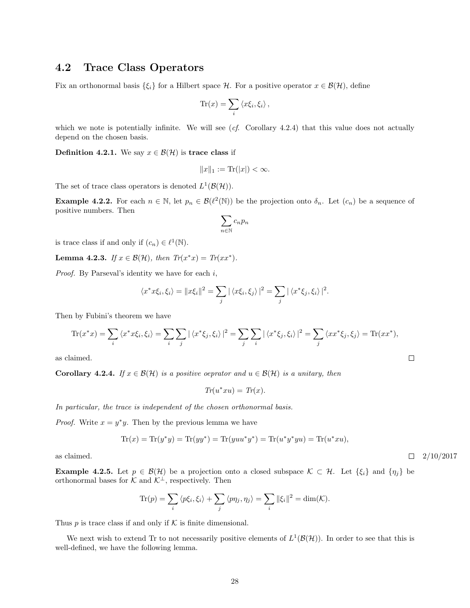#### <span id="page-28-0"></span>4.2 Trace Class Operators

Fix an orthonormal basis  $\{\xi_i\}$  for a Hilbert space H. For a positive operator  $x \in \mathcal{B}(\mathcal{H})$ , define

$$
\text{Tr}(x) = \sum_i \langle x\xi_i, \xi_i \rangle \,,
$$

which we note is potentially infinite. We will see  $(cf.$  Corollary [4.2.4\)](#page-28-1) that this value does not actually depend on the chosen basis.

**Definition 4.2.1.** We say  $x \in \mathcal{B}(\mathcal{H})$  is **trace class** if

$$
||x||_1 := \text{Tr}(|x|) < \infty.
$$

The set of trace class operators is denoted  $L^1(\mathcal{B}(\mathcal{H}))$ .

**Example 4.2.2.** For each  $n \in \mathbb{N}$ , let  $p_n \in \mathcal{B}(\ell^2(\mathbb{N}))$  be the projection onto  $\delta_n$ . Let  $(c_n)$  be a sequence of positive numbers. Then

$$
\sum_{n\in\mathbb{N}}c_np_n
$$

is trace class if and only if  $(c_n) \in \ell^1(\mathbb{N})$ .

<span id="page-28-2"></span>**Lemma 4.2.3.** If  $x \in \mathcal{B}(\mathcal{H})$ , then  $Tr(x^*x) = Tr(xx^*)$ .

*Proof.* By Parseval's identity we have for each  $i$ ,

$$
\langle x^* x \xi_i, \xi_i \rangle = ||x \xi_i||^2 = \sum_j |\langle x \xi_i, \xi_j \rangle|^2 = \sum_j |\langle x^* \xi_j, \xi_i \rangle|^2.
$$

Then by Fubini's theorem we have

$$
\text{Tr}(x^*x) = \sum_i \langle x^*x\xi_i, \xi_i \rangle = \sum_i \sum_j |\langle x^*\xi_j, \xi_i \rangle|^2 = \sum_j \sum_i |\langle x^*\xi_j, \xi_i \rangle|^2 = \sum_j \langle xx^*\xi_j, \xi_j \rangle = \text{Tr}(xx^*),
$$

as claimed.

<span id="page-28-1"></span>**Corollary 4.2.4.** If  $x \in \mathcal{B}(\mathcal{H})$  is a positive oeprator and  $u \in \mathcal{B}(\mathcal{H})$  is a unitary, then

$$
Tr(u^*xu)=Tr(x).
$$

In particular, the trace is independent of the chosen orthonormal basis.

*Proof.* Write  $x = y^*y$ . Then by the previous lemma we have

$$
Tr(x) = Tr(y^*y) = Tr(yy^*) = Tr(yuu^*y^*) = Tr(u^*y^*yu) = Tr(u^*xu),
$$

**Example 4.2.5.** Let  $p \in \mathcal{B}(\mathcal{H})$  be a projection onto a closed subspace  $\mathcal{K} \subset \mathcal{H}$ . Let  $\{\xi_i\}$  and  $\{\eta_j\}$  be orthonormal bases for  $\mathcal K$  and  $\mathcal K^{\perp},$  respectively. Then

$$
\text{Tr}(p) = \sum_{i} \langle p\xi_i, \xi_i \rangle + \sum_{j} \langle p\eta_j, \eta_j \rangle = \sum_{i} ||\xi_i||^2 = \dim(\mathcal{K}).
$$

Thus  $p$  is trace class if and only if  $K$  is finite dimensional.

We next wish to extend Tr to not necessarily positive elements of  $L^1(\mathcal{B}(\mathcal{H}))$ . In order to see that this is well-defined, we have the following lemma.

as claimed.  $\Box$  2/10/2017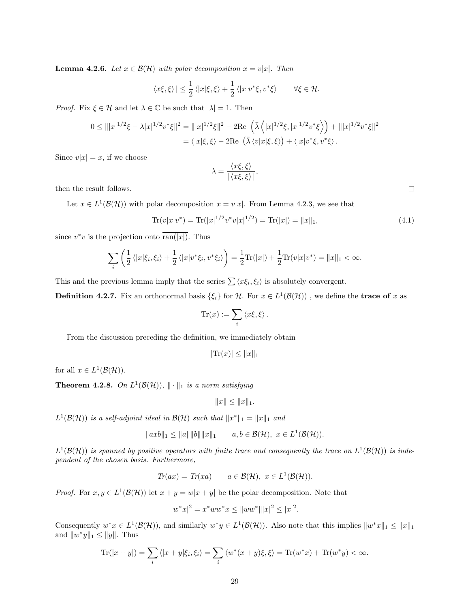**Lemma 4.2.6.** Let  $x \in \mathcal{B}(\mathcal{H})$  with polar decomposition  $x = v|x|$ . Then

$$
|\langle x\xi,\xi\rangle| \leq \frac{1}{2} \langle |x|\xi,\xi\rangle + \frac{1}{2} \langle |x|v^*\xi,v^*\xi\rangle \qquad \forall \xi \in \mathcal{H}.
$$

*Proof.* Fix  $\xi \in \mathcal{H}$  and let  $\lambda \in \mathbb{C}$  be such that  $|\lambda| = 1$ . Then

$$
0 \leq |||x|^{1/2}\xi - \lambda |x|^{1/2}v^*\xi||^2 = |||x|^{1/2}\xi||^2 - 2\text{Re}\left(\bar{\lambda}\left\langle |x|^{1/2}\xi, |x|^{1/2}v^*\xi\right\rangle\right) + |||x|^{1/2}v^*\xi||^2
$$
  
=  $\langle |x|\xi, \xi\rangle - 2\text{Re}\left(\bar{\lambda}\left\langle v|x|\xi, \xi\rangle\right) + \langle |x|v^*\xi, v^*\xi\rangle\right).$ 

Since  $v|x| = x$ , if we choose

$$
\lambda = \frac{\langle x\xi, \xi \rangle}{|\langle x\xi, \xi \rangle|},
$$

then the result follows.

Let  $x \in L^1(\mathcal{B}(\mathcal{H}))$  with polar decomposition  $x = v|x|$ . From Lemma [4.2.3,](#page-28-2) we see that

<span id="page-29-0"></span>
$$
\text{Tr}(v|x|v^*) = \text{Tr}(|x|^{1/2}v^*v|x|^{1/2}) = \text{Tr}(|x|) = ||x||_1,\tag{4.1}
$$

since  $v^*v$  is the projection onto  $\overline{\text{ran}(|x|)}$ . Thus

$$
\sum_{i} \left( \frac{1}{2} \left\langle |x|\xi_i, \xi_i \right\rangle + \frac{1}{2} \left\langle |x| v^* \xi_i, v^* \xi_i \right\rangle \right) = \frac{1}{2} \text{Tr}(|x|) + \frac{1}{2} \text{Tr}(v|x| v^*) = ||x||_1 < \infty.
$$

This and the previous lemma imply that the series  $\sum \langle x \xi_i, \xi_i \rangle$  is absolutely convergent.

**Definition 4.2.7.** Fix an orthonormal basis  $\{\xi_i\}$  for H. For  $x \in L^1(\mathcal{B}(\mathcal{H}))$ , we define the **trace of** x as

$$
\mathrm{Tr}(x) := \sum_i \langle x\xi, \xi \rangle.
$$

From the discussion preceding the definition, we immediately obtain

$$
|\text{Tr}(x)| \le ||x||_1
$$

for all  $x \in L^1(\mathcal{B}(\mathcal{H}))$ .

**Theorem 4.2.8.** On  $L^1(\mathcal{B}(\mathcal{H}))$ ,  $\|\cdot\|_1$  is a norm satisfying

 $||x|| \leq ||x||_1.$ 

 $L^1(\mathcal{B}(\mathcal{H}))$  is a self-adjoint ideal in  $\mathcal{B}(\mathcal{H})$  such that  $||x^*||_1 = ||x||_1$  and

$$
||axb||_1 \le ||a|| ||b|| ||x||_1
$$
  $a, b \in \mathcal{B}(\mathcal{H}), x \in L^1(\mathcal{B}(\mathcal{H})).$ 

 $L^1(\mathcal{B}(\mathcal{H}))$  is spanned by positive operators with finite trace and consequently the trace on  $L^1(\mathcal{B}(\mathcal{H}))$  is independent of the chosen basis. Furthermore,

$$
Tr(ax) = Tr(xa) \qquad a \in \mathcal{B}(\mathcal{H}), \ x \in L^1(\mathcal{B}(\mathcal{H})).
$$

*Proof.* For  $x, y \in L^1(\mathcal{B}(\mathcal{H}))$  let  $x + y = w|x + y|$  be the polar decomposition. Note that

$$
|w^*x|^2 = x^*ww^*x \le ||ww^*|| |x|^2 \le |x|^2.
$$

Consequently  $w^*x \in L^1(\mathcal{B}(\mathcal{H}))$ , and similarly  $w^*y \in L^1(\mathcal{B}(\mathcal{H}))$ . Also note that this implies  $||w^*x||_1 \leq ||x||_1$ and  $||w^*y||_1 \le ||y||$ . Thus

$$
\operatorname{Tr}(|x+y|) = \sum_{i} \langle |x+y|\xi_i, \xi_i \rangle = \sum_{i} \langle w^*(x+y)\xi, \xi \rangle = \operatorname{Tr}(w^*x) + \operatorname{Tr}(w^*y) < \infty.
$$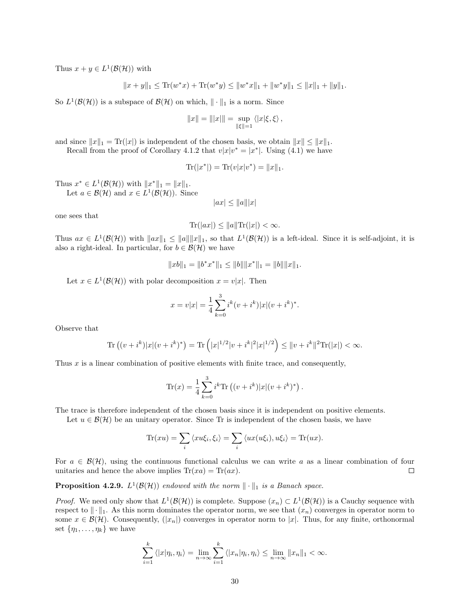Thus  $x + y \in L^1(\mathcal{B}(\mathcal{H}))$  with

$$
||x+y||_1 \le \text{Tr}(w^*x) + \text{Tr}(w^*y) \le ||w^*x||_1 + ||w^*y||_1 \le ||x||_1 + ||y||_1.
$$

So  $L^1(\mathcal{B}(\mathcal{H}))$  is a subspace of  $\mathcal{B}(\mathcal{H})$  on which,  $\|\cdot\|_1$  is a norm. Since

$$
||x|| = |||x||| = \sup_{||\xi||=1} \langle |x|\xi, \xi \rangle \, ,
$$

and since  $||x||_1 = \text{Tr}(|x|)$  is independent of the chosen basis, we obtain  $||x|| \le ||x||_1$ . Recall from the proof of Corollary [4.1.2](#page-27-2) that  $v|x|v^* = |x^*|$ . Using [\(4.1\)](#page-29-0) we have

$$
Tr(|x^*|) = Tr(v|x|v^*) = ||x||_1.
$$

Thus  $x^* \in L^1(\mathcal{B}(\mathcal{H}))$  with  $||x^*||_1 = ||x||_1$ . Let  $a \in \mathcal{B}(\mathcal{H})$  and  $x \in L^1(\mathcal{B}(\mathcal{H}))$ . Since

 $|ax| \leq ||a|| |x|$ 

one sees that

$$
\text{Tr}(|ax|) \le ||a||\text{Tr}(|x|) < \infty.
$$

Thus  $ax \in L^1(\mathcal{B}(\mathcal{H}))$  with  $||ax||_1 \le ||a|| ||x||_1$ , so that  $L^1(\mathcal{B}(\mathcal{H}))$  is a left-ideal. Since it is self-adjoint, it is also a right-ideal. In particular, for  $b \in \mathcal{B}(\mathcal{H})$  we have

$$
||xb||_1 = ||b^*x^*||_1 \le ||b|| ||x^*||_1 = ||b|| ||x||_1.
$$

Let  $x \in L^1(\mathcal{B}(\mathcal{H}))$  with polar decomposition  $x = v|x|$ . Then

$$
x = v|x| = \frac{1}{4} \sum_{k=0}^{3} i^{k} (v + i^{k}) |x| (v + i^{k})^{*}.
$$

Observe that

$$
\text{Tr}\left((v+i^k)|x|(v+i^k)^*\right) = \text{Tr}\left(|x|^{1/2}|v+i^k|^2|x|^{1/2}\right) \leq \|v+i^k\|^2 \text{Tr}(|x|) < \infty.
$$

Thus  $x$  is a linear combination of positive elements with finite trace, and consequently,

$$
\text{Tr}(x) = \frac{1}{4} \sum_{k=0}^{3} i^{k} \text{Tr} ((v + i^{k}) |x| (v + i^{k})^{*}).
$$

The trace is therefore independent of the chosen basis since it is independent on positive elements.

Let  $u \in \mathcal{B}(\mathcal{H})$  be an unitary operator. Since Tr is independent of the chosen basis, we have

$$
\text{Tr}(xu) = \sum_i \langle xu\xi_i, \xi_i \rangle = \sum_i \langle ux(u\xi_i), u\xi_i \rangle = \text{Tr}(ux).
$$

For  $a \in \mathcal{B}(\mathcal{H})$ , using the continuous functional calculus we can write a as a linear combination of four unitaries and hence the above implies  $\text{Tr}(xa) = \text{Tr}(ax)$ .  $\Box$ 

**Proposition 4.2.9.**  $L^1(\mathcal{B}(\mathcal{H}))$  endowed with the norm  $\|\cdot\|_1$  is a Banach space.

*Proof.* We need only show that  $L^1(\mathcal{B}(\mathcal{H}))$  is complete. Suppose  $(x_n) \subset L^1(\mathcal{B}(\mathcal{H}))$  is a Cauchy sequence with respect to  $\|\cdot\|_1$ . As this norm dominates the operator norm, we see that  $(x_n)$  converges in operator norm to some  $x \in \mathcal{B}(\mathcal{H})$ . Consequently,  $(|x_n|)$  converges in operator norm to |x|. Thus, for any finite, orthonormal set  $\{\eta_1, \ldots, \eta_k\}$  we have

$$
\sum_{i=1}^k \langle |x|\eta_i, \eta_i \rangle = \lim_{n \to \infty} \sum_{i=1}^k \langle |x_n|\eta_i, \eta_i \rangle \le \lim_{n \to \infty} ||x_n||_1 < \infty.
$$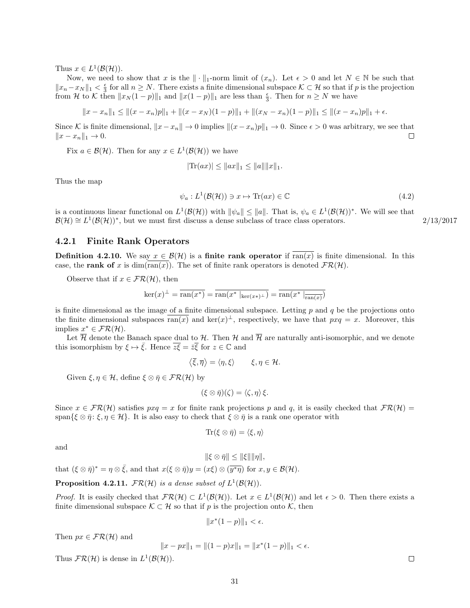Thus  $x \in L^1(\mathcal{B}(\mathcal{H}))$ .

Now, we need to show that x is the  $\|\cdot\|_1$ -norm limit of  $(x_n)$ . Let  $\epsilon > 0$  and let  $N \in \mathbb{N}$  be such that  $||x_n-x_N||_1 < \frac{\epsilon}{3}$  for all  $n \geq N$ . There exists a finite dimensional subspace  $\mathcal{K} \subset \mathcal{H}$  so that if p is the projection from H to K then  $||x_N(1-p)||_1$  and  $||x(1-p)||_1$  are less than  $\frac{\epsilon}{3}$ . Then for  $n \ge N$  we have

$$
||x - x_n||_1 \le ||(x - x_n)p||_1 + ||(x - x_N)(1 - p)||_1 + ||(x_N - x_n)(1 - p)||_1 \le ||(x - x_n)p||_1 + \epsilon.
$$

Since K is finite dimensional,  $||x - x_n|| \to 0$  implies  $||(x - x_n)p||_1 \to 0$ . Since  $\epsilon > 0$  was arbitrary, we see that  $||x - x_n||_1 \rightarrow 0.$  $\Box$ 

Fix  $a \in \mathcal{B}(\mathcal{H})$ . Then for any  $x \in L^1(\mathcal{B}(\mathcal{H}))$  we have

<span id="page-31-1"></span>
$$
|\text{Tr}(ax)| \leq ||ax||_1 \leq ||a|| ||x||_1.
$$

Thus the map

$$
\psi_a: L^1(\mathcal{B}(\mathcal{H})) \ni x \mapsto \text{Tr}(ax) \in \mathbb{C}
$$
\n
$$
(4.2)
$$

is a continuous linear functional on  $L^1(\mathcal{B}(\mathcal{H}))$  with  $\|\psi_a\| \leq \|a\|$ . That is,  $\psi_a \in L^1(\mathcal{B}(\mathcal{H}))^*$ . We will see that  $\mathcal{B}(\mathcal{H}) \cong L^1(\mathcal{B}(\mathcal{H}))^*$ , but we must first discuss a dense subclass of trace class operators. 2/13/2017

#### <span id="page-31-0"></span>4.2.1 Finite Rank Operators

**Definition 4.2.10.** We say  $x \in \mathcal{B}(\mathcal{H})$  is a finite rank operator if ran(x) is finite dimensional. In this case, the rank of x is dim(ran(x)). The set of finite rank operators is denoted  $\mathcal{FR}(\mathcal{H})$ .

Observe that if  $x \in \mathcal{FR}(\mathcal{H})$ , then

$$
\ker(x)^{\perp} = \overline{\operatorname{ran}(x^*)} = \overline{\operatorname{ran}(x^* \mid_{\ker(x^*)^{\perp}})} = \overline{\operatorname{ran}(x^* \mid_{\overline{\operatorname{ran}(x)}})}
$$

is finite dimensional as the image of a finite dimensional subspace. Letting  $p$  and  $q$  be the projections onto the finite dimensional subspaces  $\overline{\text{ran}(x)}$  and  $\text{ker}(x)$ <sup> $\perp$ </sup>, respectively, we have that  $pxq = x$ . Moreover, this implies  $x^* \in \mathcal{FR}(\mathcal{H})$ .

Let  $\overline{\mathcal{H}}$  denote the Banach space dual to  $\mathcal{H}$ . Then  $\mathcal{H}$  and  $\overline{\mathcal{H}}$  are naturally anti-isomorphic, and we denote this isomorphism by  $\xi \mapsto \overline{\xi}$ . Hence  $\overline{z\xi} = \overline{z}\overline{\xi}$  for  $z \in \mathbb{C}$  and

$$
\langle \overline{\xi}, \overline{\eta} \rangle = \langle \eta, \xi \rangle \qquad \xi, \eta \in \mathcal{H}.
$$

Given  $\xi, \eta \in \mathcal{H}$ , define  $\xi \otimes \overline{\eta} \in \mathcal{FR}(\mathcal{H})$  by

$$
(\xi \otimes \bar{\eta})(\zeta) = \langle \zeta, \eta \rangle \xi.
$$

Since  $x \in FR(H)$  satisfies  $pxq = x$  for finite rank projections p and q, it is easily checked that  $FR(H)$ span $\{\xi \otimes \overline{\eta} : \xi, \eta \in \mathcal{H}\}\$ . It is also easy to check that  $\xi \otimes \overline{\eta}$  is a rank one operator with

$$
\text{Tr}(\xi \otimes \bar{\eta}) = \langle \xi, \eta \rangle
$$

and

 $\|\xi \otimes \bar{\eta}\| \leq \|\xi\| \|\eta\|,$ 

that  $(\xi \otimes \bar{\eta})^* = \eta \otimes \bar{\xi}$ , and that  $x(\xi \otimes \bar{\eta})y = (x\xi) \otimes (\bar{y}^*\bar{\eta})$  for  $x, y \in \mathcal{B}(\mathcal{H})$ .

**Proposition 4.2.11.**  $FR(H)$  is a dense subset of  $L^1(\mathcal{B}(\mathcal{H}))$ .

*Proof.* It is easily checked that  $FR(H) \subset L^1(\mathcal{B}(\mathcal{H}))$ . Let  $x \in L^1(\mathcal{B}(\mathcal{H}))$  and let  $\epsilon > 0$ . Then there exists a finite dimensional subspace  $\mathcal{K} \subset \mathcal{H}$  so that if p is the projection onto K, then

$$
||x^*(1-p)||_1 < \epsilon.
$$

Then  $px \in \mathcal{FR}(\mathcal{H})$  and

$$
||x - px||_1 = ||(1 - p)x||_1 = ||x^*(1 - p)||_1 < \epsilon.
$$

Thus  $FR(H)$  is dense in  $L^1(\mathcal{B}(\mathcal{H}))$ .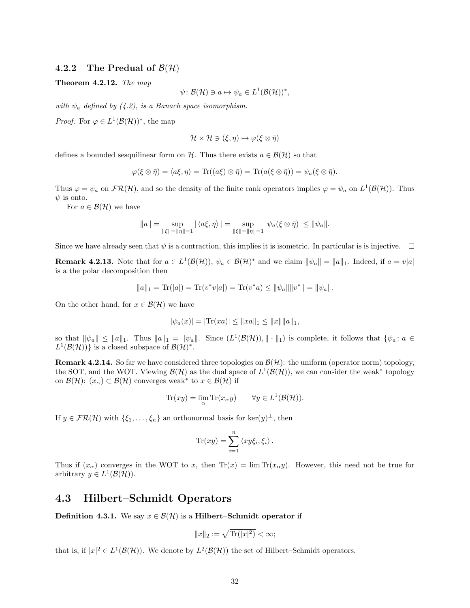#### <span id="page-32-0"></span>4.2.2 The Predual of  $\mathcal{B}(\mathcal{H})$

Theorem 4.2.12. The map

$$
\psi \colon \mathcal{B}(\mathcal{H}) \ni a \mapsto \psi_a \in L^1(\mathcal{B}(\mathcal{H}))^*,
$$

with  $\psi_a$  defined by [\(4.2\)](#page-31-1), is a Banach space isomorphism.

*Proof.* For  $\varphi \in L^1(\mathcal{B}(\mathcal{H}))^*$ , the map

$$
\mathcal{H} \times \mathcal{H} \ni (\xi, \eta) \mapsto \varphi(\xi \otimes \overline{\eta})
$$

defines a bounded sesquilinear form on H. Thus there exists  $a \in \mathcal{B}(\mathcal{H})$  so that

$$
\varphi(\xi \otimes \bar{\eta}) = \langle a\xi, \eta \rangle = \text{Tr}((a\xi) \otimes \bar{\eta}) = \text{Tr}(a(\xi \otimes \bar{\eta})) = \psi_a(\xi \otimes \bar{\eta}).
$$

Thus  $\varphi = \psi_a$  on  $\mathcal{FR}(\mathcal{H})$ , and so the density of the finite rank operators implies  $\varphi = \psi_a$  on  $L^1(\mathcal{B}(\mathcal{H}))$ . Thus  $\psi$  is onto.

For  $a \in \mathcal{B}(\mathcal{H})$  we have

$$
||a|| = \sup_{||\xi|| = ||\eta|| = 1} |\langle a\xi, \eta \rangle| = \sup_{||\xi|| = ||\eta|| = 1} |\psi_a(\xi \otimes \overline{\eta})| \le ||\psi_a||.
$$

Since we have already seen that  $\psi$  is a contraction, this implies it is isometric. In particular is is injective.  $\Box$ 

<span id="page-32-3"></span>**Remark 4.2.13.** Note that for  $a \in L^1(\mathcal{B}(\mathcal{H}))$ ,  $\psi_a \in \mathcal{B}(\mathcal{H})^*$  and we claim  $\|\psi_a\| = \|a\|_1$ . Indeed, if  $a = v|a|$ is a the polar decomposition then

$$
||a||_1 = \text{Tr}(|a|) = \text{Tr}(v^*v|a|) = \text{Tr}(v^*a) \le ||\psi_a|| ||v^*|| = ||\psi_a||.
$$

On the other hand, for  $x \in \mathcal{B}(\mathcal{H})$  we have

$$
|\psi_a(x)| = |\text{Tr}(xa)| \le ||xa||_1 \le ||x|| ||a||_1,
$$

so that  $\|\psi_a\| \le \|a\|_1$ . Thus  $\|a\|_1 = \|\psi_a\|$ . Since  $(L^1(\mathcal{B}(\mathcal{H}))\, \| \cdot \|_1)$  is complete, it follows that  $\{\psi_a : a \in$  $L^1(\mathcal{B}(\mathcal{H}))$  is a closed subspace of  $\mathcal{B}(\mathcal{H})^*$ .

<span id="page-32-2"></span>**Remark 4.2.14.** So far we have considered three topologies on  $\mathcal{B}(\mathcal{H})$ : the uniform (operator norm) topology, the SOT, and the WOT. Viewing  $\mathcal{B}(\mathcal{H})$  as the dual space of  $L^1(\mathcal{B}(\mathcal{H}))$ , we can consider the weak<sup>\*</sup> topology on  $\mathcal{B}(\mathcal{H})$ :  $(x_{\alpha}) \subset \mathcal{B}(\mathcal{H})$  converges weak<sup>\*</sup> to  $x \in \mathcal{B}(\mathcal{H})$  if

$$
\operatorname{Tr}(xy) = \lim_{\alpha} \operatorname{Tr}(x_{\alpha}y) \qquad \forall y \in L^{1}(\mathcal{B}(\mathcal{H})).
$$

If  $y \in FR(H)$  with  $\{\xi_1, \ldots, \xi_n\}$  an orthonormal basis for ker $(y)^{\perp}$ , then

$$
\text{Tr}(xy) = \sum_{i=1}^n \langle xy\xi_i, \xi_i \rangle.
$$

Thus if  $(x_\alpha)$  converges in the WOT to x, then  $\text{Tr}(x) = \lim \text{Tr}(x_\alpha y)$ . However, this need not be true for arbitrary  $y \in L^1(\mathcal{B}(\mathcal{H}))$ .

#### <span id="page-32-1"></span>4.3 Hilbert–Schmidt Operators

**Definition 4.3.1.** We say  $x \in \mathcal{B}(\mathcal{H})$  is a **Hilbert–Schmidt operator** if

$$
||x||_2 := \sqrt{\text{Tr}(|x|^2)} < \infty;
$$

that is, if  $|x|^2 \in L^1(\mathcal{B}(\mathcal{H}))$ . We denote by  $L^2(\mathcal{B}(\mathcal{H}))$  the set of Hilbert–Schmidt operators.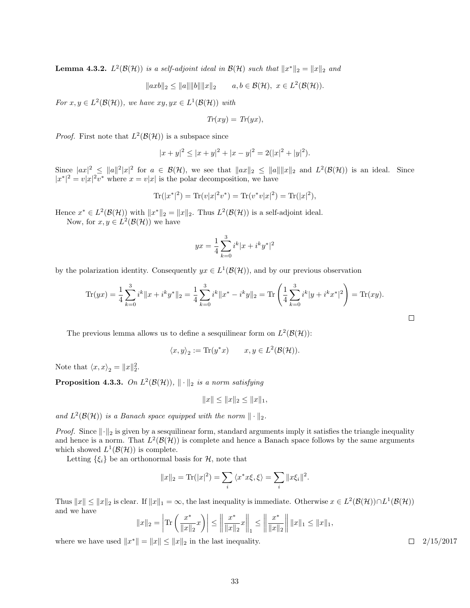<span id="page-33-0"></span>**Lemma 4.3.2.**  $L^2(\mathcal{B}(\mathcal{H}))$  is a self-adjoint ideal in  $\mathcal{B}(\mathcal{H})$  such that  $||x^*||_2 = ||x||_2$  and

 $\|axb\|_2 \le \|a\| \|b\| \|x\|_2$   $a, b \in \mathcal{B}(\mathcal{H}), x \in L^2(\mathcal{B}(\mathcal{H})).$ 

For  $x, y \in L^2(\mathcal{B}(\mathcal{H}))$ , we have  $xy, yx \in L^1(\mathcal{B}(\mathcal{H}))$  with

$$
Tr(xy) = Tr(yx),
$$

*Proof.* First note that  $L^2(\mathcal{B}(\mathcal{H}))$  is a subspace since

$$
|x + y|^2 \le |x + y|^2 + |x - y|^2 = 2(|x|^2 + |y|^2).
$$

Since  $|ax|^2 \le ||a||^2|x|^2$  for  $a \in \mathcal{B}(\mathcal{H})$ , we see that  $||ax||_2 \le ||a||||x||_2$  and  $L^2(\mathcal{B}(\mathcal{H}))$  is an ideal. Since  $|x^*|^2 = v|x|^2v^*$  where  $x = v|x|$  is the polar decomposition, we have

$$
\text{Tr}(|x^*|^2) = \text{Tr}(v|x|^2v^*) = \text{Tr}(v^*v|x|^2) = \text{Tr}(|x|^2),
$$

Hence  $x^* \in L^2(\mathcal{B}(\mathcal{H}))$  with  $||x^*||_2 = ||x||_2$ . Thus  $L^2(\mathcal{B}(\mathcal{H}))$  is a self-adjoint ideal.

Now, for  $x, y \in L^2(\mathcal{B}(\mathcal{H}))$  we have

$$
yx = \frac{1}{4}\sum_{k=0}^{3} i^k |x + i^k y^*|^2
$$

by the polarization identity. Consequently  $yx \in L^1(\mathcal{B}(\mathcal{H}))$ , and by our previous observation

$$
\text{Tr}(yx) = \frac{1}{4} \sum_{k=0}^{3} i^k \|x + i^k y^*\|_2 = \frac{1}{4} \sum_{k=0}^{3} i^k \|x^* - i^k y\|_2 = \text{Tr}\left(\frac{1}{4} \sum_{k=0}^{3} i^k |y + i^k x^*|^2\right) = \text{Tr}(xy).
$$

The previous lemma allows us to define a sesquilinear form on  $L^2(\mathcal{B}(\mathcal{H}))$ :

$$
\langle x, y \rangle_2 := \text{Tr}(y^*x) \qquad x, y \in L^2(\mathcal{B}(\mathcal{H})).
$$

Note that  $\langle x, x \rangle_2 = ||x||_2^2$ .

**Proposition 4.3.3.** On  $L^2(\mathcal{B}(\mathcal{H}))$ ,  $\|\cdot\|_2$  is a norm satisfying

$$
||x|| \le ||x||_2 \le ||x||_1,
$$

and  $L^2(\mathcal{B}(\mathcal{H}))$  is a Banach space equipped with the norm  $\|\cdot\|_2$ .

*Proof.* Since  $\lVert \cdot \rVert_2$  is given by a sesquilinear form, standard arguments imply it satisfies the triangle inequality and hence is a norm. That  $L^2(\mathcal{B}(\mathcal{H}))$  is complete and hence a Banach space follows by the same arguments which showed  $L^1(\mathcal{B}(\mathcal{H}))$  is complete.

Letting  $\{\xi_i\}$  be an orthonormal basis for  $\mathcal{H}$ , note that

$$
||x||_2 = \text{Tr}(|x|^2) = \sum_i \langle x^* x \xi, \xi \rangle = \sum_i ||x \xi_i||^2.
$$

Thus  $||x|| \le ||x||_2$  is clear. If  $||x||_1 = \infty$ , the last inequality is immediate. Otherwise  $x \in L^2(\mathcal{B}(\mathcal{H})) \cap L^1(\mathcal{B}(\mathcal{H}))$ and we have

$$
||x||_2 = \left| \text{Tr} \left( \frac{x^*}{||x||_2} x \right) \right| \le \left\| \frac{x^*}{||x||_2} x \right\|_1 \le \left\| \frac{x^*}{||x||_2} \right\| ||x||_1 \le ||x||_1,
$$

where we have used  $||x^*|| = ||x|| \le ||x||_2$  in the last inequality.  $\Box$  2/15/2017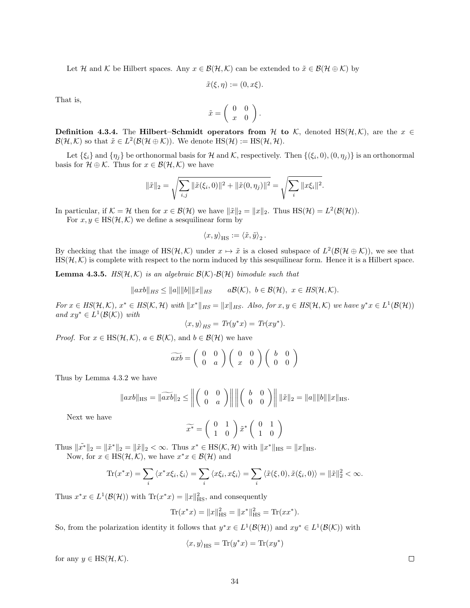Let H and K be Hilbert spaces. Any  $x \in \mathcal{B}(\mathcal{H}, \mathcal{K})$  can be extended to  $\tilde{x} \in \mathcal{B}(\mathcal{H} \oplus \mathcal{K})$  by

$$
\tilde{x}(\xi,\eta) := (0,x\xi).
$$

That is,

$$
\tilde{x} = \left( \begin{array}{cc} 0 & 0 \\ x & 0 \end{array} \right).
$$

Definition 4.3.4. The Hilbert–Schmidt operators from H to K, denoted HS( $H, K$ ), are the  $x \in$  $\mathcal{B}(\mathcal{H},\mathcal{K})$  so that  $\tilde{x} \in L^2(\mathcal{B}(\mathcal{H}\oplus\mathcal{K}))$ . We denote  $\text{HS}(\mathcal{H}):=\text{HS}(\mathcal{H},\mathcal{H})$ .

Let  $\{\xi_i\}$  and  $\{\eta_j\}$  be orthonormal basis for H and K, respectively. Then  $\{(\xi_i, 0), (0, \eta_j)\}\$ is an orthonormal basis for  $\mathcal{H} \oplus \mathcal{K}$ . Thus for  $x \in \mathcal{B}(\mathcal{H}, \mathcal{K})$  we have

$$
\|\tilde{x}\|_2 = \sqrt{\sum_{i,j} \|\tilde{x}(\xi_i, 0)\|^2 + \|\tilde{x}(0, \eta_j)\|^2} = \sqrt{\sum_i \|x\xi_i\|^2}.
$$

In particular, if  $\mathcal{K} = \mathcal{H}$  then for  $x \in \mathcal{B}(\mathcal{H})$  we have  $\|\tilde{x}\|_2 = \|x\|_2$ . Thus  $\text{HS}(\mathcal{H}) = L^2(\mathcal{B}(\mathcal{H}))$ .

For  $x, y \in HS(H, \mathcal{K})$  we define a sesquilinear form by

$$
\langle x, y \rangle_{\text{HS}} := \langle \tilde{x}, \tilde{y} \rangle_2 \, .
$$

By checking that the image of  $\text{HS}(\mathcal{H}, \mathcal{K})$  under  $x \mapsto \tilde{x}$  is a closed subspace of  $L^2(\mathcal{B}(\mathcal{H} \oplus \mathcal{K}))$ , we see that  $\text{HS}(\mathcal{H}, \mathcal{K})$  is complete with respect to the norm induced by this sesquilinear form. Hence it is a Hilbert space.

<span id="page-34-0"></span>**Lemma 4.3.5.** HS( $H$ , $K$ ) is an algebraic  $B(K)$ - $B(H)$  bimodule such that

 $\|axb\|_{HS} \le \|a\| \|b\| \|x\|_{HS}$   $a\mathcal{B}(\mathcal{K}), b \in \mathcal{B}(\mathcal{H}), x \in HS(\mathcal{H}, \mathcal{K}).$ 

For  $x \in HS(H,\mathcal{K})$ ,  $x^* \in HS(\mathcal{K},\mathcal{H})$  with  $||x^*||_{HS} = ||x||_{HS}$ . Also, for  $x, y \in HS(\mathcal{H},\mathcal{K})$  we have  $y^*x \in L^1(\mathcal{B}(\mathcal{H}))$ and  $xy^* \in L^1(\mathcal{B}(\mathcal{K}))$  with

$$
\langle x, y \rangle_{HS} = Tr(y^*x) = Tr(xy^*).
$$

*Proof.* For  $x \in \text{HS}(\mathcal{H}, \mathcal{K})$ ,  $a \in \mathcal{B}(\mathcal{K})$ , and  $b \in \mathcal{B}(\mathcal{H})$  we have

$$
\widetilde{axb} = \left(\begin{array}{cc} 0 & 0 \\ 0 & a \end{array}\right) \left(\begin{array}{cc} 0 & 0 \\ x & 0 \end{array}\right) \left(\begin{array}{cc} b & 0 \\ 0 & 0 \end{array}\right)
$$

Thus by Lemma [4.3.2](#page-33-0) we have

$$
\|axb\|_{\text{HS}} = \|\widetilde{axb}\|_2 \le \left\| \begin{pmatrix} 0 & 0 \\ 0 & a \end{pmatrix} \right\| \left\| \begin{pmatrix} b & 0 \\ 0 & 0 \end{pmatrix} \right\| \|\tilde{x}\|_2 = \|a\| \|b\| \|x\|_{\text{HS}}.
$$

Next we have

$$
\widetilde{x^*} = \left(\begin{array}{cc} 0 & 1 \\ 1 & 0 \end{array}\right) \widetilde{x}^* \left(\begin{array}{cc} 0 & 1 \\ 1 & 0 \end{array}\right)
$$

Thus  $\|\tilde{x^*}\|_2 = \|\tilde{x}\|_2 < \infty$ . Thus  $x^* \in HS(\mathcal{K}, \mathcal{H})$  with  $\|x^*\|_{HS} = \|x\|_{HS}$ .

Now, for  $x \in \text{HS}(\mathcal{H}, \mathcal{K})$ , we have  $x^*x \in \mathcal{B}(\mathcal{H})$  and

$$
\text{Tr}(x^*x) = \sum_i \langle x^*x\xi_i, \xi_i \rangle = \sum_i \langle x\xi_i, x\xi_i \rangle = \sum_i \langle \tilde{x}(\xi, 0), \tilde{x}(\xi_i, 0) \rangle = ||\tilde{x}||_2^2 < \infty.
$$

Thus  $x^*x \in L^1(\mathcal{B}(\mathcal{H}))$  with  $\text{Tr}(x^*x) = ||x||_{\text{HS}}^2$ , and consequently

$$
\text{Tr}(x^*x) = \|x\|_{\text{HS}}^2 = \|x^*\|_{\text{HS}}^2 = \text{Tr}(xx^*).
$$

So, from the polarization identity it follows that  $y^*x \in L^1(\mathcal{B}(\mathcal{H}))$  and  $xy^* \in L^1(\mathcal{B}(\mathcal{K}))$  with

$$
\langle x,y \rangle_{\text{HS}} = \text{Tr}(y^*x) = \text{Tr}(xy^*)
$$

for any  $y \in \text{HS}(\mathcal{H}, \mathcal{K})$ .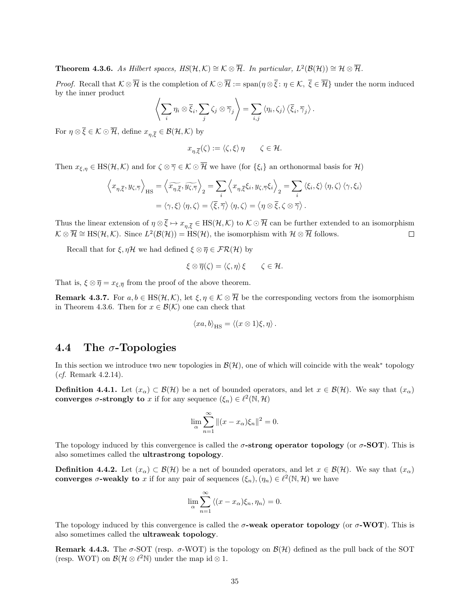<span id="page-35-1"></span>**Theorem 4.3.6.** As Hilbert spaces,  $HS(\mathcal{H}, \mathcal{K}) \cong \mathcal{K} \otimes \overline{\mathcal{H}}$ . In particular,  $L^2(\mathcal{B}(\mathcal{H})) \cong \mathcal{H} \otimes \overline{\mathcal{H}}$ .

*Proof.* Recall that  $K \otimes \overline{\mathcal{H}}$  is the completion of  $K \odot \overline{\mathcal{H}} := \text{span}{(\eta \otimes \overline{\xi} : \eta \in \mathcal{K}, \overline{\xi} \in \overline{\mathcal{H}}\})$  under the norm induced by the inner product

$$
\left\langle \sum_i \eta_i \otimes \overline{\xi}_i, \sum_j \zeta_j \otimes \overline{\gamma}_j \right\rangle = \sum_{i,j} \left\langle \eta_i, \zeta_j \right\rangle \left\langle \overline{\xi}_i, \overline{\gamma}_j \right\rangle.
$$

For  $\eta \otimes \overline{\xi} \in \mathcal{K} \odot \overline{\mathcal{H}}$ , define  $x_{\eta, \overline{\xi}} \in \mathcal{B}(\mathcal{H}, \mathcal{K})$  by

$$
x_{\eta,\overline{\xi}}(\zeta) := \langle \zeta, \xi \rangle \eta \qquad \zeta \in \mathcal{H}.
$$

Then  $x_{\xi,\eta} \in \text{HS}(\mathcal{H},\mathcal{K})$  and for  $\zeta \otimes \overline{\gamma} \in \mathcal{K} \odot \overline{\mathcal{H}}$  we have (for  $\{\xi_i\}$  an orthonormal basis for  $\mathcal{H}$ )

$$
\left\langle x_{\eta,\overline{\xi}}, y_{\zeta,\overline{\gamma}} \right\rangle_{\mathrm{HS}} = \left\langle \widetilde{x_{\eta,\overline{\xi}}}, \widetilde{y_{\zeta,\overline{\gamma}}} \right\rangle_{2} = \sum_{i} \left\langle x_{\eta,\overline{\xi}} \xi_{i}, y_{\zeta,\overline{\gamma}} \xi_{i} \right\rangle_{2} = \sum_{i} \left\langle \xi_{i}, \xi \right\rangle \left\langle \eta, \zeta \right\rangle \left\langle \gamma, \xi_{i} \right\rangle
$$

$$
= \left\langle \gamma, \xi \right\rangle \left\langle \eta, \zeta \right\rangle = \left\langle \overline{\xi}, \overline{\gamma} \right\rangle \left\langle \eta, \zeta \right\rangle = \left\langle \eta \otimes \overline{\xi}, \zeta \otimes \overline{\gamma} \right\rangle.
$$

Thus the linear extension of  $\eta \otimes \overline{\xi} \mapsto x_{n,\overline{\xi}} \in \text{HS}(\mathcal{H},\mathcal{K})$  to  $\mathcal{K} \odot \overline{\mathcal{H}}$  can be further extended to an isomorphism  $\mathcal{K} \otimes \overline{\mathcal{H}} \cong \text{HS}(\mathcal{H}, \mathcal{K})$ . Since  $L^2(\mathcal{B}(\mathcal{H})) = \text{HS}(\mathcal{H})$ , the isomorphism with  $\mathcal{H} \otimes \overline{\mathcal{H}}$  follows.  $\Box$ 

Recall that for  $\xi, \eta \mathcal{H}$  we had defined  $\xi \otimes \overline{\eta} \in \mathcal{FR}(\mathcal{H})$  by

$$
\xi \otimes \overline{\eta}(\zeta) = \langle \zeta, \eta \rangle \xi \qquad \zeta \in \mathcal{H}.
$$

That is,  $\xi \otimes \overline{\eta} = x_{\xi, \overline{\eta}}$  from the proof of the above theorem.

**Remark 4.3.7.** For  $a, b \in \text{HS}(\mathcal{H}, \mathcal{K})$ , let  $\xi, \eta \in \mathcal{K} \otimes \overline{\mathcal{H}}$  be the corresponding vectors from the isomorphism in Theorem [4.3.6.](#page-35-1) Then for  $x \in \mathcal{B}(\mathcal{K})$  one can check that

$$
\langle xa, b \rangle_{\text{HS}} = \langle (x \otimes 1)\xi, \eta \rangle.
$$

#### <span id="page-35-0"></span>4.4 The  $\sigma$ -Topologies

In this section we introduce two new topologies in  $\mathcal{B}(\mathcal{H})$ , one of which will coincide with the weak<sup>\*</sup> topology (cf. Remark [4.2.14\)](#page-32-2).

**Definition 4.4.1.** Let  $(x_\alpha) \subset \mathcal{B}(\mathcal{H})$  be a net of bounded operators, and let  $x \in \mathcal{B}(\mathcal{H})$ . We say that  $(x_\alpha)$ converges  $\sigma$ -strongly to x if for any sequence  $(\xi_n) \in \ell^2(\mathbb{N}, \mathcal{H})$ 

$$
\lim_{\alpha} \sum_{n=1}^{\infty} \|(x - x_{\alpha})\xi_n\|^2 = 0.
$$

The topology induced by this convergence is called the  $\sigma$ -strong operator topology (or  $\sigma$ -SOT). This is also sometimes called the ultrastrong topology.

**Definition 4.4.2.** Let  $(x_\alpha) \subset \mathcal{B}(\mathcal{H})$  be a net of bounded operators, and let  $x \in \mathcal{B}(\mathcal{H})$ . We say that  $(x_\alpha)$ converges  $\sigma$ -weakly to x if for any pair of sequences  $(\xi_n), (\eta_n) \in \ell^2(\mathbb{N}, \mathcal{H})$  we have

$$
\lim_{\alpha} \sum_{n=1}^{\infty} \langle (x - x_{\alpha})\xi_n, \eta_n \rangle = 0.
$$

The topology induced by this convergence is called the  $\sigma$ -weak operator topology (or  $\sigma$ -WOT). This is also sometimes called the ultraweak topology.

**Remark 4.4.3.** The  $\sigma$ -SOT (resp.  $\sigma$ -WOT) is the topology on  $\mathcal{B}(\mathcal{H})$  defined as the pull back of the SOT (resp. WOT) on  $\mathcal{B}(\mathcal{H} \otimes \ell^2 \mathbb{N})$  under the map id  $\otimes$  1.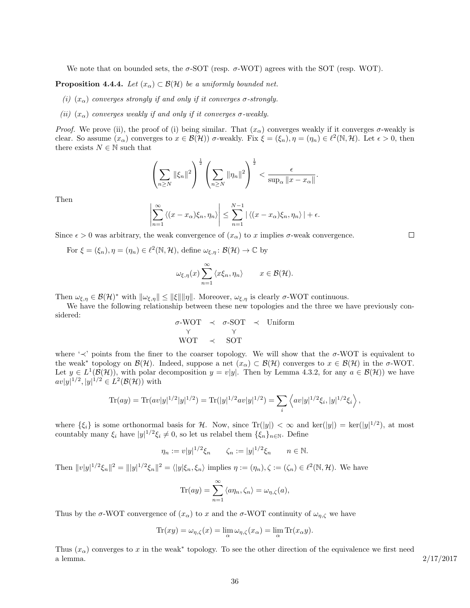We note that on bounded sets, the  $\sigma$ -SOT (resp.  $\sigma$ -WOT) agrees with the SOT (resp. WOT).

<span id="page-36-0"></span>**Proposition 4.4.4.** Let  $(x_\alpha) \subset \mathcal{B}(\mathcal{H})$  be a uniformly bounded net.

- (i)  $(x_{\alpha})$  converges strongly if and only if it converges  $\sigma$ -strongly.
- (ii)  $(x_{\alpha})$  converges weakly if and only if it converges  $\sigma$ -weakly.

*Proof.* We prove (ii), the proof of (i) being similar. That  $(x_\alpha)$  converges weakly if it converges  $\sigma$ -weakly is clear. So assume  $(x_\alpha)$  converges to  $x \in \mathcal{B}(\mathcal{H})$   $\sigma$ -weakly. Fix  $\xi = (\xi_n)$ ,  $\eta = (\eta_n) \in \ell^2(\mathbb{N}, \mathcal{H})$ . Let  $\epsilon > 0$ , then there exists  $N \in \mathbb{N}$  such that

$$
\left(\sum_{n\geq N}\|\xi_n\|^2\right)^{\frac{1}{2}}\left(\sum_{n\geq N}\|\eta_n\|^2\right)^{\frac{1}{2}}<\frac{\epsilon}{\sup_{\alpha}\|x-x_{\alpha}\|}.
$$

Then

$$
\left|\sum_{n=1}^{\infty} \left\langle (x-x_{\alpha})\xi_n, \eta_n \right\rangle \right| \leq \sum_{n=1}^{N-1} \left| \left\langle (x-x_{\alpha})\xi_n, \eta_n \right\rangle \right| + \epsilon.
$$

Since  $\epsilon > 0$  was arbitrary, the weak convergence of  $(x_{\alpha})$  to x implies  $\sigma$ -weak convergence.

For  $\xi = (\xi_n), \eta = (\eta_n) \in \ell^2(\mathbb{N}, \mathcal{H})$ , define  $\omega_{\xi, \eta} : \mathcal{B}(\mathcal{H}) \to \mathbb{C}$  by

$$
\omega_{\xi,\eta}(x) \sum_{n=1}^{\infty} \langle x\xi_n, \eta_n \rangle \qquad x \in \mathcal{B}(\mathcal{H}).
$$

Then  $\omega_{\xi,\eta} \in \mathcal{B}(\mathcal{H})^*$  with  $\|\omega_{\xi,\eta}\| \leq \|\xi\| \|\eta\|$ . Moreover,  $\omega_{\xi,\eta}$  is clearly  $\sigma$ -WOT continuous.

We have the following relationship between these new topologies and the three we have previously considered:

$$
\begin{array}{ccc}\n\sigma\text{-WOT} & \prec & \sigma\text{-SOT} & \prec & \text{Uniform} \\
\gamma & \gamma & \gamma \\
\text{WOT} & \prec & \text{SOT}\n\end{array}
$$

where ' $\prec$ ' points from the finer to the coarser topology. We will show that the  $\sigma$ -WOT is equivalent to the weak<sup>\*</sup> topology on  $\mathcal{B}(\mathcal{H})$ . Indeed, suppose a net  $(x_{\alpha}) \subset \mathcal{B}(\mathcal{H})$  converges to  $x \in \mathcal{B}(\mathcal{H})$  in the  $\sigma$ -WOT. Let  $y \in L^1(\mathcal{B}(\mathcal{H}))$ , with polar decomposition  $y = v|y|$ . Then by Lemma [4.3.2,](#page-33-0) for any  $a \in \mathcal{B}(\mathcal{H}))$  we have  $av|y|^{1/2}, |y|^{1/2} \in L^2(\mathcal{B}(\mathcal{H}))$  with

Tr(ay) = Tr(av|y|<sup>1/2</sup>|y|<sup>1/2</sup>) = Tr(|y|<sup>1/2</sup>av|y|<sup>1/2</sup>) = 
$$
\sum_{i}
$$
  $\langle av|y|^{1/2}\xi_i, |y|^{1/2}\xi_i \rangle$ ,

where  $\{\xi_i\}$  is some orthonormal basis for H. Now, since  $\text{Tr}(|y|) < \infty$  and  $\text{ker}(|y|) = \text{ker}(|y|^{1/2})$ , at most countably many  $\xi_i$  have  $|y|^{1/2}\xi_i \neq 0$ , so let us relabel them  $\{\xi_n\}_{n\in\mathbb{N}}$ . Define

$$
\eta_n := v|y|^{1/2}\xi_n \quad \zeta_n := |y|^{1/2}\xi_n \quad n \in \mathbb{N}.
$$

Then  $||v||^{1/2}\xi_n||^2 = ||y|^{1/2}\xi_n||^2 = \langle |y|\xi_n, \xi_n \rangle$  implies  $\eta := (\eta_n), \zeta := (\zeta_n) \in \ell^2(\mathbb{N}, \mathcal{H})$ . We have

$$
\text{Tr}(ay) = \sum_{n=1}^{\infty} \langle a\eta_n, \zeta_n \rangle = \omega_{\eta, \zeta}(a),
$$

Thus by the  $\sigma$ -WOT convergence of  $(x_{\alpha})$  to x and the  $\sigma$ -WOT continuity of  $\omega_{\eta,\zeta}$  we have

$$
\operatorname{Tr}(xy) = \omega_{\eta,\zeta}(x) = \lim_{\alpha} \omega_{\eta,\zeta}(x_{\alpha}) = \lim_{\alpha} \operatorname{Tr}(x_{\alpha}y).
$$

Thus  $(x_{\alpha})$  converges to x in the weak<sup>\*</sup> topology. To see the other direction of the equivalence we first need a lemma.  $2/17/2017$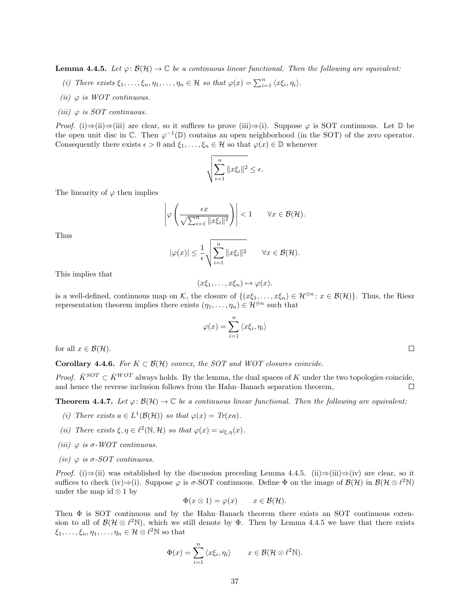<span id="page-37-0"></span>**Lemma 4.4.5.** Let  $\varphi: \mathcal{B}(\mathcal{H}) \to \mathbb{C}$  be a continuous linear functional. Then the following are equivalent:

- (i) There exists  $\xi_1, \ldots, \xi_n, \eta_1, \ldots, \eta_n \in \mathcal{H}$  so that  $\varphi(x) = \sum_{i=1}^n \langle x \xi_i, \eta_i \rangle$ .
- (ii)  $\varphi$  is WOT continuous.
- (iii)  $\varphi$  is SOT continuous.

*Proof.* (i)⇒(ii)⇒(iii) are clear, so it suffices to prove (iii)⇒(i). Suppose  $\varphi$  is SOT continuous. Let D be the open unit disc in  $\mathbb{C}$ . Then  $\varphi^{-1}(\mathbb{D})$  contains an open neighborhood (in the SOT) of the zero operator. Consequently there exists  $\epsilon > 0$  and  $\xi_1, \ldots, \xi_n \in \mathcal{H}$  so that  $\varphi(x) \in \mathbb{D}$  whenever

$$
\sqrt{\sum_{i=1}^n \|x\xi_i\|^2} \le \epsilon.
$$

The linearity of  $\varphi$  then implies

$$
\left|\varphi\left(\frac{\epsilon x}{\sqrt{\sum_{i=1}^n \|x\xi_i\|^2}}\right)\right| < 1 \qquad \forall x \in \mathcal{B}(\mathcal{H}).
$$

Thus

$$
|\varphi(x)| \leq \frac{1}{\epsilon} \sqrt{\sum_{i=1}^n \|x\xi_i\|^2} \qquad \forall x \in \mathcal{B}(\mathcal{H}).
$$

This implies that

$$
(x\xi_1,\ldots,x\xi_n)\mapsto\varphi(x).
$$

is a well-defined, continuous map on K, the closure of  $\{(x\xi_1,\ldots,x\xi_n)\in\mathcal{H}^{\oplus n}:x\in\mathcal{B}(\mathcal{H})\}$ . Thus, the Riesz representation theorem implies there exists  $(\eta_1, \ldots, \eta_n) \in \mathcal{H}^{\oplus n}$  such that

$$
\varphi(x) = \sum_{i=1}^{n} \langle x\xi_i, \eta_i \rangle
$$

for all  $x \in \mathcal{B}(\mathcal{H})$ .

<span id="page-37-1"></span>Corollary 4.4.6. For  $K \subset \mathcal{B}(\mathcal{H})$  convex, the SOT and WOT closures coincide.

*Proof.*  $\bar{K}^{SOT} \subset \bar{K}^{WOT}$  always holds. By the lemma, the dual spaces of K under the two topologies coincide, and hence the reverse inclusion follows from the Hahn–Banach separation theorem,  $\Box$ 

<span id="page-37-2"></span>**Theorem 4.4.7.** Let  $\varphi: \mathcal{B}(\mathcal{H}) \to \mathbb{C}$  be a continuous linear functional. Then the following are equivalent:

- (i) There exists  $a \in L^1(\mathcal{B}(\mathcal{H}))$  so that  $\varphi(x) = Tr(xa)$ .
- (ii) There exists  $\xi, \eta \in \ell^2(\mathbb{N}, \mathcal{H})$  so that  $\varphi(x) = \omega_{\xi, \eta}(x)$ .
- (iii)  $\varphi$  is  $\sigma$ -WOT continuous.
- (iv)  $\varphi$  is  $\sigma$ -SOT continuous.

*Proof.* (i)⇒(ii) was established by the discussion preceding Lemma [4.4.5.](#page-37-0) (ii)⇒(iii)⇒(iv) are clear, so it suffices to check (iv)⇒(i). Suppose  $\varphi$  is  $\sigma$ -SOT continuous. Define  $\Phi$  on the image of  $\mathcal{B}(\mathcal{H})$  in  $\mathcal{B}(\mathcal{H} \otimes \ell^2 \mathbb{N})$ under the map id  $\otimes$  1 by

$$
\Phi(x \otimes 1) = \varphi(x) \qquad x \in \mathcal{B}(\mathcal{H}).
$$

Then Φ is SOT continuous and by the Hahn–Banach theorem there exists an SOT continuous extension to all of  $\mathcal{B}(\mathcal{H} \otimes \ell^2\mathbb{N})$ , which we still denote by  $\Phi$ . Then by Lemma [4.4.5](#page-37-0) we have that there exists  $\xi_1, \ldots, \xi_n, \eta_1, \ldots, \eta_n \in \mathcal{H} \otimes \ell^2 \mathbb{N}$  so that

$$
\Phi(x) = \sum_{i=1}^n \langle x\xi_i, \eta_i \rangle \qquad x \in \mathcal{B}(\mathcal{H} \otimes \ell^2 \mathbb{N}).
$$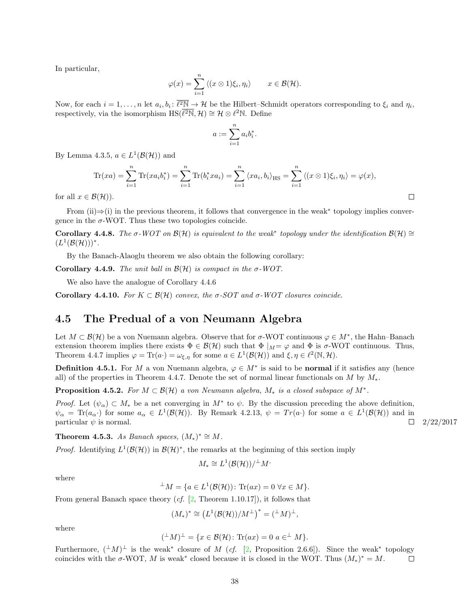In particular,

$$
\varphi(x) = \sum_{i=1}^n \langle (x \otimes 1)\xi_i, \eta_i \rangle \qquad x \in \mathcal{B}(\mathcal{H}).
$$

Now, for each  $i = 1, \ldots, n$  let  $a_i, b_i \colon \overline{\ell^2 \mathbb{N}} \to \mathcal{H}$  be the Hilbert–Schmidt operators corresponding to  $\xi_i$  and  $\eta_i$ , respectively, via the isomorphism  $\text{HS}(\overline{\ell^2\mathbb{N}}, \mathcal{H}) \cong \mathcal{H} \otimes \ell^2\mathbb{N}$ . Define

$$
a:=\sum_{i=1}^n a_i b_i^*.
$$

By Lemma [4.3.5,](#page-34-0)  $a \in L^1(\mathcal{B}(\mathcal{H}))$  and

$$
\text{Tr}(xa) = \sum_{i=1}^n \text{Tr}(xa_i b_i^*) = \sum_{i=1}^n \text{Tr}(b_i^* x a_i) = \sum_{i=1}^n \langle x a_i, b_i \rangle_{\text{HS}} = \sum_{i=1}^n \langle (x \otimes 1)\xi_i, \eta_i \rangle = \varphi(x),
$$

for all  $x \in \mathcal{B}(\mathcal{H})$ ).

From (ii)⇒(i) in the previous theorem, it follows that convergence in the weak<sup>∗</sup> topology implies convergence in the  $\sigma$ -WOT. Thus these two topologies coincide.

Corollary 4.4.8. The  $\sigma$ -WOT on  $\mathcal{B}(\mathcal{H})$  is equivalent to the weak<sup>\*</sup> topology under the identification  $\mathcal{B}(\mathcal{H}) \cong$  $(L^1(\mathcal{B}(\mathcal{H})))^*$ .

By the Banach-Alaoglu theorem we also obtain the following corollary:

Corollary 4.4.9. The unit ball in  $\mathcal{B}(\mathcal{H})$  is compact in the  $\sigma$ -WOT.

We also have the analogue of Corollary [4.4.6](#page-37-1)

<span id="page-38-2"></span>Corollary 4.4.10. For  $K \subset \mathcal{B}(\mathcal{H})$  convex, the σ-SOT and σ-WOT closures coincide.

#### <span id="page-38-0"></span>4.5 The Predual of a von Neumann Algebra

Let  $M \subset \mathcal{B}(\mathcal{H})$  be a von Nuemann algebra. Observe that for  $\sigma$ -WOT continuous  $\varphi \in M^*$ , the Hahn–Banach extension theorem implies there exists  $\Phi \in \mathcal{B}(\mathcal{H})$  such that  $\Phi|_{\mathcal{M}} = \varphi$  and  $\Phi$  is  $\sigma$ -WOT continuous. Thus, Theorem [4.4.7](#page-37-2) implies  $\varphi = \text{Tr}(a \cdot) = \omega_{\xi, \eta}$  for some  $a \in L^1(\mathcal{B}(\mathcal{H}))$  and  $\xi, \eta \in \ell^2(\mathbb{N}, \mathcal{H})$ .

**Definition 4.5.1.** For M a von Nuemann algebra,  $\varphi \in M^*$  is said to be **normal** if it satisfies any (hence all) of the properties in Theorem [4.4.7.](#page-37-2) Denote the set of normal linear functionals on M by  $M_*$ .

<span id="page-38-1"></span>**Proposition 4.5.2.** For  $M \subset \mathcal{B}(\mathcal{H})$  a von Neumann algebra,  $M_*$  is a closed subspace of  $M^*$ .

Proof. Let  $(\psi_{\alpha}) \subset M_*$  be a net converging in  $M^*$  to  $\psi$ . By the discussion preceding the above definition,  $\psi_{\alpha} = \text{Tr}(a_{\alpha})$  for some  $a_{\alpha} \in L^1(\mathcal{B}(\mathcal{H}))$ . By Remark [4.2.13,](#page-32-3)  $\psi = Tr(a)$  for some  $a \in L^1(\mathcal{B}(\mathcal{H}))$  and in particular  $\psi$  is normal.  $\Box$  2/22/2017

**Theorem 4.5.3.** As Banach spaces,  $(M_*)^* \cong M$ .

*Proof.* Identifying  $L^1(\mathcal{B}(\mathcal{H}))$  in  $\mathcal{B}(\mathcal{H})^*$ , the remarks at the beginning of this section imply

$$
M_* \cong L^1(\mathcal{B}(\mathcal{H})) / \perp M^*
$$

where

$$
\perp M = \{ a \in L^1(\mathcal{B}(\mathcal{H})) : \text{Tr}(ax) = 0 \,\forall x \in M \}.
$$

From general Banach space theory  $(cf. [2, Theorem 1.10.17])$  $(cf. [2, Theorem 1.10.17])$  $(cf. [2, Theorem 1.10.17])$ , it follows that

$$
(M_*)^* \cong \left( L^1(\mathcal{B}(\mathcal{H})) / M^{\perp} \right)^* = ({}^{\perp}M)^{\perp},
$$

where

$$
({}^{\perp}M)^{\perp} = \{x \in \mathcal{B}(\mathcal{H})\colon \text{Tr}(ax) = 0 \ a \in {}^{\perp}M\}.
$$

Furthermore,  $({^{\perp}M})^{\perp}$  is the weak\* closure of M (cf. [\[2,](#page-70-3) Proposition 2.6.6]). Since the weak\* topology coincides with the  $\sigma$ -WOT, M is weak<sup>\*</sup> closed because it is closed in the WOT. Thus  $(M_*)^* = M$ .  $\Box$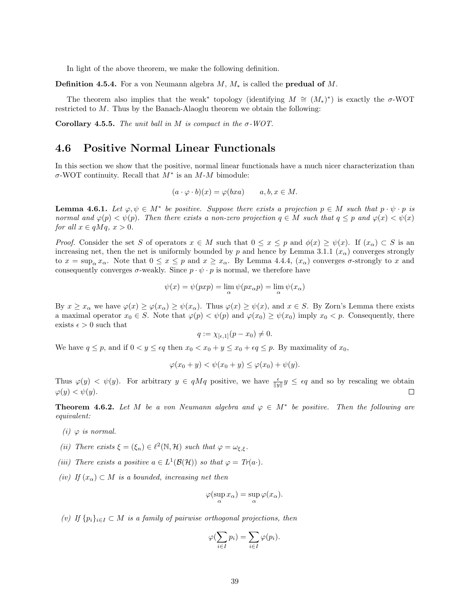In light of the above theorem, we make the following definition.

**Definition 4.5.4.** For a von Neumann algebra  $M$ ,  $M_*$  is called the **predual of**  $M$ .

The theorem also implies that the weak<sup>\*</sup> topology (identifying  $M \cong (M_*)^*$ ) is exactly the  $\sigma$ -WOT restricted to M. Thus by the Banach-Alaoglu theorem we obtain the following:

Corollary 4.5.5. The unit ball in M is compact in the  $\sigma$ -WOT.

#### <span id="page-39-0"></span>4.6 Positive Normal Linear Functionals

In this section we show that the positive, normal linear functionals have a much nicer characterization than  $\sigma$ -WOT continuity. Recall that  $M^*$  is an  $M$ - $M$  bimodule:

$$
(a \cdot \varphi \cdot b)(x) = \varphi(bxa) \qquad a, b, x \in M.
$$

<span id="page-39-1"></span>**Lemma 4.6.1.** Let  $\varphi, \psi \in M^*$  be positive. Suppose there exists a projection  $p \in M$  such that  $p \cdot \psi \cdot p$  is normal and  $\varphi(p) < \psi(p)$ . Then there exists a non-zero projection  $q \in M$  such that  $q \leq p$  and  $\varphi(x) < \psi(x)$ for all  $x \in qMq$ ,  $x > 0$ .

*Proof.* Consider the set S of operators  $x \in M$  such that  $0 \le x \le p$  and  $\phi(x) \ge \psi(x)$ . If  $(x_{\alpha}) \subset S$  is an increasing net, then the net is uniformly bounded by p and hence by Lemma [3.1.1](#page-18-3)  $(x_\alpha)$  converges strongly to  $x = \sup_{\alpha} x_{\alpha}$ . Note that  $0 \le x \le p$  and  $x \ge x_{\alpha}$ . By Lemma [4.4.4,](#page-36-0)  $(x_{\alpha})$  converges  $\sigma$ -strongly to x and consequently converges  $\sigma$ -weakly. Since  $p \cdot \psi \cdot p$  is normal, we therefore have

$$
\psi(x) = \psi(pxp) = \lim_{\alpha} \psi(px_{\alpha}p) = \lim_{\alpha} \psi(x_{\alpha})
$$

By  $x \ge x_\alpha$  we have  $\varphi(x) \ge \varphi(x_\alpha) \ge \psi(x_\alpha)$ . Thus  $\varphi(x) \ge \psi(x)$ , and  $x \in S$ . By Zorn's Lemma there exists a maximal operator  $x_0 \in S$ . Note that  $\varphi(p) < \psi(p)$  and  $\varphi(x_0) \ge \psi(x_0)$  imply  $x_0 < p$ . Consequently, there exists  $\epsilon > 0$  such that

$$
q := \chi_{[\epsilon,1]}(p - x_0) \neq 0.
$$

We have  $q \leq p$ , and if  $0 < y \leq \epsilon q$  then  $x_0 < x_0 + y \leq x_0 + \epsilon q \leq p$ . By maximality of  $x_0$ ,

$$
\varphi(x_0 + y) < \psi(x_0 + y) \leq \varphi(x_0) + \psi(y).
$$

Thus  $\varphi(y) < \psi(y)$ . For arbitrary  $y \in qMq$  positive, we have  $\frac{\epsilon}{\|y\|}y \leq \epsilon q$  and so by rescaling we obtain  $\varphi(y) < \psi(y)$ .  $\Box$ 

**Theorem 4.6.2.** Let M be a von Neumann algebra and  $\varphi \in M^*$  be positive. Then the following are equivalent:

- (i)  $\varphi$  is normal.
- (ii) There exists  $\xi = (\xi_n) \in \ell^2(\mathbb{N}, \mathcal{H})$  such that  $\varphi = \omega_{\xi, \xi}$ .
- (iii) There exists a positive  $a \in L^1(\mathcal{B}(\mathcal{H}))$  so that  $\varphi = Tr(a \cdot)$ .
- (iv) If  $(x_\alpha) \subset M$  is a bounded, increasing net then

$$
\varphi(\sup_{\alpha} x_{\alpha}) = \sup_{\alpha} \varphi(x_{\alpha}).
$$

(v) If  $\{p_i\}_{i\in I} \subset M$  is a family of pairwise orthogonal projections, then

$$
\varphi(\sum_{i\in I}p_i)=\sum_{i\in I}\varphi(p_i).
$$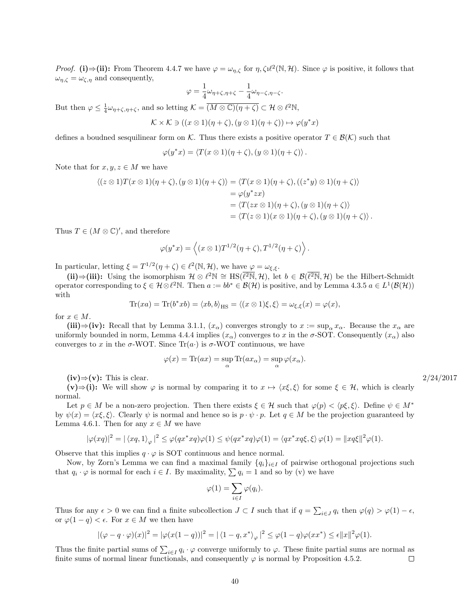*Proof.* (i)  $\Rightarrow$  (ii): From Theorem [4.4.7](#page-37-2) we have  $\varphi = \omega_{\eta,\zeta}$  for  $\eta,\zeta \psi^2(\mathbb{N},\mathcal{H})$ . Since  $\varphi$  is positive, it follows that  $\omega_{\eta,\zeta} = \omega_{\zeta,\eta}$  and consequently,

$$
\varphi = \frac{1}{4}\omega_{\eta+\zeta,\eta+\zeta} - \frac{1}{4}\omega_{\eta-\zeta,\eta-\zeta}.
$$

But then  $\varphi \leq \frac{1}{4} \omega_{\eta + \zeta, \eta + \zeta}$ , and so letting  $\mathcal{K} = \overline{(M \otimes \mathbb{C})(\eta + \zeta)} \subset \mathcal{H} \otimes \ell^2 \mathbb{N}$ ,

$$
\mathcal{K} \times \mathcal{K} \ni ((x \otimes 1)(\eta + \zeta), (y \otimes 1)(\eta + \zeta)) \mapsto \varphi(y^*x)
$$

defines a boudned sesquilinear form on K. Thus there exists a positive operator  $T \in \mathcal{B}(\mathcal{K})$  such that

$$
\varphi(y^*x) = \langle T(x \otimes 1)(\eta + \zeta), (y \otimes 1)(\eta + \zeta) \rangle.
$$

Note that for  $x, y, z \in M$  we have

$$
\langle (z \otimes 1)T(x \otimes 1)(\eta + \zeta), (y \otimes 1)(\eta + \zeta) \rangle = \langle T(x \otimes 1)(\eta + \zeta), ((z^*y) \otimes 1)(\eta + \zeta) \rangle
$$
  
=  $\varphi(y^*zx)$   
=  $\langle T(zx \otimes 1)(\eta + \zeta), (y \otimes 1)(\eta + \zeta) \rangle$   
=  $\langle T(z \otimes 1)(x \otimes 1)(\eta + \zeta), (y \otimes 1)(\eta + \zeta) \rangle.$ 

Thus  $T \in (M \otimes \mathbb{C})'$ , and therefore

$$
\varphi(y^*x) = \langle (x \otimes 1)T^{1/2}(\eta + \zeta), T^{1/2}(\eta + \zeta) \rangle.
$$

In particular, letting  $\xi = T^{1/2}(\eta + \zeta) \in \ell^2(\mathbb{N}, \mathcal{H})$ , we have  $\varphi = \omega_{\xi, \xi}$ .

(ii)⇒(iii): Using the isomorphism  $\mathcal{H} \otimes \ell^2 \mathbb{N} \cong \text{HS}(\overline{\ell^2\mathbb{N}}, \mathcal{H})$ , let  $b \in \mathcal{B}(\overline{\ell^2\mathbb{N}}, \mathcal{H})$  be the Hilbert-Schmidt operator corresponding to  $\xi \in \mathcal{H} \otimes \ell^2 \mathbb{N}$ . Then  $a := bb^* \in \mathcal{B}(\mathcal{H})$  is positive, and by Lemma [4.3.5](#page-34-0)  $a \in L^1(\mathcal{B}(\mathcal{H}))$ with

$$
\text{Tr}(xa) = \text{Tr}(b^*xb) = \langle xb, b \rangle_{\text{HS}} = \langle (x \otimes 1)\xi, \xi \rangle = \omega_{\xi, \xi}(x) = \varphi(x),
$$

for  $x \in M$ .

(iii)⇒(iv): Recall that by Lemma [3.1.1,](#page-18-3)  $(x_\alpha)$  converges strongly to  $x := \sup_\alpha x_\alpha$ . Because the  $x_\alpha$  are uniformly bounded in norm, Lemma [4.4.4](#page-36-0) implies  $(x_\alpha)$  converges to x in the  $\sigma$ -SOT. Consequently  $(x_\alpha)$  also converges to x in the  $\sigma$ -WOT. Since Tr(a) is  $\sigma$ -WOT continuous, we have

$$
\varphi(x) = \text{Tr}(ax) = \sup_{\alpha} \text{Tr}(ax_{\alpha}) = \sup_{\alpha} \varphi(x_{\alpha}).
$$

 $(iv) \Rightarrow (v)$ : This is clear. 2/24/2017

(v)⇒(i): We will show  $\varphi$  is normal by comparing it to  $x \mapsto \langle x\xi, \xi \rangle$  for some  $\xi \in \mathcal{H}$ , which is clearly normal.

Let  $p \in M$  be a non-zero projection. Then there exists  $\xi \in \mathcal{H}$  such that  $\varphi(p) < \langle p\xi, \xi \rangle$ . Define  $\psi \in M^*$ by  $\psi(x) = \langle x\xi, \xi \rangle$ . Clearly  $\psi$  is normal and hence so is  $p \cdot \psi \cdot p$ . Let  $q \in M$  be the projection guaranteed by Lemma [4.6.1.](#page-39-1) Then for any  $x \in M$  we have

$$
|\varphi(xq)|^2 = |\langle xq, 1 \rangle_{\varphi}|^2 \le \varphi(qx^*xq)\varphi(1) \le \psi(qx^*xq)\varphi(1) = \langle qx^*xq\xi, \xi \rangle \varphi(1) = ||xq\xi||^2 \varphi(1).
$$

Observe that this implies  $q \cdot \varphi$  is SOT continuous and hence normal.

Now, by Zorn's Lemma we can find a maximal family  $\{q_i\}_{i\in I}$  of pairwise orthogonal projections such that  $q_i \cdot \varphi$  is normal for each  $i \in I$ . By maximality,  $\sum q_i = 1$  and so by (v) we have

$$
\varphi(1) = \sum_{i \in I} \varphi(q_i).
$$

Thus for any  $\epsilon > 0$  we can find a finite subcollection  $J \subset I$  such that if  $q = \sum_{i \in J} q_i$  then  $\varphi(q) > \varphi(1) - \epsilon$ , or  $\varphi(1-q) < \epsilon$ . For  $x \in M$  we then have

$$
|(\varphi - q \cdot \varphi)(x)|^2 = |\varphi(x(1-q))|^2 = |\langle 1 - q, x^* \rangle_{\varphi}|^2 \leq \varphi(1-q)\varphi(xx^*) \leq \epsilon ||x||^2 \varphi(1).
$$

Thus the finite partial sums of  $\sum_{i\in I} q_i \cdot \varphi$  converge uniformly to  $\varphi$ . These finite partial sums are normal as finite sums of normal linear functionals, and consequently  $\varphi$  is normal by Proposition [4.5.2.](#page-38-1)  $\Box$ 

| /24/201' |
|----------|
|----------|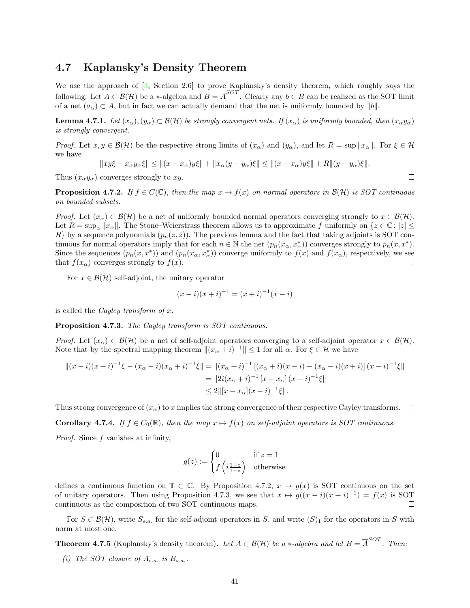#### <span id="page-41-0"></span>4.7 Kaplansky's Density Theorem

We use the approach of  $[3,$  Section 2.6 to prove Kaplansky's density theorem, which roughly says the following: Let  $A \subset \mathcal{B}(\mathcal{H})$  be a ∗-algebra and  $B = \overline{A}^{SOT}$ . Clearly any  $b \in B$  can be realized as the SOT limit of a net  $(a_{\alpha}) \subset A$ , but in fact we can actually demand that the net is uniformly bounded by  $||b||$ .

<span id="page-41-4"></span>**Lemma 4.7.1.** Let  $(x_\alpha), (y_\alpha) \subset \mathcal{B}(\mathcal{H})$  be strongly convergent nets. If  $(x_\alpha)$  is uniformly bounded, then  $(x_\alpha y_\alpha)$ is strongly convergent.

*Proof.* Let  $x, y \in \mathcal{B}(\mathcal{H})$  be the respective strong limits of  $(x_{\alpha})$  and  $(y_{\alpha})$ , and let  $R = \sup ||x_{\alpha}||$ . For  $\xi \in \mathcal{H}$ we have

$$
||xy\xi - x_{\alpha}y_{\alpha}\xi|| \le ||(x - x_{\alpha})y\xi|| + ||x_{\alpha}(y - y_{\alpha})\xi|| \le ||(x - x_{\alpha})y\xi|| + R||(y - y_{\alpha})\xi||.
$$

Thus  $(x_\alpha y_\alpha)$  converges strongly to xy.

<span id="page-41-1"></span>**Proposition 4.7.2.** If  $f \in C(\mathbb{C})$ , then the map  $x \mapsto f(x)$  on normal operators in  $\mathcal{B}(\mathcal{H})$  is SOT continuous on bounded subsets.

*Proof.* Let  $(x_{\alpha}) \subset \mathcal{B}(\mathcal{H})$  be a net of uniformly bounded normal operators converging strongly to  $x \in \mathcal{B}(\mathcal{H})$ . Let  $R = \sup_{\alpha} ||x_{\alpha}||$ . The Stone–Weierstrass theorem allows us to approximate f uniformly on  $\{z \in \mathbb{C} : |z| \leq \alpha\}$ R} by a sequence polynomials  $(p_n(z, \bar{z}))$ . The previous lemma and the fact that taking adjoints is SOT continuous for normal operators imply that for each  $n \in \mathbb{N}$  the net  $(p_n(x_\alpha, x_\alpha^*))$  converges strongly to  $p_n(x, x^*)$ . Since the sequences  $(p_n(x, x^*))$  and  $(p_n(x_{\alpha}, x^*_{\alpha}))$  converge uniformly to  $f(x)$  and  $f(x_{\alpha})$ , respectively, we see that  $f(x_\alpha)$  converges strongly to  $f(x)$ .  $\Box$ 

For  $x \in \mathcal{B}(\mathcal{H})$  self-adjoint, the unitary operator

$$
(x - i)(x + i)^{-1} = (x + i)^{-1}(x - i)
$$

is called the *Cayley transform of x*.

<span id="page-41-2"></span>Proposition 4.7.3. The Cayley transform is SOT continuous.

*Proof.* Let  $(x_\alpha) \subset \mathcal{B}(\mathcal{H})$  be a net of self-adjoint operators converging to a self-adjoint operator  $x \in \mathcal{B}(\mathcal{H})$ . Note that by the spectral mapping theorem  $\|(x_{\alpha} + i)^{-1}\| \leq 1$  for all  $\alpha$ . For  $\xi \in \mathcal{H}$  we have

$$
||(x-i)(x+i)^{-1}\xi - (x_{\alpha} - i)(x_{\alpha} + i)^{-1}\xi|| = ||(x_{\alpha} + i)^{-1}[(x_{\alpha} + i)(x - i) - (x_{\alpha} - i)(x + i)](x - i)^{-1}\xi||
$$
  
\n
$$
= ||2i(x_{\alpha} + i)^{-1}[x - x_{\alpha}](x - i)^{-1}\xi||
$$
  
\n
$$
\leq 2||[x - x_{\alpha}](x - i)^{-1}\xi||.
$$

Thus strong convergence of  $(x_\alpha)$  to x implies the strong convergence of their respective Cayley transforms.  $\Box$ 

<span id="page-41-3"></span>**Corollary 4.7.4.** If  $f \in C_0(\mathbb{R})$ , then the map  $x \mapsto f(x)$  on self-adjoint operators is SOT continuous.

*Proof.* Since  $f$  vanishes at infinity,

$$
g(z) := \begin{cases} 0 & \text{if } z = 1\\ f\left(i\frac{1+z}{1-z}\right) & \text{otherwise} \end{cases}
$$

defines a continuous function on  $\mathbb{T} \subset \mathbb{C}$ . By Proposition [4.7.2,](#page-41-1)  $x \mapsto g(x)$  is SOT continuous on the set of unitary operators. Then using Proposition [4.7.3,](#page-41-2) we see that  $x \mapsto g((x-i)(x+i)^{-1}) = f(x)$  is SOT continuous as the composition of two SOT continuous maps.  $\Box$ 

For  $S \subset \mathcal{B}(\mathcal{H})$ , write  $S_{s,a}$  for the self-adjoint operators in S, and write  $(S)_1$  for the operators in S with norm at most one.

**Theorem 4.7.5** (Kaplansky's density theorem). Let  $A \subset \mathcal{B}(\mathcal{H})$  be a \*-algebra and let  $B = \overline{A}^{SOT}$ . Then:

(i) The SOT closure of  $A_{s.a.}$  is  $B_{s.a.}$ .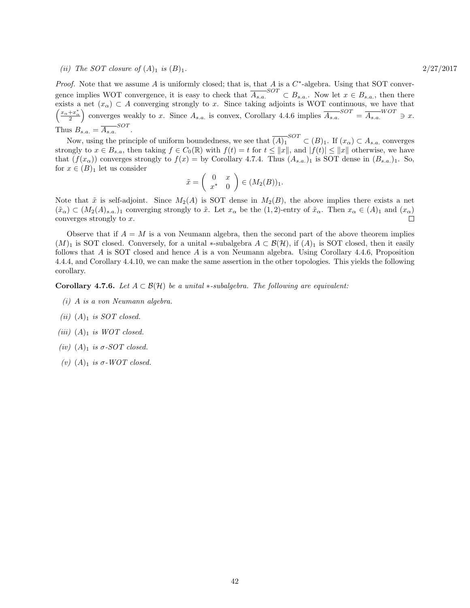#### (ii) The SOT closure of  $(A)_1$  is  $(B)_1$ . 2/27/2017

*Proof.* Note that we assume A is uniformly closed; that is, that A is a  $C^*$ -algebra. Using that SOT convergence implies WOT convergence, it is easy to check that  $\overline{A_{s.a.}}^{SOT} \subset B_{s.a.}$ . Now let  $x \in B_{s.a.}$ , then there exists a net  $(x_\alpha) \subset A$  converging strongly to x. Since taking adjoints is WOT continuous, we have that  $\left(\frac{x_{\alpha}+x_{\alpha}^*}{2}\right)$  converges weakly to x. Since  $A_{s.a.}$  is convex, Corollary [4.4.6](#page-37-1) implies  $\overline{A_{s.a.}}^{SOT} = \overline{A_{s.a.}}^{WOT} \ni x$ . Thus  $B_{s.a.} = \overline{A_{s.a.}}^{SOT}$ .

Now, using the principle of uniform boundedness, we see that  $\overline{(A)_1}^{SOT} \subset (B)_1$ . If  $(x_\alpha) \subset A_{s.a.}$  converges strongly to  $x \in B_{s,a}$ , then taking  $f \in C_0(\mathbb{R})$  with  $f(t) = t$  for  $t \le ||x||$ , and  $|f(t)| \le ||x||$  otherwise, we have that  $(f(x_\alpha))$  converges strongly to  $f(x) =$  by Corollary [4.7.4.](#page-41-3) Thus  $(A_{s.a.})_1$  is SOT dense in  $(B_{s.a.})_1$ . So, for  $x \in (B)_1$  let us consider

$$
\tilde{x} = \left(\begin{array}{cc} 0 & x \\ x^* & 0 \end{array}\right) \in (M_2(B))_1.
$$

Note that  $\tilde{x}$  is self-adjoint. Since  $M_2(A)$  is SOT dense in  $M_2(B)$ , the above implies there exists a net  $(\tilde{x}_{\alpha}) \subset (M_2(A)_{s,a})$  converging strongly to  $\tilde{x}$ . Let  $x_{\alpha}$  be the  $(1, 2)$ -entry of  $\tilde{x}_{\alpha}$ . Then  $x_{\alpha} \in (A)_1$  and  $(x_{\alpha})$ converges strongly to  $x$ .  $\Box$ 

Observe that if  $A = M$  is a von Neumann algebra, then the second part of the above theorem implies  $(M)_1$  is SOT closed. Conversely, for a unital \*-subalgebra  $A \subset \mathcal{B}(\mathcal{H})$ , if  $(A)_1$  is SOT closed, then it easily follows that A is SOT closed and hence A is a von Neumann algebra. Using Corollary [4.4.6,](#page-37-1) Proposition [4.4.4,](#page-36-0) and Corollary [4.4.10,](#page-38-2) we can make the same assertion in the other topologies. This yields the following corollary.

**Corollary 4.7.6.** Let  $A \subset \mathcal{B}(\mathcal{H})$  be a unital  $*$ -subalgebra. The following are equivalent:

- (i) A is a von Neumann algebra.
- (ii)  $(A)_1$  is SOT closed.
- (iii)  $(A)_1$  is WOT closed.
- (iv)  $(A)_1$  is  $\sigma$ -SOT closed.
- (v)  $(A)_1$  is  $\sigma$ -WOT closed.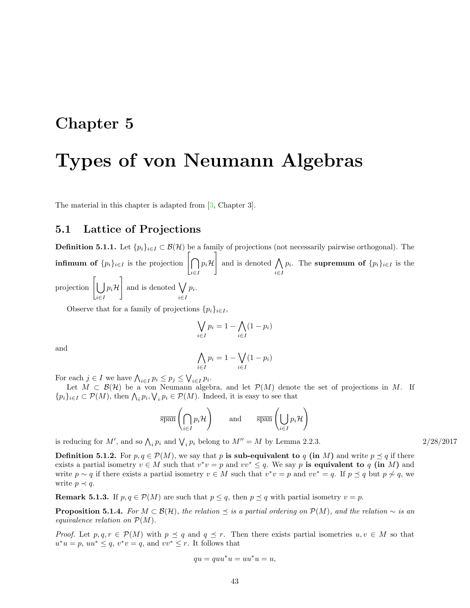### <span id="page-43-0"></span>Chapter 5

## Types of von Neumann Algebras

The material in this chapter is adapted from [\[3,](#page-70-1) Chapter 3].

#### <span id="page-43-1"></span>5.1 Lattice of Projections

**Definition 5.1.1.** Let  $\{p_i\}_{i\in I} \subset \mathcal{B}(\mathcal{H})$  be a family of projections (not necessarily pairwise orthogonal). The infimum of  $\{p_i\}_{i\in I}$  is the projection  $\left[\bigcap \right]$ i∈I  $p_i$ H and is denoted  $\bigwedge$ i∈I  $p_i$ . The supremum of  $\{p_i\}_{i\in I}$  is the projection  $\Big[ \begin{array}{c} \end{array} \Big]$ i∈I  $p_i$ H  $\Big]$  and is denoted  $\bigvee$ i∈I  $p_i$ .

Observe that for a family of projections  $\{p_i\}_{i\in I}$ ,

$$
\bigvee_{i \in I} p_i = 1 - \bigwedge_{i \in I} (1 - p_i)
$$

and

$$
\bigwedge_{i \in I} p_i = 1 - \bigvee_{i \in I} (1 - p_i)
$$

For each  $j \in I$  we have  $\bigwedge_{i \in I} p_i \leq p_j \leq \bigvee_{i \in I} p_i$ .

Let  $M \subset \mathcal{B}(\mathcal{H})$  be a von Neumann algebra, and let  $\mathcal{P}(M)$  denote the set of projections in M. If  $\{p_i\}_{i\in I}\subset \mathcal{P}(M)$ , then  $\bigwedge_i p_i, \bigvee_i p_i \in \mathcal{P}(M)$ . Indeed, it is easy to see that

$$
\overline{\text{span}}\left(\bigcap_{i\in I}p_i\mathcal{H}\right) \qquad \text{and} \qquad \overline{\text{span}}\left(\bigcup_{i\in I}p_i\mathcal{H}\right)
$$

is reducing for M', and so  $\bigwedge_i p_i$  and  $\bigvee_i p_i$  belong to  $M'' = M$  by Lemma [2.2.3.](#page-9-1) 2/28/2017

**Definition 5.1.2.** For  $p, q \in \mathcal{P}(M)$ , we say that p is sub-equivalent to q (in M) and write  $p \preceq q$  if there exists a partial isometry  $v \in M$  such that  $v^*v = p$  and  $vv^* \leq q$ . We say p is equivalent to q (in M) and write  $p \sim q$  if there exists a partial isometry  $v \in M$  such that  $v^*v = p$  and  $vv^* = q$ . If  $p \preceq q$  but  $p \not\sim q$ , we write  $p \prec q$ .

**Remark 5.1.3.** If  $p, q \in \mathcal{P}(M)$  are such that  $p \leq q$ , then  $p \preceq q$  with partial isometry  $v = p$ .

**Proposition 5.1.4.** For  $M \subset \mathcal{B}(\mathcal{H})$ , the relation  $\preceq$  is a partial ordering on  $\mathcal{P}(M)$ , and the relation  $\sim$  is an equivalence relation on  $\mathcal{P}(M)$ .

*Proof.* Let  $p, q, r \in \mathcal{P}(M)$  with  $p \preceq q$  and  $q \preceq r$ . Then there exists partial isometries  $u, v \in M$  so that  $u^*u = p$ ,  $uu^* \leq q$ ,  $v^*v = q$ , and  $vv^* \leq r$ . It follows that

$$
qu = quu^*u = uu^*u = u,
$$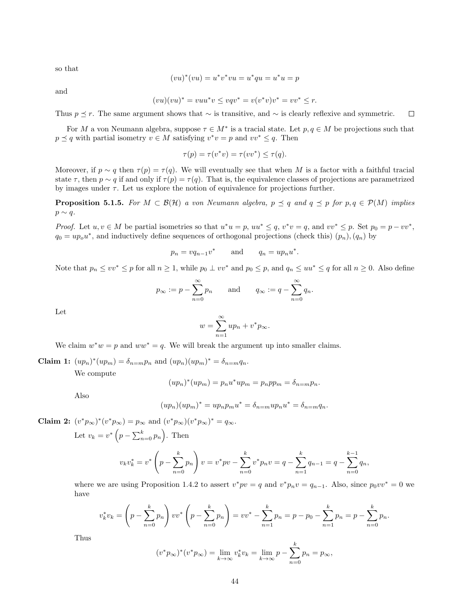so that

$$
(vu)^*(vu) = u^*v^*vu = u^*qu = u^*u = p
$$

and

$$
(vu)(vu)^* = vuu^*v \le vqv^* = v(v^*v)v^* = vv^* \le r.
$$

Thus  $p \le r$ . The same argument shows that ∼ is transitive, and ∼ is clearly reflexive and symmetric.  $\Box$ 

For M a von Neumann algebra, suppose  $\tau \in M^*$  is a tracial state. Let  $p, q \in M$  be projections such that  $p \leq q$  with partial isometry  $v \in M$  satisfying  $v^*v = p$  and  $vv^* \leq q$ . Then

$$
\tau(p) = \tau(v^*v) = \tau(vv^*) \le \tau(q).
$$

Moreover, if  $p \sim q$  then  $\tau(p) = \tau(q)$ . We will eventually see that when M is a factor with a faithful tracial state  $\tau$ , then  $p \sim q$  if and only if  $\tau(p) = \tau(q)$ . That is, the equivalence classes of projections are parametrized by images under  $\tau$ . Let us explore the notion of equivalence for projections further.

<span id="page-44-0"></span>**Proposition 5.1.5.** For  $M \subset \mathcal{B}(\mathcal{H})$  a von Neumann algebra,  $p \preceq q$  and  $q \preceq p$  for  $p, q \in \mathcal{P}(M)$  implies  $p \sim q$ .

*Proof.* Let  $u, v \in M$  be partial isometries so that  $u^*u = p$ ,  $uu^* \leq q$ ,  $v^*v = q$ , and  $vv^* \leq p$ . Set  $p_0 = p - vv^*$ ,  $q_0 = up_0 u^*$ , and inductively define sequences of orthogonal projections (check this)  $(p_n)$ ,  $(q_n)$  by

$$
p_n = vq_{n-1}v^* \qquad \text{and} \qquad q_n = up_nu^*.
$$

Note that  $p_n \leq v v^* \leq p$  for all  $n \geq 1$ , while  $p_0 \perp v v^*$  and  $p_0 \leq p$ , and  $q_n \leq u u^* \leq q$  for all  $n \geq 0$ . Also define

$$
p_{\infty} := p - \sum_{n=0}^{\infty} p_n
$$
 and  $q_{\infty} := q - \sum_{n=0}^{\infty} q_n$ .

Let

$$
w = \sum_{n=1}^{\infty} u p_n + v^* p_{\infty}.
$$

We claim  $w^*w = p$  and  $ww^* = q$ . We will break the argument up into smaller claims.

**Claim 1:**  $(up_n)^*(up_m) = \delta_{n=m}p_n$  and  $(up_n)(up_m)^* = \delta_{n=m}q_n$ .

We compute

$$
(upn)*(upm) = pnu*upm = pnppm = \deltan=mpn.
$$

Also

$$
(upn)(upm)* = upn pm u* = \deltan=m upn u* = \deltan=m qn.
$$

**Claim 2:**  $(v^* p_{\infty})^*(v^* p_{\infty}) = p_{\infty}$  and  $(v^* p_{\infty}) (v^* p_{\infty})^* = q_{\infty}$ .

Let  $v_k = v^* \left( p - \sum_{n=0}^k p_n \right)$ . Then

$$
v_kv_k^* = v^* \left(p - \sum_{n=0}^k p_n\right)v = v^*pv - \sum_{n=0}^k v^*p_nv = q - \sum_{n=1}^k q_{n-1} = q - \sum_{n=0}^{k-1} q_n,
$$

where we are using Proposition [1.4.2](#page-5-2) to assert  $v^*pv = q$  and  $v^*p_nv = q_{n-1}$ . Also, since  $p_0vv^* = 0$  we have

$$
v_k^* v_k = \left(p - \sum_{n=0}^k p_n\right) v v^* \left(p - \sum_{n=0}^k p_n\right) = v v^* - \sum_{n=1}^k p_n = p - p_0 - \sum_{n=1}^k p_n = p - \sum_{n=0}^k p_n.
$$

Thus

$$
(v^*p_\infty)^*(v^*p_\infty) = \lim_{k \to \infty} v_k^* v_k = \lim_{k \to \infty} p - \sum_{n=0}^k p_n = p_\infty,
$$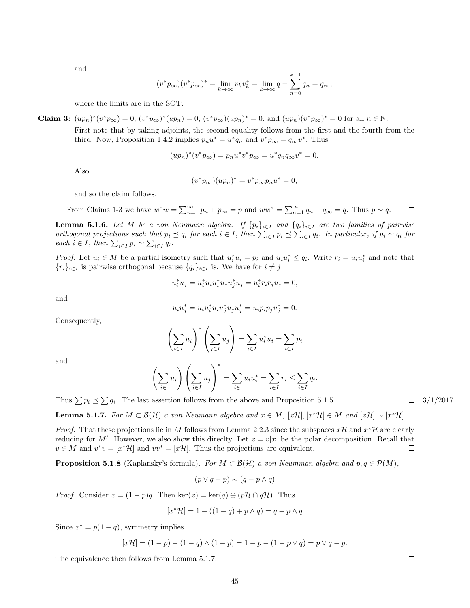and

$$
(v^* p_\infty)(v^* p_\infty)^* = \lim_{k \to \infty} v_k v_k^* = \lim_{k \to \infty} q - \sum_{n=0}^{k-1} q_n = q_\infty,
$$

where the limits are in the SOT.

**Claim 3:** 
$$
(up_n)^*(v^*p_\infty) = 0
$$
,  $(v^*p_\infty)^*(up_n) = 0$ ,  $(v^*p_\infty)(up_n)^* = 0$ , and  $(up_n)(v^*p_\infty)^* = 0$  for all  $n \in \mathbb{N}$ .

First note that by taking adjoints, the second equality follows from the first and the fourth from the third. Now, Proposition [1.4.2](#page-5-2) implies  $p_n u^* = u^* q_n$  and  $v^* p_{\infty} = q_{\infty} v^*$ . Thus

$$
(upn)*(v*p\infty) = pnu*v*p\infty = u*qnq\inftyv* = 0.
$$

Also

$$
(v^*p_\infty)(up_n)^* = v^*p_\infty p_n u^* = 0,
$$

and so the claim follows.

From Clains 1-3 we have 
$$
w^*w = \sum_{n=1}^{\infty} p_n + p_{\infty} = p
$$
 and  $ww^* = \sum_{n=1}^{\infty} q_n + q_{\infty} = q$ . Thus  $p \sim q$ .  $\square$ 

<span id="page-45-1"></span>**Lemma 5.1.6.** Let M be a von Neumann algebra. If  $\{p_i\}_{i\in I}$  and  $\{q_i\}_{i\in I}$  are two families of pairwise orthogonal projections such that  $p_i \leq q_i$  for each  $i \in I$ , then  $\sum_{i \in I} p_i \leq \sum_{i \in I} q_i$ . In particular, if  $p_i \sim q_i$  for each  $i \in I$ , then  $\sum_{i \in I} p_i \sim \sum_{i \in I} q_i$ .

*Proof.* Let  $u_i \in M$  be a partial isometry such that  $u_i^* u_i = p_i$  and  $u_i u_i^* \leq q_i$ . Write  $r_i = u_i u_i^*$  and note that  ${r_i}_{i\in I}$  is pairwise orthogonal because  ${q_i}_{i\in I}$  is. We have for  $i \neq j$ 

$$
u_i^* u_j = u_i^* u_i u_i^* u_j u_j^* u_j = u_i^* r_i r_j u_j = 0,
$$

and

$$
u_i u_j^* = u_i u_i^* u_i u_j^* u_j u_j^* = u_i p_i p_j u_j^* = 0.
$$

Consequently,

$$
\left(\sum_{i\in I} u_i\right)^* \left(\sum_{j\in I} u_j\right) = \sum_{i\in I} u_i^* u_i = \sum_{i\in I} p_i
$$

and

$$
\left(\sum_{i\in} u_i\right) \left(\sum_{j\in I} u_j\right)^* = \sum_{i\in I} u_i u_i^* = \sum_{i\in I} r_i \le \sum_{i\in I} q_i.
$$

Thus  $\sum p_i \leq \sum q_i$ . The last assertion follows from the above and Proposition [5.1.5.](#page-44-0)  $\Box$  3/1/2017

<span id="page-45-0"></span>**Lemma 5.1.7.** For  $M \subset \mathcal{B}(\mathcal{H})$  a von Neumann algebra and  $x \in M$ ,  $[x\mathcal{H}], [x^*\mathcal{H}] \in M$  and  $[x\mathcal{H}] \sim [x^*\mathcal{H}].$ 

*Proof.* That these projections lie in M follows from Lemma [2.2.3](#page-9-1) since the subspaces  $x\overline{\mathcal{H}}$  and  $x^*\overline{\mathcal{H}}$  are clearly reducing for M'. However, we also show this direclty. Let  $x = v|x|$  be the polar decomposition. Recall that  $v \in M$  and  $v^*v = [x^*\mathcal{H}]$  and  $vv^* = [x\mathcal{H}]$ . Thus the projections are equivalent.  $\Box$ 

**Proposition 5.1.8** (Kaplansky's formula). For  $M \subset \mathcal{B}(\mathcal{H})$  a von Neumman algebra and  $p, q \in \mathcal{P}(M)$ ,

$$
(p \lor q - p) \sim (q - p \land q)
$$

*Proof.* Consider  $x = (1 - p)q$ . Then ker $(x) = \ker(q) \oplus (p\mathcal{H} \cap q\mathcal{H})$ . Thus

$$
[x^*\mathcal{H}] = 1 - ((1-q) + p \wedge q) = q - p \wedge q
$$

Since  $x^* = p(1-q)$ , symmetry implies

$$
[x\mathcal{H}] = (1-p) - (1-q) \wedge (1-p) = 1-p - (1-p \vee q) = p \vee q - p.
$$

The equivalence then follows from Lemma [5.1.7.](#page-45-0)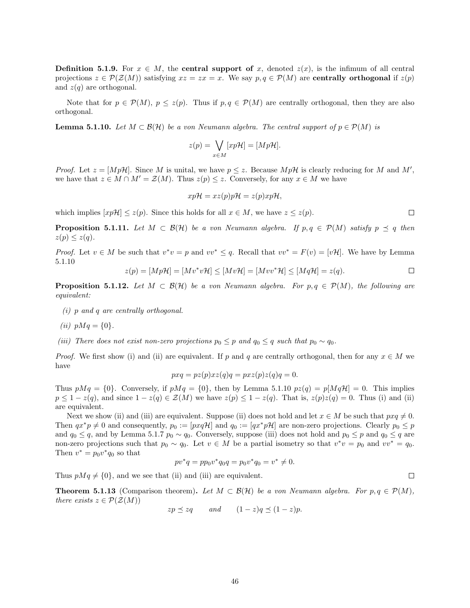**Definition 5.1.9.** For  $x \in M$ , the **central support of** x, denoted  $z(x)$ , is the infimum of all central projections  $z \in \mathcal{P}(\mathcal{Z}(M))$  satisfying  $xz = zx = x$ . We say  $p, q \in \mathcal{P}(M)$  are centrally orthogonal if  $z(p)$ and  $z(q)$  are orthogonal.

Note that for  $p \in \mathcal{P}(M)$ ,  $p \leq z(p)$ . Thus if  $p, q \in \mathcal{P}(M)$  are centrally orthogonal, then they are also orthogonal.

<span id="page-46-0"></span>**Lemma 5.1.10.** Let  $M \subset \mathcal{B}(\mathcal{H})$  be a von Neumann algebra. The central support of  $p \in \mathcal{P}(M)$  is

$$
z(p) = \bigvee_{x \in M} [xp\mathcal{H}] = [Mp\mathcal{H}].
$$

*Proof.* Let  $z = [MpH]$ . Since M is unital, we have  $p \leq z$ . Because  $MpH$  is clearly reducing for M and M', we have that  $z \in M \cap M' = \mathcal{Z}(M)$ . Thus  $z(p) \leq z$ . Conversely, for any  $x \in M$  we have

$$
xp\mathcal{H} = xz(p)p\mathcal{H} = z(p)xp\mathcal{H},
$$

which implies  $[xp\mathcal{H}] \leq z(p)$ . Since this holds for all  $x \in M$ , we have  $z \leq z(p)$ .

<span id="page-46-2"></span>**Proposition 5.1.11.** Let  $M \subset \mathcal{B}(\mathcal{H})$  be a von Neumann algebra. If  $p, q \in \mathcal{P}(M)$  satisfy  $p \preceq q$  then  $z(p) \leq z(q)$ .

*Proof.* Let  $v \in M$  be such that  $v^*v = p$  and  $vv^* \leq q$ . Recall that  $vv^* = F(v) = [v\mathcal{H}]$ . We have by Lemma [5.1.10](#page-46-0)

$$
z(p) = [Mp\mathcal{H}] = [Mv^*v\mathcal{H}] \le [Mv\mathcal{H}] = [Mvv^*\mathcal{H}] \le [Mq\mathcal{H}] = z(q).
$$

<span id="page-46-1"></span>**Proposition 5.1.12.** Let  $M \subset \mathcal{B}(\mathcal{H})$  be a von Neumann algebra. For  $p, q \in \mathcal{P}(M)$ , the following are equivalent:

- (i) p and q are centrally orthogonal.
- (*ii*)  $pMq = \{0\}.$
- (iii) There does not exist non-zero projections  $p_0 \leq p$  and  $q_0 \leq q$  such that  $p_0 \sim q_0$ .

*Proof.* We first show (i) and (ii) are equivalent. If p and q are centrally orthogonal, then for any  $x \in M$  we have

$$
pxq = pz(p)xz(q)q = pxz(p)z(q)q = 0.
$$

Thus  $pMq = \{0\}$ . Conversely, if  $pMq = \{0\}$ , then by Lemma [5.1.10](#page-46-0)  $pz(q) = p[MqH] = 0$ . This implies  $p \leq 1 - z(q)$ , and since  $1 - z(q) \in \mathcal{Z}(M)$  we have  $z(p) \leq 1 - z(q)$ . That is,  $z(p)z(q) = 0$ . Thus (i) and (ii) are equivalent.

Next we show (ii) and (iii) are equivalent. Suppose (ii) does not hold and let  $x \in M$  be such that  $pxq \neq 0$ . Then  $qx^*p \neq 0$  and consequently,  $p_0 := [pxq\mathcal{H}]$  and  $q_0 := [qx^*p\mathcal{H}]$  are non-zero projections. Clearly  $p_0 \leq p$ and  $q_0 \leq q$ , and by Lemma [5.1.7](#page-45-0)  $p_0 \sim q_0$ . Conversely, suppose (iii) does not hold and  $p_0 \leq p$  and  $q_0 \leq q$  are non-zero projections such that  $p_0 \sim q_0$ . Let  $v \in M$  be a partial isometry so that  $v^*v = p_0$  and  $vv^* = q_0$ . Then  $v^* = p_0 v^* q_0$  so that

$$
pv^*q = pp_0v^*q_0q = p_0v^*q_0 = v^* \neq 0.
$$

Thus  $pMq \neq \{0\}$ , and we see that (ii) and (iii) are equivalent.

**Theorem 5.1.13** (Comparison theorem). Let  $M \subset \mathcal{B}(\mathcal{H})$  be a von Neumann algebra. For  $p, q \in \mathcal{P}(M)$ , there exists  $z \in \mathcal{P}(\mathcal{Z}(M))$ 

$$
zp \preceq zq
$$
 and  $(1-z)q \preceq (1-z)p$ .

 $\Box$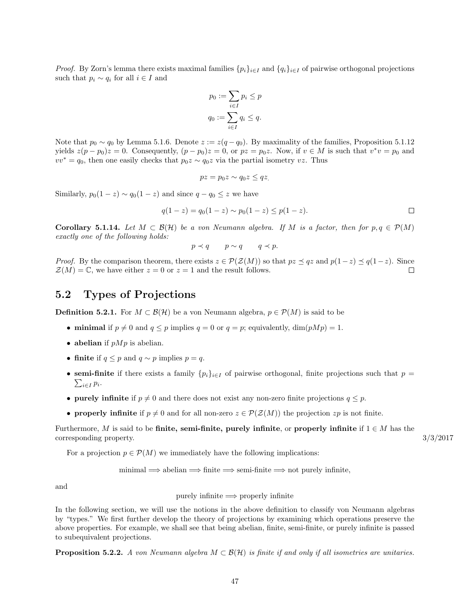*Proof.* By Zorn's lemma there exists maximal families  $\{p_i\}_{i\in I}$  and  $\{q_i\}_{i\in I}$  of pairwise orthogonal projections such that  $p_i \sim q_i$  for all  $i \in I$  and

$$
p_0 := \sum_{i \in I} p_i \le p
$$

$$
q_0 := \sum_{i \in I} q_i \le q.
$$

Note that  $p_0 \sim q_0$  by Lemma [5.1.6.](#page-45-1) Denote  $z := z(q - q_0)$ . By maximality of the families, Proposition [5.1.12](#page-46-1) yields  $z(p - p_0)z = 0$ . Consequently,  $(p - p_0)z = 0$ , or  $pz = p_0z$ . Now, if  $v \in M$  is such that  $v^*v = p_0$  and  $vv^* = q_0$ , then one easily checks that  $p_0z \sim q_0z$  via the partial isometry vz. Thus

$$
pz = p_0 z \sim q_0 z \leq qz
$$

Similarly,  $p_0(1-z) \sim q_0(1-z)$  and since  $q - q_0 \leq z$  we have

$$
q(1-z) = q_0(1-z) \sim p_0(1-z) \le p(1-z).
$$

**Corollary 5.1.14.** Let  $M \subset \mathcal{B}(\mathcal{H})$  be a von Neumann algebra. If M is a factor, then for  $p, q \in \mathcal{P}(M)$ exactly one of the following holds:

 $p \prec q$   $p \sim q$   $q \prec p$ .

*Proof.* By the comparison theorem, there exists  $z \in \mathcal{P}(\mathcal{Z}(M))$  so that  $pz \preceq qz$  and  $p(1-z) \preceq q(1-z)$ . Since  $\mathcal{Z}(M) = \mathbb{C}$ , we have either  $z = 0$  or  $z = 1$  and the result follows.  $\Box$ 

#### <span id="page-47-0"></span>5.2 Types of Projections

**Definition 5.2.1.** For  $M \subset \mathcal{B}(\mathcal{H})$  be a von Neumann algebra,  $p \in \mathcal{P}(M)$  is said to be

- minimal if  $p \neq 0$  and  $q \leq p$  implies  $q = 0$  or  $q = p$ ; equivalently,  $\dim(pMp) = 1$ .
- abelian if  $pMp$  is abelian.
- finite if  $q \leq p$  and  $q \sim p$  implies  $p = q$ .
- semi-finite if there exists a family  $\{p_i\}_{i\in I}$  of pairwise orthogonal, finite projections such that  $p =$  $\sum_{i\in I} p_i$ .
- purely infinite if  $p \neq 0$  and there does not exist any non-zero finite projections  $q \leq p$ .
- properly infinite if  $p \neq 0$  and for all non-zero  $z \in \mathcal{P}(\mathcal{Z}(M))$  the projection  $zp$  is not finite.

Furthermore, M is said to be finite, semi-finite, purely infinite, or properly infinite if  $1 \in M$  has the corresponding property.  $3/3/2017$ 

For a projection  $p \in \mathcal{P}(M)$  we immediately have the following implications:

 $minimal \implies abelian \implies finite \implies semi-finite \implies not purely infinite,$ 

and

purely infinite  $\implies$  properly infinite

In the following section, we will use the notions in the above definition to classify von Neumann algebras by "types." We first further develop the theory of projections by examining which operations preserve the above properties. For example, we shall see that being abelian, finite, semi-finite, or purely infinite is passed to subequivalent projections.

**Proposition 5.2.2.** A von Neumann algebra  $M \subset \mathcal{B}(\mathcal{H})$  is finite if and only if all isometries are unitaries.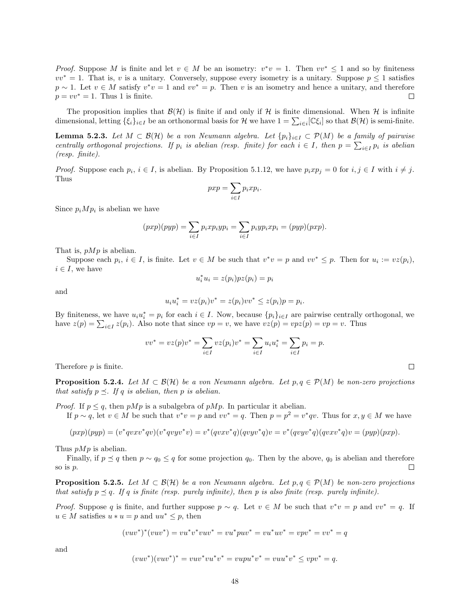*Proof.* Suppose M is finite and let  $v \in M$  be an isometry:  $v^*v = 1$ . Then  $vv^* \leq 1$  and so by finiteness  $vv^* = 1$ . That is, v is a unitary. Conversely, suppose every isometry is a unitary. Suppose  $p \leq 1$  satisfies  $p \sim 1$ . Let  $v \in M$  satisfy  $v^*v = 1$  and  $vv^* = p$ . Then v is an isometry and hence a unitary, and therefore  $p = vv^* = 1$ . Thus 1 is finite.  $\Box$ 

The proposition implies that  $\mathcal{B}(\mathcal{H})$  is finite if and only if H is finite dimensional. When H is infinite dimensional, letting  $\{\xi_i\}_{i\in I}$  be an orthonormal basis for H we have  $1 = \sum_{i\in I} [\mathbb{C}\xi_i]$  so that  $\mathcal{B}(\mathcal{H})$  is semi-finite.

<span id="page-48-1"></span>**Lemma 5.2.3.** Let  $M \subset \mathcal{B}(\mathcal{H})$  be a von Neumann algebra. Let  $\{p_i\}_{i\in I} \subset \mathcal{P}(M)$  be a family of pairwise centrally orthogonal projections. If  $p_i$  is abelian (resp. finite) for each  $i \in I$ , then  $p = \sum_{i \in I} p_i$  is abelian (resp. finite).

*Proof.* Suppose each  $p_i$ ,  $i \in I$ , is abelian. By Proposition [5.1.12,](#page-46-1) we have  $p_i x p_j = 0$  for  $i, j \in I$  with  $i \neq j$ . Thus

$$
pxp = \sum_{i \in I} p_i xp_i.
$$

Since  $p_i Mp_i$  is abelian we have

$$
(pxp)(pyp) = \sum_{i \in I} p_i xp_iyp_i = \sum_{i \in I} p_iyp_ixp_i = (pyp)(pxp).
$$

That is,  $pMp$  is abelian.

Suppose each  $p_i, i \in I$ , is finite. Let  $v \in M$  be such that  $v^*v = p$  and  $vv^* \leq p$ . Then for  $u_i := vz(p_i)$ ,  $i \in I$ , we have

$$
u_i^* u_i = z(p_i) p z(p_i) = p_i
$$

and

$$
u_i u_i^* = vz(p_i)v^* = z(p_i)v v^* \le z(p_i)p = p_i.
$$

By finiteness, we have  $u_i u_i^* = p_i$  for each  $i \in I$ . Now, because  $\{p_i\}_{i \in I}$  are pairwise centrally orthogonal, we have  $z(p) = \sum_{i \in I} z(p_i)$ . Also note that since  $vp = v$ , we have  $vz(p) = vpz(p) = vp = v$ . Thus

$$
vv^* = vz(p)v^* = \sum_{i \in I} vz(p_i)v^* = \sum_{i \in I} u_i u_i^* = \sum_{i \in I} p_i = p.
$$

Therefore p is finite.

**Proposition 5.2.4.** Let  $M \subset \mathcal{B}(\mathcal{H})$  be a von Neumann algebra. Let  $p, q \in \mathcal{P}(M)$  be non-zero projections that satisfy  $p \preceq$ . If q is abelian, then p is abelian.

*Proof.* If  $p \leq q$ , then  $pMp$  is a subalgebra of  $pMp$ . In particular it abelian. If  $p \sim q$ , let  $v \in M$  be such that  $v^*v = p$  and  $vv^* = q$ . Then  $p = p^2 = v^*qv$ . Thus for  $x, y \in M$  we have

$$
(pxp)(pyp) = (v^*qvxv^*qv)(v^*qvyv^*v) = v^*(qvxv^*q)(qvyv^*q)v = v^*(qvyv^*q)(qvxv^*q)v = (pyp)(pxp).
$$

Thus  $pMp$  is abelian.

Finally, if  $p \preceq q$  then  $p \sim q_0 \leq q$  for some projection  $q_0$ . Then by the above,  $q_0$  is abelian and therefore so is  $p$ .  $\Box$ 

<span id="page-48-0"></span>**Proposition 5.2.5.** Let  $M \subset \mathcal{B}(\mathcal{H})$  be a von Neumann algebra. Let  $p, q \in \mathcal{P}(M)$  be non-zero projections that satisfy  $p \preceq q$ . If q is finite (resp. purely infinite), then p is also finite (resp. purely infinite).

*Proof.* Suppose q is finite, and further suppose  $p \sim q$ . Let  $v \in M$  be such that  $v^*v = p$  and  $vv^* = q$ . If  $u \in M$  satisfies  $u * u = p$  and  $uu^* \leq p$ , then

$$
(vuv^*)^*(vuv^*) = vu^*v^*vuv^* = vu^*puv^* = vu^*uv^* = vpv^* = vv^* = q
$$

and

$$
(vuv^*)(vuv^*)^* = vuv^*vu^*v^* = vupu^*v^* = vuu^*v^* \le vpv^* = q.
$$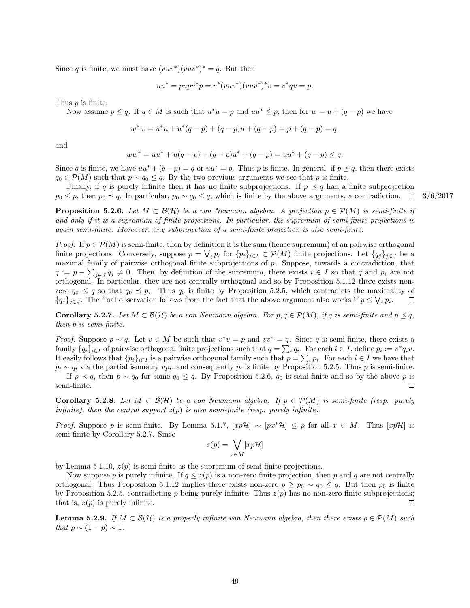Since q is finite, we must have  $(vuv^*)(vuv^*)^* = q$ . But then

$$
uu^* = pupu^*p = v^*(vuv^*)(vuv^*)^*v = v^*qv = p.
$$

Thus *p* is finite.

Now assume  $p \leq q$ . If  $u \in M$  is such that  $u^*u = p$  and  $uu^* \leq p$ , then for  $w = u + (q - p)$  we have

$$
w^*w = u^*u + u^*(q-p) + (q-p)u + (q-p) = p + (q-p) = q,
$$

and

$$
ww^* = uu^* + u(q-p) + (q-p)u^* + (q-p) = uu^* + (q-p) \le q.
$$

Since q is finite, we have  $uu^* + (q - p) = q$  or  $uu^* = p$ . Thus p is finite. In general, if  $p \preceq q$ , then there exists  $q_0 \in \mathcal{P}(M)$  such that  $p \sim q_0 \leq q$ . By the two previous arguments we see that p is finite.

Finally, if q is purely infinite then it has no finite subprojections. If  $p \preceq q$  had a finite subprojection  $p_0 \leq p$ , then  $p_0 \leq q$ . In particular,  $p_0 \sim q_0 \leq q$ , which is finite by the above arguments, a contradiction.  $\Box$  3/6/2017

<span id="page-49-0"></span>**Proposition 5.2.6.** Let  $M \subset \mathcal{B}(\mathcal{H})$  be a von Neumann algebra. A projection  $p \in \mathcal{P}(M)$  is semi-finite if and only if it is a supremum of finite projections. In particular, the supremum of semi-finite projections is again semi-finite. Moreover, any subprojection of a semi-finite projection is also semi-finite.

*Proof.* If  $p \in \mathcal{P}(M)$  is semi-finite, then by definition it is the sum (hence supremum) of an pairwise orthogonal finite projections. Conversely, suppose  $p = \bigvee_i p_i$  for  $\{p_i\}_{i \in I} \subset \mathcal{P}(M)$  finite projections. Let  $\{q_j\}_{j \in J}$  be a maximal family of pairwise orthogonal finite subprojections of p. Suppose, towards a contradiction, that  $q := p - \sum_{j \in J} q_j \neq 0$ . Then, by definition of the supremum, there exists  $i \in I$  so that q and  $p_i$  are not orthogonal. In particular, they are not centrally orthogonal and so by Proposition [5.1.12](#page-46-1) there exists nonzero  $q_0 \leq q$  so that  $q_0 \leq p_i$ . Thus  $q_0$  is finite by Proposition [5.2.5,](#page-48-0) which contradicts the maximality of  ${q_j}_{j\in J}$ . The final observation follows from the fact that the above argument also works if  $p \leq \bigvee_i p_i$ .  $\Box$ 

<span id="page-49-1"></span>**Corollary 5.2.7.** Let  $M \subset \mathcal{B}(\mathcal{H})$  be a von Neumann algebra. For  $p, q \in \mathcal{P}(M)$ , if q is semi-finite and  $p \preceq q$ , then p is semi-finite.

*Proof.* Suppose  $p \sim q$ . Let  $v \in M$  be such that  $v^*v = p$  and  $vv^* = q$ . Since q is semi-finite, there exists a family  $\{q_i\}_{i\in I}$  of pairwise orthogonal finite projections such that  $q = \sum_i q_i$ . For each  $i \in I$ , define  $p_i := v^* q_i v$ . It easily follows that  $\{p_i\}_{i\in I}$  is a pairwise orthogonal family such that  $p=\sum_i p_i$ . For each  $i\in I$  we have that  $p_i \sim q_i$  via the partial isometry  $vp_i$ , and consequently  $p_i$  is finite by Proposition [5.2.5.](#page-48-0) Thus p is semi-finite.

If  $p \prec q$ , then  $p \sim q_0$  for some  $q_0 \leq q$ . By Proposition [5.2.6,](#page-49-0)  $q_0$  is semi-finite and so by the above p is semi-finite.  $\Box$ 

<span id="page-49-3"></span>Corollary 5.2.8. Let  $M \subset \mathcal{B}(\mathcal{H})$  be a von Neumann algebra. If  $p \in \mathcal{P}(M)$  is semi-finite (resp. purely infinite), then the central support  $z(p)$  is also semi-finite (resp. purely infinite).

*Proof.* Suppose p is semi-finite. By Lemma [5.1.7,](#page-45-0)  $[xpH] \sim [px^*H] \leq p$  for all  $x \in M$ . Thus  $[xpH]$  is semi-finite by Corollary [5.2.7.](#page-49-1) Since

$$
z(p) = \bigvee_{x \in M} [xp\mathcal{H}]
$$

by Lemma [5.1.10,](#page-46-0)  $z(p)$  is semi-finite as the supremum of semi-finite projections.

Now suppose p is purely infinite. If  $q \leq z(p)$  is a non-zero finite projection, then p and q are not centrally orthogonal. Thus Proposition [5.1.12](#page-46-1) implies there exists non-zero  $p \geq p_0 \sim q_0 \leq q$ . But then  $p_0$  is finite by Proposition [5.2.5,](#page-48-0) contradicting p being purely infinite. Thus  $z(p)$  has no non-zero finite subprojections; that is,  $z(p)$  is purely infinite.  $\Box$ 

<span id="page-49-2"></span>**Lemma 5.2.9.** If  $M \subset \mathcal{B}(\mathcal{H})$  is a properly infinite von Neumann algebra, then there exists  $p \in \mathcal{P}(M)$  such that  $p \sim (1-p) \sim 1$ .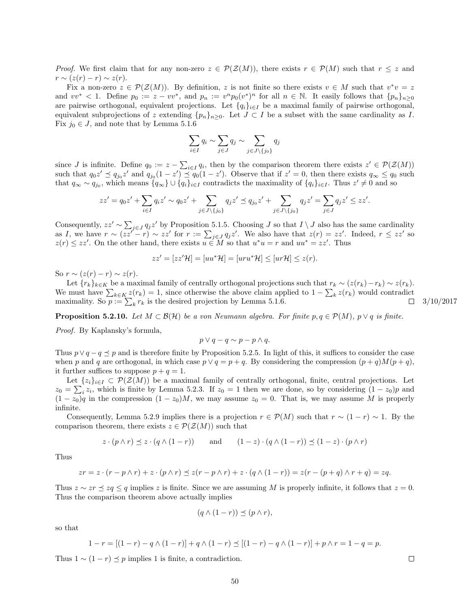*Proof.* We first claim that for any non-zero  $z \in \mathcal{P}(\mathcal{Z}(M))$ , there exists  $r \in \mathcal{P}(M)$  such that  $r \leq z$  and  $r \sim (z(r) - r) \sim z(r)$ .

Fix a non-zero  $z \in \mathcal{P}(\mathcal{Z}(M))$ . By definition, z is not finite so there exists  $v \in M$  such that  $v^*v = z$ and  $vv^* < 1$ . Define  $p_0 := z - vv^*$ , and  $p_n := v^n p_0(v^*)^n$  for all  $n \in \mathbb{N}$ . It easily follows that  $\{p_n\}_{n \geq 0}$ are pairwise orthogonal, equivalent projections. Let  ${q_i}_{i\in I}$  be a maximal family of pairwise orthogonal, equivalent subprojections of z extending  $\{p_n\}_{n>0}$ . Let  $J \subset I$  be a subset with the same cardinality as I. Fix  $j_0 \in J$ , and note that by Lemma [5.1.6](#page-45-1)

$$
\sum_{i \in I} q_i \sim \sum_{j \in J} q_j \sim \sum_{j \in J \setminus \{j_0\}} q_j
$$

since *J* is infinite. Define  $q_0 := z - \sum_{i \in I} q_i$ , then by the comparison theorem there exists  $z' \in \mathcal{P}(\mathcal{Z}(M))$ such that  $q_0 z' \preceq q_{j_0} z'$  and  $q_{j_0}(1-z') \preceq q_0(1-z')$ . Observe that if  $z'=0$ , then there exists  $q_{\infty} \leq q_0$  such that  $q_{\infty} \sim q_{j_0}$ , which means  $\{q_{\infty}\} \cup \{q_i\}_{i \in I}$  contradicts the maximality of  $\{q_i\}_{i \in I}$ . Thus  $z' \neq 0$  and so

$$
zz'=q_0z'+\sum_{i\in I}q_iz'\sim q_0z'+\sum_{j\in J\setminus\{j_0\}}q_jz'\preceq q_{j_0}z'+\sum_{j\in J\setminus\{j_0\}}q_jz'=\sum_{j\in J}q_jz'\le zz'.
$$

Consequently,  $zz' \sim \sum_{j \in J} q_j z'$  by Proposition [5.1.5.](#page-44-0) Choosing J so that  $I \setminus J$  also has the same cardinality as I, we have  $r \sim (zz'-r) \sim zz'$  for  $r := \sum_{j\in J} q_j z'$ . We also have that  $z(r) = zz'$ . Indeed,  $r \leq zz'$  so  $z(r) \leq zz'$ . On the other hand, there exists  $u \in M$  so that  $u^*u = r$  and  $uu^* = zz'$ . Thus

$$
zz' = [zz'\mathcal{H}] = [uu^*\mathcal{H}] = [uru^*\mathcal{H}] \leq [ur\mathcal{H}] \leq z(r).
$$

So  $r \sim (z(r) - r) \sim z(r)$ .

Let  $\{r_k\}_{k\in K}$  be a maximal family of centrally orthogonal projections such that  $r_k \sim (z(r_k)-r_k) \sim z(r_k)$ . We must have  $\sum_{k \in K} z(r_k) = 1$ , since otherwise the above claim applied to  $1 - \sum_k z(r_k)$  would contradict maximality. So  $p := \sum_{k} r_k$  is the desired projection by Lemma [5.1.6.](#page-45-1)  $\Box$  3/10/2017

<span id="page-50-0"></span>**Proposition 5.2.10.** Let  $M \subset \mathcal{B}(\mathcal{H})$  be a von Neumann algebra. For finite  $p, q \in \mathcal{P}(M)$ ,  $p \vee q$  is finite.

Proof. By Kaplansky's formula,

$$
p \vee q - q \sim p - p \wedge q.
$$

Thus  $p \vee q - q \preceq p$  and is therefore finite by Proposition [5.2.5.](#page-48-0) In light of this, it suffices to consider the case when p and q are orthogonal, in which case  $p \vee q = p + q$ . By considering the compression  $(p+q)M(p+q)$ , it further suffices to suppose  $p + q = 1$ .

Let  $\{z_i\}_{i\in I} \subset \mathcal{P}(\mathcal{Z}(M))$  be a maximal family of centrally orthogonal, finite, central projections. Let  $z_0 = \sum_i z_i$ , which is finite by Lemma [5.2.3.](#page-48-1) If  $z_0 = 1$  then we are done, so by considering  $(1 - z_0)p$  and  $(1 - z_0)q$  in the compression  $(1 - z_0)M$ , we may assume  $z_0 = 0$ . That is, we may assume M is properly infinite.

Consequently, Lemma [5.2.9](#page-49-2) implies there is a projection  $r \in \mathcal{P}(M)$  such that  $r \sim (1 - r) \sim 1$ . By the comparison theorem, there exists  $z \in \mathcal{P}(\mathcal{Z}(M))$  such that

$$
z \cdot (p \wedge r) \preceq z \cdot (q \wedge (1 - r)) \qquad \text{and} \qquad (1 - z) \cdot (q \wedge (1 - r)) \preceq (1 - z) \cdot (p \wedge r)
$$

Thus

$$
zr = z \cdot (r - p \wedge r) + z \cdot (p \wedge r) \preceq z(r - p \wedge r) + z \cdot (q \wedge (1 - r)) = z(r - (p + q) \wedge r + q) = zq.
$$

Thus  $z \sim zr \le zq \le q$  implies z is finite. Since we are assuming M is properly infinite, it follows that  $z = 0$ . Thus the comparison theorem above actually implies

$$
(q \wedge (1 - r)) \preceq (p \wedge r),
$$

so that

$$
1 - r = [(1 - r) - q \wedge (1 - r)] + q \wedge (1 - r) \preceq [(1 - r) - q \wedge (1 - r)] + p \wedge r = 1 - q = p.
$$

Thus  $1 \sim (1 - r) \leq p$  implies 1 is finite, a contradiction.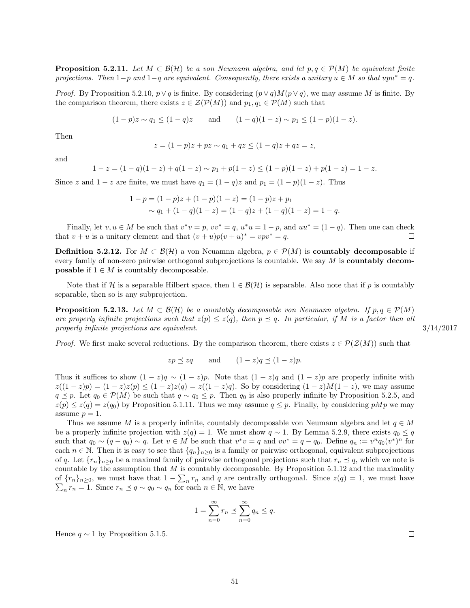<span id="page-51-1"></span>**Proposition 5.2.11.** Let  $M \subset \mathcal{B}(\mathcal{H})$  be a von Neumann algebra, and let  $p, q \in \mathcal{P}(M)$  be equivalent finite projections. Then  $1-p$  and  $1-q$  are equivalent. Consequently, there exists a unitary  $u \in M$  so that upu<sup>\*</sup> = q.

*Proof.* By Proposition [5.2.10,](#page-50-0)  $p \lor q$  is finite. By considering  $(p \lor q)M(p \lor q)$ , we may assume M is finite. By the comparison theorem, there exists  $z \in \mathcal{Z}(\mathcal{P}(M))$  and  $p_1, q_1 \in \mathcal{P}(M)$  such that

$$
(1-p)z \sim q_1 \le (1-q)z
$$
 and  $(1-q)(1-z) \sim p_1 \le (1-p)(1-z)$ .

Then

$$
z = (1 - p)z + pz \sim q_1 + qz \le (1 - q)z + qz = z,
$$

and

$$
1 - z = (1 - q)(1 - z) + q(1 - z) \sim p_1 + p(1 - z) \le (1 - p)(1 - z) + p(1 - z) = 1 - z.
$$

Since z and  $1 - z$  are finite, we must have  $q_1 = (1 - q)z$  and  $p_1 = (1 - p)(1 - z)$ . Thus

$$
1-p = (1-p)z + (1-p)(1-z) = (1-p)z + p1
$$
  
  $\sim q_1 + (1-q)(1-z) = (1-q)z + (1-q)(1-z) = 1-q.$ 

Finally, let  $v, u \in M$  be such that  $v^*v = p$ ,  $vv^* = q$ ,  $u^*u = 1 - p$ , and  $uu^* = (1 - q)$ . Then one can check that  $v + u$  is a unitary element and that  $(v + u)p(v + u)^* = vpv^* = q$ .  $\Box$ 

**Definition 5.2.12.** For  $M \subset \mathcal{B}(\mathcal{H})$  a von Neuamnn algebra,  $p \in \mathcal{P}(M)$  is **countably decomposable** if every family of non-zero pairwise orthogonal subprojections is countable. We say  $M$  is **countably decomposable** if  $1 \in M$  is countably decomposable.

Note that if H is a separable Hilbert space, then  $1 \in \mathcal{B}(\mathcal{H})$  is separable. Also note that if p is countably separable, then so is any subprojection.

<span id="page-51-0"></span>**Proposition 5.2.13.** Let  $M \subset \mathcal{B}(\mathcal{H})$  be a countably decomposable von Neumann algebra. If  $p, q \in \mathcal{P}(M)$ are properly infinite projections such that  $z(p) \leq z(q)$ , then  $p \preceq q$ . In particular, if M is a factor then all properly infinite projections are equivalent.  $3/14/2017$ 

*Proof.* We first make several reductions. By the comparison theorem, there exists  $z \in \mathcal{P}(\mathcal{Z}(M))$  such that

$$
zp \preceq zq
$$
 and  $(1-z)q \preceq (1-z)p$ .

Thus it suffices to show  $(1 - z)q \sim (1 - z)p$ . Note that  $(1 - z)q$  and  $(1 - z)p$  are properly infinite with  $z((1-z)p) = (1-z)z(p) \leq (1-z)z(q) = z((1-z)q)$ . So by considering  $(1-z)M(1-z)$ , we may assume  $q \leq p$ . Let  $q_0 \in \mathcal{P}(M)$  be such that  $q \sim q_0 \leq p$ . Then  $q_0$  is also properly infinite by Proposition [5.2.5,](#page-48-0) and  $z(p) \leq z(q) = z(q_0)$  by Proposition [5.1.11.](#page-46-2) Thus we may assume  $q \leq p$ . Finally, by considering  $pMp$  we may assume  $p = 1$ .

Thus we assume M is a properly infinite, countably decomposable von Neumann algebra and let  $q \in M$ be a properly infinite projection with  $z(q) = 1$ . We must show  $q \sim 1$ . By Lemma [5.2.9,](#page-49-2) there exists  $q_0 \leq q$ such that  $q_0 \sim (q - q_0) \sim q$ . Let  $v \in M$  be such that  $v^* v = q$  and  $vv^* = q - q_0$ . Define  $q_n := v^n q_0 (v^*)^n$  for each  $n \in \mathbb{N}$ . Then it is easy to see that  $\{q_n\}_{n\geq 0}$  is a family or pairwise orthogonal, equivalent subprojections of q. Let  ${r_n}_{n\geq 0}$  be a maximal family of pairwise orthogonal projections such that  $r_n \preceq q$ , which we note is countable by the assumption that  $M$  is countably decomposable. By Proposition [5.1.12](#page-46-1) and the maximality of  $\{r_n\}_{n\geq 0}$ , we must have that  $1-\sum_n r_n$  and q are centrally orthogonal. Since  $z(q) = 1$ , we must have or  $\gamma_n f_n \geq 0$ , we must have that  $1 - \sum_{n} r_n$  and q are central  $\sum_{n} r_n = 1$ . Since  $r_n \preceq q \sim q_0 \sim q_n$  for each  $n \in \mathbb{N}$ , we have

$$
1 = \sum_{n=0}^{\infty} r_n \preceq \sum_{n=0}^{\infty} q_n \le q.
$$

Hence  $q \sim 1$  by Proposition [5.1.5.](#page-44-0)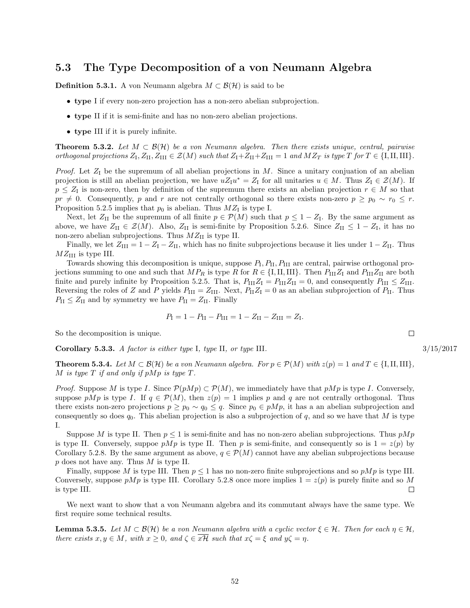#### <span id="page-52-0"></span>5.3 The Type Decomposition of a von Neumann Algebra

**Definition 5.3.1.** A von Neumann algebra  $M \subset \mathcal{B}(\mathcal{H})$  is said to be

- type I if every non-zero projection has a non-zero abelian subprojection.
- type II if it is semi-finite and has no non-zero abelian projections.
- type III if it is purely infinite.

**Theorem 5.3.2.** Let  $M \subset \mathcal{B}(\mathcal{H})$  be a von Neumann algebra. Then there exists unique, central, pairwise orthogonal projections  $Z_I, Z_{II}, Z_{III} \in \mathcal{Z}(M)$  such that  $Z_I + Z_{II} + Z_{III} = 1$  and  $MZ_T$  is type  $T$  for  $T \in \{I, II, III\}$ .

*Proof.* Let  $Z_I$  be the supremum of all abelian projections in M. Since a unitary conjuation of an abelian projection is still an abelian projection, we have  $uZ_1u^* = Z_1$  for all unitaries  $u \in M$ . Thus  $Z_1 \in \mathcal{Z}(M)$ . If  $p \leq Z_I$  is non-zero, then by definition of the supremum there exists an abelian projection  $r \in M$  so that  $pr \neq 0$ . Consequently, p and r are not centrally orthogonal so there exists non-zero  $p \geq p_0 \sim r_0 \leq r$ . Proposition [5.2.5](#page-48-0) implies that  $p_0$  is abelian. Thus  $MZ_I$  is type I.

Next, let  $Z_{\text{II}}$  be the supremum of all finite  $p \in \mathcal{P}(M)$  such that  $p \leq 1 - Z_{\text{I}}$ . By the same argument as above, we have  $Z_{\text{II}} \in \mathcal{Z}(M)$ . Also,  $Z_{\text{II}}$  is semi-finite by Proposition [5.2.6.](#page-49-0) Since  $Z_{\text{II}} \leq 1 - Z_{\text{I}}$ , it has no non-zero abelian subprojections. Thus  $MZ_{II}$  is type II.

Finally, we let  $Z_{\text{III}} = 1 - Z_{\text{I}} - Z_{\text{II}}$ , which has no finite subprojections because it lies under  $1 - Z_{\text{II}}$ . Thus  $MZ_{\text{III}}$  is type III.

Towards showing this decomposition is unique, suppose  $P_I, P_{II}, P_{III}$  are central, pairwise orthogonal projections summing to one and such that  $MP_R$  is type R for  $R \in \{I, II, III\}$ . Then  $P_{III}Z_I$  and  $P_{III}Z_{II}$  are both finite and purely infinite by Proposition [5.2.5.](#page-48-0) That is,  $P_{\text{III}}Z_{\text{I}} = P_{\text{III}}Z_{\text{II}} = 0$ , and consequently  $P_{\text{III}} \leq Z_{\text{III}}$ . Reversing the roles of Z and P yields  $P_{\text{III}} = Z_{\text{III}}$ . Next,  $P_{\text{II}}Z_{\text{I}} = 0$  as an abelian subprojection of  $P_{\text{II}}$ . Thus  $P_{\text{II}} \leq Z_{\text{II}}$  and by symmetry we have  $P_{\text{II}} = Z_{\text{II}}$ . Finally

$$
P_{\rm I} = 1 - P_{\rm II} - P_{\rm III} = 1 - Z_{\rm II} - Z_{\rm III} = Z_{\rm I}.
$$

So the decomposition is unique.

Corollary 5.3.3. A factor is either type I, type II, or type III.  $3/15/2017$ 

<span id="page-52-1"></span>**Theorem 5.3.4.** Let  $M \subset \mathcal{B}(\mathcal{H})$  be a von Neumann algebra. For  $p \in \mathcal{P}(M)$  with  $z(p) = 1$  and  $T \in \{I, II, III\}$ , M is type  $T$  if and only if pMp is type  $T$ .

*Proof.* Suppose M is type I. Since  $P(pMp) \subset P(M)$ , we immediately have that  $pMp$  is type I. Conversely, suppose pMp is type I. If  $q \in \mathcal{P}(M)$ , then  $z(p) = 1$  implies p and q are not centrally orthogonal. Thus there exists non-zero projections  $p \geq p_0 \sim q_0 \leq q$ . Since  $p_0 \in pMp$ , it has a an abelian subprojection and consequently so does  $q_0$ . This abelian projection is also a subprojection of q, and so we have that M is type I.

Suppose M is type II. Then  $p \leq 1$  is semi-finite and has no non-zero abelian subprojections. Thus  $pMp$ is type II. Conversely, suppoe pMp is type II. Then p is semi-finite, and consequently so is  $1 = z(p)$  by Corollary [5.2.8.](#page-49-3) By the same argument as above,  $q \in \mathcal{P}(M)$  cannot have any abelian subprojections because  $p$  does not have any. Thus  $M$  is type II.

Finally, suppose M is type III. Then  $p \leq 1$  has no non-zero finite subprojections and so  $pMp$  is type III. Conversely, suppose  $pMp$  is type III. Corollary [5.2.8](#page-49-3) once more implies  $1 = z(p)$  is purely finite and so M is type III.  $\Box$ 

We next want to show that a von Neumann algebra and its commutant always have the same type. We first require some technical results.

**Lemma 5.3.5.** Let  $M \subset \mathcal{B}(\mathcal{H})$  be a von Neumann algebra with a cyclic vector  $\xi \in \mathcal{H}$ . Then for each  $\eta \in \mathcal{H}$ . there exists  $x, y \in M$ , with  $x \geq 0$ , and  $\zeta \in \overline{x\mathcal{H}}$  such that  $x\zeta = \xi$  and  $y\zeta = \eta$ .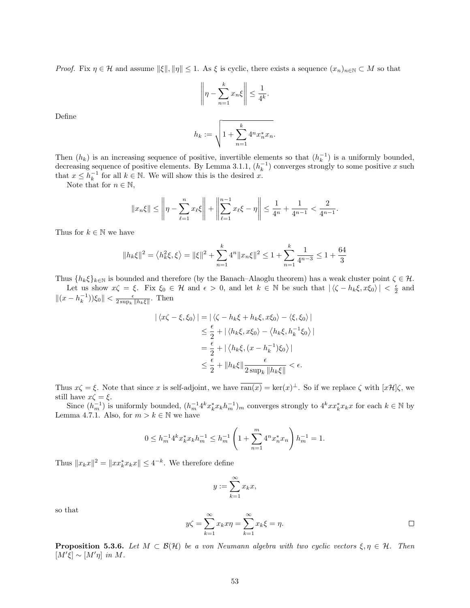*Proof.* Fix  $\eta \in \mathcal{H}$  and assume  $\|\xi\|, \|\eta\| \leq 1$ . As  $\xi$  is cyclic, there exists a sequence  $(x_n)_{n\in\mathbb{N}} \subset M$  so that

$$
\left\| \eta - \sum_{n=1}^k x_n \xi \right\| \le \frac{1}{4^k}.
$$

Define

$$
h_k:=\sqrt{1+\sum_{n=1}^k4^nx_n^*x_n}.
$$

Then  $(h_k)$  is an increasing sequence of positive, invertible elements so that  $(h_k^{-1})$  is a uniformly bounded, decreasing sequence of positive elements. By Lemma [3.1.1,](#page-18-3)  $(h_k^{-1})$  converges strongly to some positive x such that  $x \leq h_k^{-1}$  for all  $k \in \mathbb{N}$ . We will show this is the desired x.

Note that for  $n \in \mathbb{N}$ ,

$$
||x_n\xi|| \le \left\|\eta - \sum_{\ell=1}^n x_\ell \xi\right\| + \left\|\sum_{\ell=1}^{n-1} x_\ell \xi - \eta\right\| \le \frac{1}{4^n} + \frac{1}{4^{n-1}} < \frac{2}{4^{n-1}}.
$$

Thus for  $k \in \mathbb{N}$  we have

$$
||h_k\xi||^2=\left\langle h_k^2\xi,\xi\right\rangle=||\xi||^2+\sum_{n=1}^k4^n||x_n\xi||^2\leq1+\sum_{n=1}^k\frac{1}{4^{n-3}}\leq1+\frac{64}{3}
$$

Thus  $\{h_k\xi\}_{k\in\mathbb{N}}$  is bounded and therefore (by the Banach–Alaoglu theorem) has a weak cluster point  $\zeta \in \mathcal{H}$ . Let us show  $x\zeta = \xi$ . Fix  $\xi_0 \in \mathcal{H}$  and  $\epsilon > 0$ , and let  $k \in \mathbb{N}$  be such that  $|\langle \zeta - h_k \xi, x \xi_0 \rangle| < \frac{\epsilon}{2}$  and  $||(x - h_k^{-1}))\xi_0|| < \frac{\epsilon}{2 \sup_k ||h_k \xi||}$ . Then

$$
\begin{aligned} |\langle x\zeta - \xi, \xi_0 \rangle| &= |\langle \zeta - h_k \xi + h_k \xi, x \xi_0 \rangle - \langle \xi, \xi_0 \rangle| \\ &\le \frac{\epsilon}{2} + |\langle h_k \xi, x \xi_0 \rangle - \langle h_k \xi, h_k^{-1} \xi_0 \rangle| \\ &= \frac{\epsilon}{2} + |\langle h_k \xi, (x - h_k^{-1}) \xi_0 \rangle| \\ &\le \frac{\epsilon}{2} + \|h_k \xi\| \frac{\epsilon}{2 \sup_k \|h_k \xi\|} < \epsilon. \end{aligned}
$$

Thus  $x\zeta = \xi$ . Note that since x is self-adjoint, we have  $\overline{\text{ran}(x)} = \text{ker}(x)^{\perp}$ . So if we replace  $\zeta$  with  $[x\mathcal{H}]\zeta$ , we still have  $x\zeta = \xi$ .

Since  $(h_m^{-1})$  is uniformly bounded,  $(h_m^{-1}4^k x_k^* x_k h_m^{-1})_m$  converges strongly to  $4^k x x_k^* x_k x$  for each  $k \in \mathbb{N}$  by Lemma [4.7.1.](#page-41-4) Also, for  $m > k \in \mathbb{N}$  we have

$$
0 \le h_m^{-1} 4^k x_k^* x_k h_m^{-1} \le h_m^{-1} \left( 1 + \sum_{n=1}^m 4^n x_n^* x_n \right) h_m^{-1} = 1.
$$

Thus  $||x_kx||^2 = ||xx_k^*x_kx|| \le 4^{-k}$ . We therefore define

$$
y := \sum_{k=1}^{\infty} x_k x,
$$

so that

$$
y\zeta = \sum_{k=1}^{\infty} x_k x \eta = \sum_{k=1}^{\infty} x_k \xi = \eta.
$$

**Proposition 5.3.6.** Let  $M \subset \mathcal{B}(\mathcal{H})$  be a von Neumann algebra with two cyclic vectors  $\xi, \eta \in \mathcal{H}$ . Then  $[M'\xi] \sim [M'\eta]$  in M.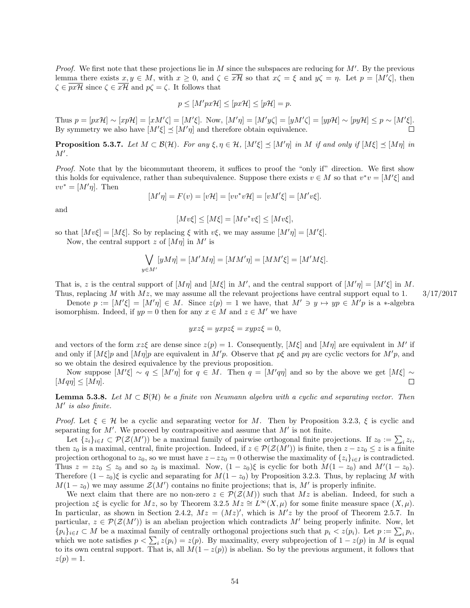*Proof.* We first note that these projections lie in  $M$  since the subspaces are reducing for  $M'$ . By the previous lemma there exists  $x, y \in M$ , with  $x \geq 0$ , and  $\zeta \in \overline{x\mathcal{H}}$  so that  $x\zeta = \xi$  and  $y\zeta = \eta$ . Let  $p = [M'\zeta]$ , then  $\zeta \in \overline{px\mathcal{H}}$  since  $\zeta \in \overline{x\mathcal{H}}$  and  $p\zeta = \zeta$ . It follows that

$$
p \le [M'px\mathcal{H}] \le [px\mathcal{H}] \le [p\mathcal{H}] = p.
$$

Thus  $p = [px\mathcal{H}] \sim [xp\mathcal{H}] = [xM'\zeta] = [M'\zeta]$ . Now,  $[M'\eta] = [M'y\zeta] = [yM'\zeta] = [yp\mathcal{H}] \sim [py\mathcal{H}] \leq p \sim [M'\zeta]$ . By symmetry we also have  $[M' \xi] \preceq [M' \eta]$  and therefore obtain equivalence.

<span id="page-54-0"></span>**Proposition 5.3.7.** Let  $M \subset \mathcal{B}(\mathcal{H})$ . For any  $\xi, \eta \in \mathcal{H}$ ,  $[M' \xi] \preceq [M' \eta]$  in M if and only if  $[M \xi] \preceq [M \eta]$  in  $M'.$ 

Proof. Note that by the bicommutant theorem, it suffices to proof the "only if" direction. We first show this holds for equivalence, rather than subequivalence. Suppose there exists  $v \in M$  so that  $v^*v = [M'\xi]$  and  $vv^* = [M'\eta]$ . Then

$$
[M'\eta] = F(v) = [v\mathcal{H}] = [vv^*v\mathcal{H}] = [vM'\xi] = [M'v\xi].
$$

and

$$
[Mv\xi]\le [M\xi]=[Mv^*v\xi]\le [Mv\xi],
$$

so that  $[Mv\xi] = [M\xi]$ . So by replacing  $\xi$  with  $v\xi$ , we may assume  $[M'\eta] = [M'\xi]$ .

Now, the central support z of  $[M\eta]$  in M' is

$$
\bigvee_{y \in M'} [yM\eta] = [M'M\eta] = [MM'\eta] = [MM'\xi] = [M'M\xi].
$$

That is, z is the central support of  $[M\eta]$  and  $[M\xi]$  in M', and the central support of  $[M'\eta] = [M'\xi]$  in M. Thus, replacing M with  $Mz$ , we may assume all the relevant projections have central support equal to 1.  $3/17/2017$ 

Denote  $p := [M' \xi] = [M' \eta] \in M$ . Since  $z(p) = 1$  we have, that  $M' \ni y \mapsto yp \in M'p$  is a \*-algebra isomorphism. Indeed, if  $yp = 0$  then for any  $x \in M$  and  $z \in M'$  we have

$$
yxz\xi = yxpz\xi = xypz\xi = 0,
$$

and vectors of the form  $xz\xi$  are dense since  $z(p) = 1$ . Consequently,  $[M\xi]$  and  $[M\eta]$  are equivalent in M' if and only if  $[M\xi]p$  and  $[M\eta]p$  are equivalent in  $M'p$ . Observe that  $p\xi$  and  $p\eta$  are cyclic vectors for  $M'p$ , and so we obtain the desired equivalence by the previous proposition.

Now suppose  $[M'\xi] \sim q \leq [M'\eta]$  for  $q \in M$ . Then  $q = [M'q\eta]$  and so by the above we get  $[M\xi] \sim$  $[Mq\eta] \leq [M\eta]$ . П

<span id="page-54-1"></span>**Lemma 5.3.8.** Let  $M \subset \mathcal{B}(\mathcal{H})$  be a finite von Neumann algebra with a cyclic and separating vector. Then  $M'$  is also finite.

*Proof.* Let  $\xi \in \mathcal{H}$  be a cyclic and separating vector for M. Then by Proposition [3.2.3,](#page-23-2)  $\xi$  is cyclic and separating for  $M'$ . We proceed by contrapositive and assume that  $M'$  is not finite.

Let  $\{z_i\}_{i\in I} \subset \mathcal{P}(\mathcal{Z}(M'))$  be a maximal family of pairwise orthogonal finite projections. If  $z_0 := \sum_i z_i$ , then  $z_0$  is a maximal, central, finite projection. Indeed, if  $z \in \mathcal{P}(\mathcal{Z}(M'))$  is finite, then  $z - zz_0 \leq z$  is a finite projection orthogonal to  $z_0$ , so we must have  $z - zz_0 = 0$  otherwise the maximality of  $\{z_i\}_{i \in I}$  is contradicted. Thus  $z = zz_0 \le z_0$  and so  $z_0$  is maximal. Now,  $(1 - z_0)\xi$  is cyclic for both  $M(1 - z_0)$  and  $M'(1 - z_0)$ . Therefore  $(1 - z_0)$ ξ is cyclic and separating for  $M(1 - z_0)$  by Proposition [3.2.3.](#page-23-2) Thus, by replacing M with  $M(1-z_0)$  we may assume  $\mathcal{Z}(M')$  contains no finite projections; that is, M' is properly infinite.

We next claim that there are no non-zero  $z \in \mathcal{P}(\mathcal{Z}(M))$  such that  $Mz$  is abelian. Indeed, for such a projection  $z\xi$  is cyclic for  $Mz$ , so by Theorem [3.2.5](#page-24-1)  $Mz \cong L^{\infty}(X,\mu)$  for some finite measure space  $(X,\mu)$ . In particular, as shown in Section [2.4.2,](#page-11-2)  $Mz = (Mz)'$ , which is  $M'z$  by the proof of Theorem [2.5.7.](#page-16-1) In particular,  $z \in \mathcal{P}(\mathcal{Z}(M'))$  is an abelian projection which contradicts M' being properly infinite. Now, let  ${p_i}_{i\in I} \subset M$  be a maximal family of centrally orthogonal projections such that  $p_i < z(p_i)$ . Let  $p := \sum_i p_i$ , which we note satisfies  $p < \sum_i z(p_i) = z(p)$ . By maximality, every subprojection of  $1 - z(p)$  in M is equal to its own central support. That is, all  $M(1 - z(p))$  is abelian. So by the previous argument, it follows that  $z(p) = 1.$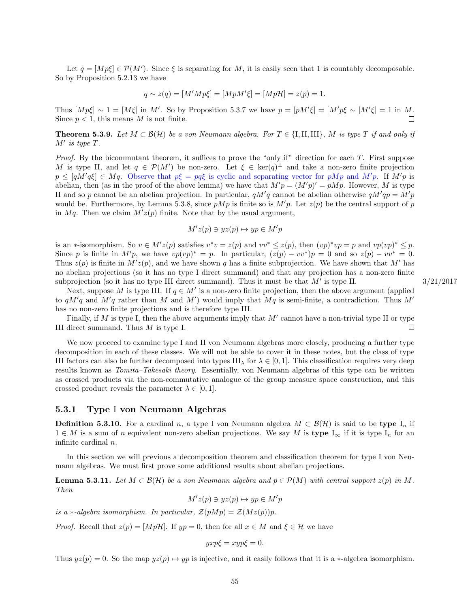Let  $q = [Mp\xi] \in \mathcal{P}(M')$ . Since  $\xi$  is separating for M, it is easily seen that 1 is countably decomposable. So by Proposition [5.2.13](#page-51-0) we have

$$
q \sim z(q) = [M'Mp\xi] = [MpM'\xi] = [Mp\mathcal{H}] = z(p) = 1.
$$

Thus  $[Mp\xi] \sim 1 = [M\xi]$  in M'. So by Proposition [5.3.7](#page-54-0) we have  $p = [pM'\xi] = [M'p\xi] \sim [M'\xi] = 1$  in M. Since  $p < 1$ , this means M is not finite.  $\Box$ 

<span id="page-55-2"></span>**Theorem 5.3.9.** Let  $M \subset \mathcal{B}(\mathcal{H})$  be a von Neumann algebra. For  $T \in \{I, II, III\}$ , M is type T if and only if  $M'$  is type  $T$ .

Proof. By the bicommutant theorem, it suffices to prove the "only if" direction for each T. First suppose M is type II, and let  $q \in \mathcal{P}(M')$  be non-zero. Let  $\xi \in \text{ker}(q)^{\perp}$  and take a non-zero finite projection  $p \leq [qM'q\xi] \in Mq$ . Observe that  $p\xi = pq\xi$  is cyclic and separating vector for pMp and  $M'p$ . If  $M'p$  is abelian, then (as in the proof of the above lemma) we have that  $M'p = (M'p)' = pMp$ . However, M is type II and so p cannot be an abelian projection. In particular,  $qM'q$  cannot be abelian otherwise  $qM'qp = M'p$ would be. Furthermore, by Lemma [5.3.8,](#page-54-1) since  $pMp$  is finite so is  $M'p$ . Let  $z(p)$  be the central support of p in Mq. Then we claim  $M'z(p)$  finite. Note that by the usual argument,

$$
M'z(p) \ni yz(p) \mapsto yp \in M'p
$$

is an \*-isomorphism. So  $v \in M'z(p)$  satisfies  $v^*v = z(p)$  and  $vv^* \leq z(p)$ , then  $(vp)^*vp = p$  and  $vp(vp)^* \leq p$ . Since p is finite in  $M'p$ , we have  $vp(vp)^* = p$ . In particular,  $(z(p) - vv^*)p = 0$  and so  $z(p) - vv^* = 0$ . Thus  $z(p)$  is finite in  $M'z(p)$ , and we have shown q has a finite subprojection. We have shown that M' has no abelian projections (so it has no type I direct summand) and that any projection has a non-zero finite subprojection (so it has no type III direct summand). Thus it must be that  $M'$  is type II.  $3/21/2017$ 

Next, suppose M is type III. If  $q \in M'$  is a non-zero finite projection, then the above argument (applied to  $qM'q$  and  $M'q$  rather than M and M') would imply that  $Mq$  is semi-finite, a contradiction. Thus M' has no non-zero finite projections and is therefore type III.

Finally, if  $M$  is type I, then the above arguments imply that  $M'$  cannot have a non-trivial type II or type III direct summand. Thus M is type I.  $\Box$ 

We now proceed to examine type I and II von Neumann algebras more closely, producing a further type decomposition in each of these classes. We will not be able to cover it in these notes, but the class of type III factors can also be further decomposed into types III<sub> $\lambda$ </sub> for  $\lambda \in [0,1]$ . This classification requires very deep results known as Tomita–Takesaki theory. Essentially, von Neumann algebras of this type can be written as crossed products via the non-commutative analogue of the group measure space construction, and this crossed product reveals the parameter  $\lambda \in [0, 1]$ .

#### <span id="page-55-0"></span>5.3.1 Type I von Neumann Algebras

**Definition 5.3.10.** For a cardinal n, a type I von Neumann algebra  $M \subset \mathcal{B}(\mathcal{H})$  is said to be type I<sub>n</sub> if  $1 \in M$  is a sum of n equivalent non-zero abelian projections. We say M is type  $I_{\infty}$  if it is type  $I_n$  for an infinite cardinal n.

In this section we will previous a decomposition theorem and classification theorem for type I von Neumann algebras. We must first prove some additional results about abelian projections.

<span id="page-55-1"></span>**Lemma 5.3.11.** Let  $M \subset \mathcal{B}(\mathcal{H})$  be a von Neumann algebra and  $p \in \mathcal{P}(M)$  with central support  $z(p)$  in M. Then

 $M'z(p) \ni yz(p) \mapsto yp \in M'p$ 

is a ∗-algebra isomorphism. In particular,  $\mathcal{Z}(pMp) = \mathcal{Z}(Mz(p))p$ .

*Proof.* Recall that  $z(p) = [Mp\mathcal{H}]$ . If  $yp = 0$ , then for all  $x \in M$  and  $\xi \in \mathcal{H}$  we have

$$
yxp\xi = xyp\xi = 0.
$$

Thus  $yz(p) = 0$ . So the map  $yz(p) \mapsto yp$  is injective, and it easily follows that it is a ∗-algebra isomorphism.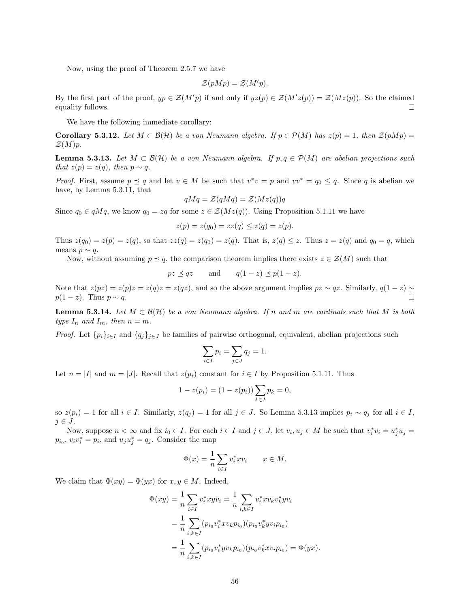Now, using the proof of Theorem [2.5.7](#page-16-1) we have

$$
\mathcal{Z}(pMp) = \mathcal{Z}(M'p).
$$

By the first part of the proof,  $yp \in \mathcal{Z}(M'p)$  if and only if  $yz(p) \in \mathcal{Z}(M'z(p)) = \mathcal{Z}(Mz(p))$ . So the claimed equality follows.  $\Box$ 

We have the following immediate corollary:

<span id="page-56-2"></span>**Corollary 5.3.12.** Let  $M \subset \mathcal{B}(\mathcal{H})$  be a von Neumann algebra. If  $p \in \mathcal{P}(M)$  has  $z(p) = 1$ , then  $\mathcal{Z}(pMp) =$  $\mathcal{Z}(M)p$ .

<span id="page-56-0"></span>**Lemma 5.3.13.** Let  $M \subset \mathcal{B}(\mathcal{H})$  be a von Neumann algebra. If  $p, q \in \mathcal{P}(M)$  are abelian projections such that  $z(p) = z(q)$ , then  $p \sim q$ .

*Proof.* First, assume  $p \leq q$  and let  $v \in M$  be such that  $v^*v = p$  and  $vv^* = q_0 \leq q$ . Since q is abelian we have, by Lemma [5.3.11,](#page-55-1) that

$$
qMq = \mathcal{Z}(qMq) = \mathcal{Z}(Mz(q))q
$$

Since  $q_0 \in qMq$ , we know  $q_0 = zq$  for some  $z \in \mathcal{Z}(Mz(q))$ . Using Proposition [5.1.11](#page-46-2) we have

$$
z(p) = z(q_0) = zz(q) \le z(q) = z(p).
$$

Thus  $z(q_0) = z(p) = z(q)$ , so that  $zz(q) = z(q_0) = z(q)$ . That is,  $z(q) \leq z$ . Thus  $z = z(q)$  and  $q_0 = q$ , which means  $p \sim q$ .

Now, without assuming  $p \leq q$ , the comparison theorem implies there exists  $z \in \mathcal{Z}(M)$  such that

$$
pz \preceq qz \qquad \text{and} \qquad q(1-z) \preceq p(1-z).
$$

Note that  $z(pz) = z(p)z = z(q)z = z(qz)$ , and so the above argument implies  $pz \sim qz$ . Similarly,  $q(1-z) \sim$  $p(1-z)$ . Thus  $p \sim q$ . П

<span id="page-56-1"></span>**Lemma 5.3.14.** Let  $M \subset \mathcal{B}(\mathcal{H})$  be a von Neumann algebra. If n and m are cardinals such that M is both type  $I_n$  and  $I_m$ , then  $n = m$ .

*Proof.* Let  $\{p_i\}_{i\in I}$  and  $\{q_j\}_{j\in J}$  be families of pairwise orthogonal, equivalent, abelian projections such

$$
\sum_{i \in I} p_i = \sum_{j \in J} q_j = 1.
$$

Let  $n = |I|$  and  $m = |J|$ . Recall that  $z(p_i)$  constant for  $i \in I$  by Proposition [5.1.11.](#page-46-2) Thus

$$
1 - z(p_i) = (1 - z(p_i)) \sum_{k \in I} p_k = 0,
$$

so  $z(p_i) = 1$  for all  $i \in I$ . Similarly,  $z(q_j) = 1$  for all  $j \in J$ . So Lemma [5.3.13](#page-56-0) implies  $p_i \sim q_j$  for all  $i \in I$ ,  $j \in J$ .

Now, suppose  $n < \infty$  and fix  $i_0 \in I$ . For each  $i \in I$  and  $j \in J$ , let  $v_i, u_j \in M$  be such that  $v_i^* v_i = u_j^* u_j =$  $p_{i_0}, v_i v_i^* = p_i$ , and  $u_j u_j^* = q_j$ . Consider the map

$$
\Phi(x) = \frac{1}{n} \sum_{i \in I} v_i^* x v_i \qquad x \in M.
$$

We claim that  $\Phi(xy) = \Phi(yx)$  for  $x, y \in M$ . Indeed,

$$
\Phi(xy) = \frac{1}{n} \sum_{i \in I} v_i^* xyv_i = \frac{1}{n} \sum_{i,k \in I} v_i^* xv_k v_k^* yv_i
$$
  
= 
$$
\frac{1}{n} \sum_{i,k \in I} (p_{i_0} v_i^* xv_k p_{i_0}) (p_{i_0} v_k^* yv_i p_{i_0})
$$
  
= 
$$
\frac{1}{n} \sum_{i,k \in I} (p_{i_0} v_i^* yv_k p_{i_0}) (p_{i_0} v_k^* xv_i p_{i_0}) = \Phi(yx).
$$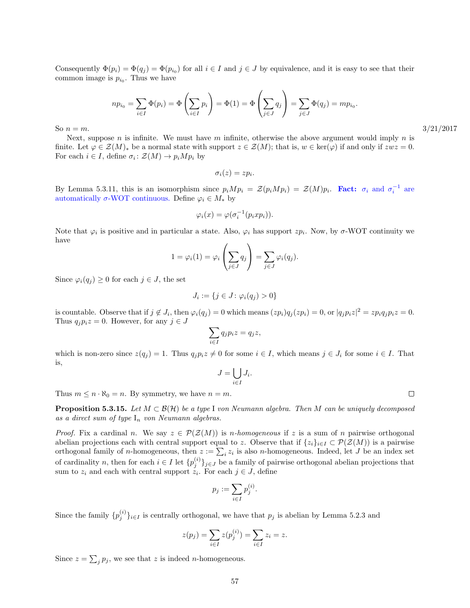Consequently  $\Phi(p_i) = \Phi(q_j) = \Phi(p_{i_0})$  for all  $i \in I$  and  $j \in J$  by equivalence, and it is easy to see that their common image is  $p_{i_0}$ . Thus we have

$$
np_{i_0} = \sum_{i \in I} \Phi(p_i) = \Phi\left(\sum_{i \in I} p_i\right) = \Phi(1) = \Phi\left(\sum_{j \in J} q_j\right) = \sum_{j \in J} \Phi(q_j) = mp_{i_0}.
$$

So  $n = m$ .  $3/21/2017$ 

Next, suppose n is infinite. We must have m infinite, otherwise the above argument would imply n is finite. Let  $\varphi \in \mathcal{Z}(M)_*$  be a normal state with support  $z \in \mathcal{Z}(M)$ ; that is,  $w \in \text{ker}(\varphi)$  if and only if  $zwz = 0$ . For each  $i \in I$ , define  $\sigma_i : \mathcal{Z}(M) \to p_i Mp_i$  by

$$
\sigma_i(z)=zp_i.
$$

By Lemma [5.3.11,](#page-55-1) this is an isomorphism since  $p_i M p_i = \mathcal{Z}(p_i M p_i) = \mathcal{Z}(M) p_i$ . Fact:  $\sigma_i$  and  $\sigma_i^{-1}$  are automatically  $\sigma$ -WOT continuous. Define  $\varphi_i \in M_*$  by

$$
\varphi_i(x) = \varphi(\sigma_i^{-1}(p_i x p_i)).
$$

Note that  $\varphi_i$  is positive and in particular a state. Also,  $\varphi_i$  has support  $zp_i$ . Now, by  $\sigma$ -WOT continuity we have

$$
1 = \varphi_i(1) = \varphi_i\left(\sum_{j \in J} q_j\right) = \sum_{j \in J} \varphi_i(q_j).
$$

Since  $\varphi_i(q_j) \geq 0$  for each  $j \in J$ , the set

$$
J_i := \{ j \in J \colon \varphi_i(q_j) > 0 \}
$$

is countable. Observe that if  $j \notin J_i$ , then  $\varphi_i(q_j) = 0$  which means  $(zp_i)q_j(zp_i) = 0$ , or  $|q_jp_iz|^2 = zp_iq_jp_iz = 0$ . Thus  $q_i p_i z = 0$ . However, for any  $j \in J$ 

$$
\sum_{i \in I} q_j p_i z = q_j z,
$$

which is non-zero since  $z(q_j) = 1$ . Thus  $q_j p_i z \neq 0$  for some  $i \in I$ , which means  $j \in J_i$  for some  $i \in I$ . That is,

$$
J = \bigcup_{i \in I} J_i.
$$

Thus  $m \leq n \cdot \aleph_0 = n$ . By symmetry, we have  $n = m$ .

<span id="page-57-0"></span>**Proposition 5.3.15.** Let  $M \subset \mathcal{B}(\mathcal{H})$  be a type I von Neumann algebra. Then M can be uniquely decomposed as a direct sum of type  $I_n$  von Neumann algebras.

*Proof.* Fix a cardinal n. We say  $z \in \mathcal{P}(\mathcal{Z}(M))$  is n-homogeneous if z is a sum of n pairwise orthogonal abelian projections each with central support equal to z. Observe that if  $\{z_i\}_{i\in I} \subset \mathcal{P}(\mathcal{Z}(M))$  is a pairwise orthogonal family of *n*-homogeneous, then  $z := \sum_i z_i$  is also *n*-homogeneous. Indeed, let *J* be an index set of cardinality n, then for each  $i \in I$  let  $\{p_j^{(i)}\}_{j \in J}$  be a family of pairwise orthogonal abelian projections that sum to  $z_i$  and each with central support  $z_i$ . For each  $j \in J$ , define

$$
p_j := \sum_{i \in I} p_j^{(i)}.
$$

Since the family  $\{p_j^{(i)}\}_{i\in I}$  is centrally orthogonal, we have that  $p_j$  is abelian by Lemma [5.2.3](#page-48-1) and

$$
z(p_j) = \sum_{i \in I} z(p_j^{(i)}) = \sum_{i \in I} z_i = z.
$$

Since  $z = \sum_j p_j$ , we see that z is indeed *n*-homogeneous.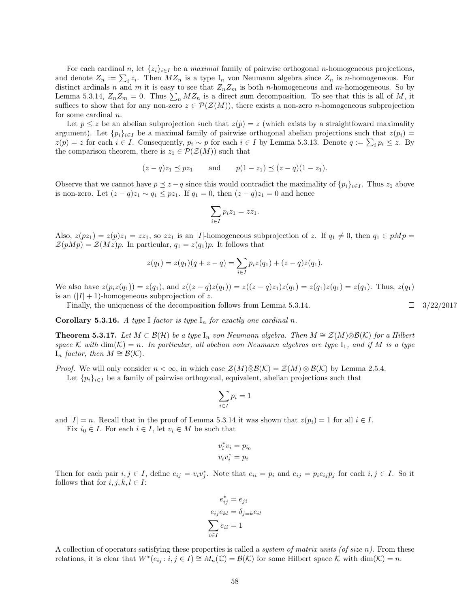For each cardinal n, let  $\{z_i\}_{i\in I}$  be a maximal family of pairwise orthogonal n-homogeneous projections, and denote  $Z_n := \sum_i z_i$ . Then  $MZ_n$  is a type  $I_n$  von Neumann algebra since  $Z_n$  is n-homogeneous. For distinct ardinals n and m it is easy to see that  $Z_nZ_m$  is both n-homogeneous and m-homogeneous. So by Lemma [5.3.14,](#page-56-1)  $Z_n Z_m = 0$ . Thus  $\sum_n M Z_n$  is a direct sum decomposition. To see that this is all of M, it suffices to show that for any non-zero  $z \in \mathcal{P}(\mathcal{Z}(M))$ , there exists a non-zero *n*-homogeneous subprojection for some cardinal n.

Let  $p \leq z$  be an abelian subprojection such that  $z(p) = z$  (which exists by a straightfoward maximality argument). Let  $\{p_i\}_{i\in I}$  be a maximal family of pairwise orthogonal abelian projections such that  $z(p_i)$  =  $z(p) = z$  for each  $i \in I$ . Consequently,  $p_i \sim p$  for each  $i \in I$  by Lemma [5.3.13.](#page-56-0) Denote  $q := \sum_i p_i \leq z$ . By the comparison theorem, there is  $z_1 \in \mathcal{P}(\mathcal{Z}(M))$  such that

$$
(z-q)z_1 \preceq pz_1
$$
 and  $p(1-z_1) \preceq (z-q)(1-z_1)$ .

Observe that we cannot have  $p \le z - q$  since this would contradict the maximality of  $\{p_i\}_{i\in I}$ . Thus  $z_1$  above is non-zero. Let  $(z - q)z_1 \sim q_1 \leq pz_1$ . If  $q_1 = 0$ , then  $(z - q)z_1 = 0$  and hence

$$
\sum_{i \in I} p_i z_1 = z z_1.
$$

Also,  $z(pz_1) = z(p)z_1 = zz_1$ , so  $zz_1$  is an |I|-homogeneous subprojection of z. If  $q_1 \neq 0$ , then  $q_1 \in pMp =$  $\mathcal{Z}(pMp) = \mathcal{Z}(Mz)p$ . In particular,  $q_1 = z(q_1)p$ . It follows that

$$
z(q_1) = z(q_1)(q + z - q) = \sum_{i \in I} p_i z(q_1) + (z - q)z(q_1).
$$

We also have  $z(p_iz(q_1)) = z(q_1)$ , and  $z((z-q)z(q_1)) = z((z-q)z_1)z(q_1) = z(q_1)z(q_1) = z(q_1)$ . Thus,  $z(q_1)$ is an  $(|I| + 1)$ -homogeneous subprojection of z.

Finally, the uniqueness of the decomposition follows from Lemma [5.3.14.](#page-56-1)  $\square$  3/22/2017

Corollary 5.3.16. A type I factor is type  $I_n$  for exactly one cardinal n.

<span id="page-58-0"></span>**Theorem 5.3.17.** Let  $M \subset \mathcal{B}(\mathcal{H})$  be a type I<sub>n</sub> von Neumann algebra. Then  $M \cong \mathcal{Z}(M) \bar{\otimes} \mathcal{B}(\mathcal{K})$  for a Hilbert space K with  $\dim(\mathcal{K}) = n$ . In particular, all abelian von Neumann algebras are type  $I_1$ , and if M is a type  $I_n$  factor, then  $M \cong \mathcal{B}(\mathcal{K})$ .

*Proof.* We will only consider  $n < \infty$ , in which case  $\mathcal{Z}(M)\bar{\otimes}\mathcal{B}(\mathcal{K}) = \mathcal{Z}(M)\otimes\mathcal{B}(\mathcal{K})$  by Lemma [2.5.4.](#page-15-1)

Let  $\{p_i\}_{i\in I}$  be a family of pairwise orthogonal, equivalent, abelian projections such that

$$
\sum_{i \in I} p_i = 1
$$

and  $|I| = n$ . Recall that in the proof of Lemma [5.3.14](#page-56-1) it was shown that  $z(p_i) = 1$  for all  $i \in I$ .

Fix  $i_0 \in I$ . For each  $i \in I$ , let  $v_i \in M$  be such that

$$
v_i^* v_i = p_{i_0}
$$
  

$$
v_i v_i^* = p_i
$$

Then for each pair  $i, j \in I$ , define  $e_{ij} = v_i v_j^*$ . Note that  $e_{ii} = p_i$  and  $e_{ij} = p_i e_{ij} p_j$  for each  $i, j \in I$ . So it follows that for  $i, j, k, l \in I$ :

$$
e_{ij}^{*} = e_{ji}
$$

$$
e_{ij}e_{kl} = \delta_{j=k}e_{il}
$$

$$
\sum_{i \in I} e_{ii} = 1
$$

A collection of operators satisfying these properties is called a *system of matrix units (of size n)*. From these relations, it is clear that  $W^*(e_{ij}: i, j \in I) \cong M_n(\mathbb{C}) = \mathcal{B}(\mathcal{K})$  for some Hilbert space  $\mathcal{K}$  with  $\dim(\mathcal{K}) = n$ .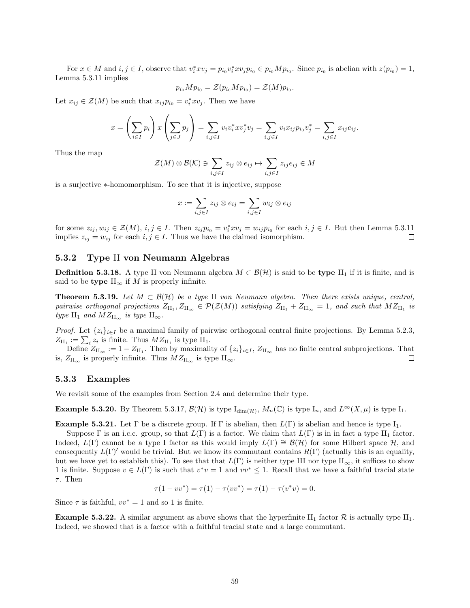For  $x \in M$  and  $i, j \in I$ , observe that  $v_i^* x v_j = p_{i_0} v_i^* x v_j p_{i_0} \in p_{i_0} M p_{i_0}$ . Since  $p_{i_0}$  is abelian with  $z(p_{i_0}) = 1$ , Lemma [5.3.11](#page-55-1) implies

$$
p_{i_0}Mp_{i_0} = \mathcal{Z}(p_{i_0}Mp_{i_0}) = \mathcal{Z}(M)p_{i_0}
$$

.

Let  $x_{ij} \in \mathcal{Z}(M)$  be such that  $x_{ij}p_{i_0} = v_i^*xv_j$ . Then we have

$$
x = \left(\sum_{i \in I} p_i\right) x \left(\sum_{j \in J} p_j\right) = \sum_{i,j \in I} v_i v_i^* x v_j^* v_j = \sum_{i,j \in I} v_i x_{ij} p_{i0} v_j^* = \sum_{i,j \in I} x_{ij} e_{ij}.
$$

Thus the map

$$
\mathcal{Z}(M) \otimes \mathcal{B}(\mathcal{K}) \ni \sum_{i,j \in I} z_{ij} \otimes e_{ij} \mapsto \sum_{i,j \in I} z_{ij} e_{ij} \in M
$$

is a surjective ∗-homomorphism. To see that it is injective, suppose

$$
x := \sum_{i,j \in I} z_{ij} \otimes e_{ij} = \sum_{i,j \in I} w_{ij} \otimes e_{ij}
$$

for some  $z_{ij}, w_{ij} \in \mathcal{Z}(M)$ ,  $i, j \in I$ . Then  $z_{ij}p_{i_0} = v_i^*xv_j = w_{ij}p_{i_0}$  for each  $i, j \in I$ . But then Lemma [5.3.11](#page-55-1) implies  $z_{ij} = w_{ij}$  for each  $i, j \in I$ . Thus we have the claimed isomorphism.  $\Box$ 

#### <span id="page-59-0"></span>5.3.2 Type II von Neumann Algebras

**Definition 5.3.18.** A type II von Neumann algebra  $M \subset \mathcal{B}(\mathcal{H})$  is said to be type II<sub>1</sub> if it is finite, and is said to be type  $\prod_{\infty}$  if M is properly infinite.

**Theorem 5.3.19.** Let  $M \subset \mathcal{B}(\mathcal{H})$  be a type II von Neumann algebra. Then there exists unique, central, pairwise orthogonal projections  $Z_{\rm II_1}, Z_{\rm II_\infty} \in \mathcal{P}(\mathcal{Z}(M))$  satisfying  $Z_{\rm II_1} + Z_{\rm II_\infty} = 1$ , and such that  $MZ_{\rm II_1}$  is type II<sub>1</sub> and  $MZ_{II_{\infty}}$  is type II<sub>∞</sub>.

*Proof.* Let  $\{z_i\}_{i\in I}$  be a maximal family of pairwise orthogonal central finite projections. By Lemma [5.2.3,](#page-48-1)  $Z_{\text{II}_1} := \sum_i z_i$  is finite. Thus  $MZ_{\text{II}_1}$  is type  $\text{II}_1$ .

Define  $Z_{\rm II_{\infty}} := 1 - Z_{\rm II_{1}}$ . Then by maximality of  $\{z_i\}_{i \in I}$ ,  $Z_{\rm II_{\infty}}$  has no finite central subprojections. That is,  $Z_{\rm II_{\infty}}$  is properly infinite. Thus  $MZ_{\rm II_{\infty}}$  is type  $\rm II_{\infty}$ .  $\Box$ 

#### <span id="page-59-1"></span>5.3.3 Examples

We revisit some of the examples from Section [2.4](#page-11-0) and determine their type.

**Example 5.3.20.** By Theorem [5.3.17,](#page-58-0)  $\mathcal{B}(\mathcal{H})$  is type  $I_{\dim(\mathcal{H})}$ ,  $M_n(\mathbb{C})$  is type  $I_n$ , and  $L^{\infty}(X,\mu)$  is type  $I_1$ .

**Example 5.3.21.** Let  $\Gamma$  be a discrete group. If  $\Gamma$  is abelian, then  $L(\Gamma)$  is abelian and hence is type  $I_1$ .

Suppose Γ is an i.c.c. group, so that  $L(\Gamma)$  is a factor. We claim that  $L(\Gamma)$  is in in fact a type II<sub>1</sub> factor. Indeed,  $L(\Gamma)$  cannot be a type I factor as this would imply  $L(\Gamma) \cong \mathcal{B}(\mathcal{H})$  for some Hilbert space  $\mathcal{H}$ , and consequently  $L(\Gamma)'$  would be trivial. But we know its commutant contains  $R(\Gamma)$  (actually this is an equality, but we have yet to establish this). To see that that  $L(\Gamma)$  is neither type III nor type  $II_{\infty}$ , it suffices to show 1 is finite. Suppose  $v \in L(\Gamma)$  is such that  $v^*v = 1$  and  $vv^* \leq 1$ . Recall that we have a faithful tracial state  $\tau$ . Then

$$
\tau(1 - vv^*) = \tau(1) - \tau(vv^*) = \tau(1) - \tau(v^*v) = 0.
$$

Since  $\tau$  is faithful,  $vv^* = 1$  and so 1 is finite.

**Example 5.3.22.** A similar argument as above shows that the hyperfinite II<sub>1</sub> factor  $\mathcal{R}$  is actually type II<sub>1</sub>. Indeed, we showed that is a factor with a faithful tracial state and a large commutant.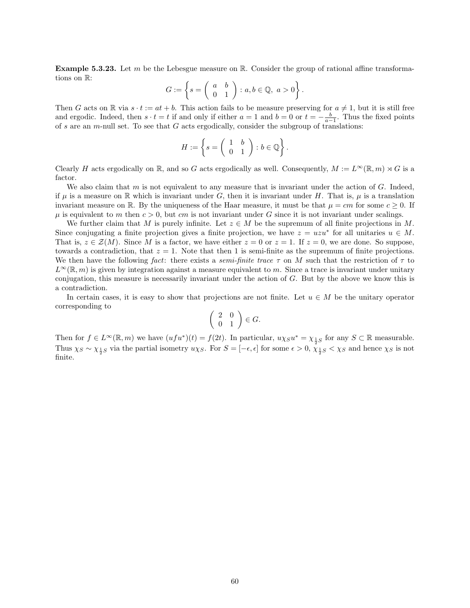**Example 5.3.23.** Let m be the Lebesgue measure on  $\mathbb{R}$ . Consider the group of rational affine transformations on R:

$$
G := \left\{ s = \left( \begin{array}{cc} a & b \\ 0 & 1 \end{array} \right) : a, b \in \mathbb{Q}, \ a > 0 \right\}.
$$

Then G acts on R via  $s \cdot t := at + b$ . This action fails to be measure preserving for  $a \neq 1$ , but it is still free and ergodic. Indeed, then  $s \cdot t = t$  if and only if either  $a = 1$  and  $b = 0$  or  $t = -\frac{b}{a-1}$ . Thus the fixed points of s are an m-null set. To see that  $G$  acts ergodically, consider the subgroup of translations:

$$
H := \left\{ s = \left( \begin{array}{cc} 1 & b \\ 0 & 1 \end{array} \right) : b \in \mathbb{Q} \right\}.
$$

Clearly H acts ergodically on R, and so G acts ergodically as well. Consequently,  $M := L^{\infty}(\mathbb{R}, m) \rtimes G$  is a factor.

We also claim that  $m$  is not equivalent to any measure that is invariant under the action of  $G$ . Indeed, if  $\mu$  is a measure on R which is invariant under G, then it is invariant under H. That is,  $\mu$  is a translation invariant measure on R. By the uniqueness of the Haar measure, it must be that  $\mu = cm$  for some  $c \geq 0$ . If  $\mu$  is equivalent to m then  $c > 0$ , but cm is not invariant under G since it is not invariant under scalings.

We further claim that M is purely infinite. Let  $z \in M$  be the supremum of all finite projections in M. Since conjugating a finite projection gives a finite projection, we have  $z = uzu^*$  for all unitaries  $u \in M$ . That is,  $z \in \mathcal{Z}(M)$ . Since M is a factor, we have either  $z = 0$  or  $z = 1$ . If  $z = 0$ , we are done. So suppose, towards a contradiction, that  $z = 1$ . Note that then 1 is semi-finite as the supremum of finite projections. We then have the following fact: there exists a semi-finite trace  $\tau$  on M such that the restriction of  $\tau$  to  $L^{\infty}(\mathbb{R}, m)$  is given by integration against a measure equivalent to m. Since a trace is invariant under unitary conjugation, this measure is necessarily invariant under the action of  $G$ . But by the above we know this is a contradiction.

In certain cases, it is easy to show that projections are not finite. Let  $u \in M$  be the unitary operator corresponding to

$$
\left(\begin{array}{cc} 2 & 0 \\ 0 & 1 \end{array}\right) \in G.
$$

Then for  $f \in L^{\infty}(\mathbb{R}, m)$  we have  $(ufu^*)(t) = f(2t)$ . In particular,  $u\chi_{S}u^* = \chi_{\frac{1}{2}S}$  for any  $S \subset \mathbb{R}$  measurable. Thus  $\chi_S \sim \chi_{\frac{1}{2}S}$  via the partial isometry  $u\chi_S$ . For  $S = [-\epsilon, \epsilon]$  for some  $\epsilon > 0$ ,  $\chi_{\frac{1}{2}S} < \chi_S$  and hence  $\chi_S$  is not finite.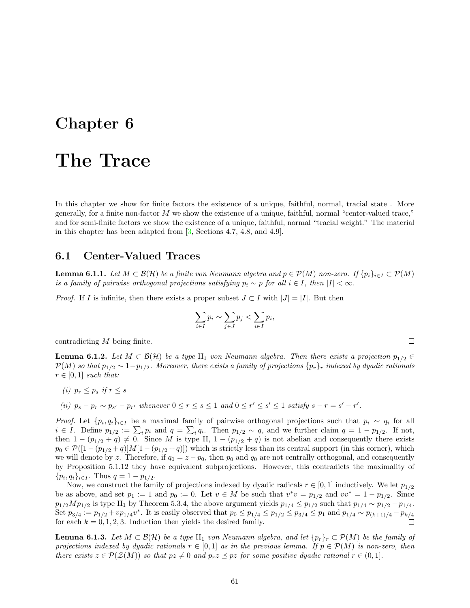### <span id="page-61-0"></span>Chapter 6

### The Trace

In this chapter we show for finite factors the existence of a unique, faithful, normal, tracial state . More generally, for a finite non-factor M we show the existence of a unique, faithful, normal "center-valued trace," and for semi-finite factors we show the existence of a unique, faithful, normal "tracial weight." The material in this chapter has been adapted from [\[3,](#page-70-1) Sections 4.7, 4.8, and 4.9].

#### <span id="page-61-1"></span>6.1 Center-Valued Traces

<span id="page-61-2"></span>**Lemma 6.1.1.** Let  $M \subset \mathcal{B}(\mathcal{H})$  be a finite von Neumann algebra and  $p \in \mathcal{P}(M)$  non-zero. If  $\{p_i\}_{i \in I} \subset \mathcal{P}(M)$ is a family of pairwise orthogonal projections satisfying  $p_i \sim p$  for all  $i \in I$ , then  $|I| < \infty$ .

*Proof.* If I is infinite, then there exists a proper subset  $J \subset I$  with  $|J| = |I|$ . But then

$$
\sum_{i \in I} p_i \sim \sum_{j \in J} p_j < \sum_{i \in I} p_i
$$

contradicting M being finite.

<span id="page-61-3"></span>**Lemma 6.1.2.** Let  $M \subset \mathcal{B}(\mathcal{H})$  be a type  $\text{II}_1$  von Neumann algebra. Then there exists a projection  $p_{1/2} \in$  $P(M)$  so that  $p_{1/2} \sim 1-p_{1/2}$ . Moreover, there exists a family of projections  $\{p_r\}_r$  indexed by dyadic rationals  $r \in [0,1]$  such that:

- (i)  $p_r < p_s$  if  $r < s$
- (ii)  $p_s p_r \sim p_{s'} p_{r'}$  whenever  $0 \le r \le s \le 1$  and  $0 \le r' \le s' \le 1$  satisfy  $s r = s' r'$ .

*Proof.* Let  $\{p_i, q_i\}_{i\in I}$  be a maximal family of pairwise orthogonal projections such that  $p_i \sim q_i$  for all  $i \in I$ . Define  $p_{1/2} := \sum_i p_i$  and  $q = \sum_i q_i$ . Then  $p_{1/2} \sim q$ , and we further claim  $q = 1 - p_{1/2}$ . If not, then  $1 - (p_{1/2} + q) \neq 0$ . Since M is type II,  $1 - (p_{1/2} + q)$  is not abelian and consequently there exists  $p_0 \in \mathcal{P}([1-(p_{1/2}+q)]M[1-(p_{1/2}+q)])$  which is strictly less than its central support (in this corner), which we will denote by z. Therefore, if  $q_0 = z - p_0$ , then  $p_0$  and  $q_0$  are not centrally orthogonal, and consequently by Proposition [5.1.12](#page-46-1) they have equivalent subprojections. However, this contradicts the maximality of  ${p_i, q_i}_{i \in I}$ . Thus  $q = 1 - p_{1/2}$ .

Now, we construct the family of projections indexed by dyadic radicals  $r \in [0,1]$  inductively. We let  $p_{1/2}$ be as above, and set  $p_1 := 1$  and  $p_0 := 0$ . Let  $v \in M$  be such that  $v^*v = p_{1/2}$  and  $vv^* = 1 - p_{1/2}$ . Since  $p_{1/2}Mp_{1/2}$  is type II<sub>1</sub> by Theorem [5.3.4,](#page-52-1) the above argument yields  $p_{1/4} \leq p_{1/2}$  such that  $p_{1/4} \sim p_{1/2} - p_{1/4}$ . Set  $p_{3/4} := p_{1/2} + vp_{1/4}v^*$ . It is easily observed that  $p_0 \leq p_{1/4} \leq p_{1/2} \leq p_{3/4} \leq p_1$  and  $p_{1/4} \sim p_{(k+1)/4} - p_{k/4}$  $\Box$ for each  $k = 0, 1, 2, 3$ . Induction then yields the desired family.

<span id="page-61-4"></span>**Lemma 6.1.3.** Let  $M \subset \mathcal{B}(\mathcal{H})$  be a type  $\Pi_1$  von Neumann algebra, and let  $\{p_r\}_r \subset \mathcal{P}(M)$  be the family of projections indexed by dyadic rationals  $r \in [0,1]$  as in the previous lemma. If  $p \in \mathcal{P}(M)$  is non-zero, then there exists  $z \in \mathcal{P}(\mathcal{Z}(M))$  so that  $pz \neq 0$  and  $p_rz \preceq pz$  for some positive dyadic rational  $r \in (0,1]$ .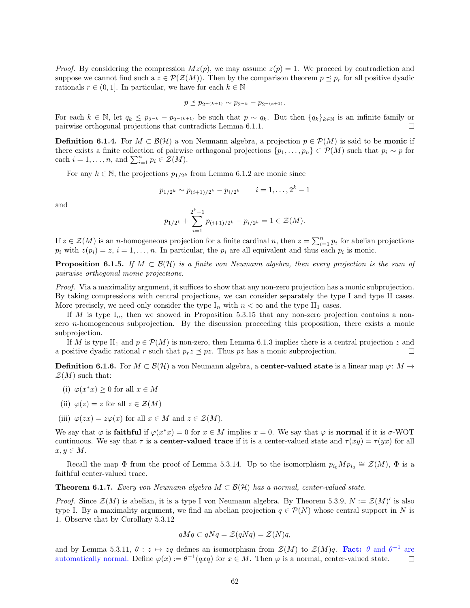*Proof.* By considering the compression  $Mz(p)$ , we may assume  $z(p) = 1$ . We proceed by contradiction and suppose we cannot find such a  $z \in \mathcal{P}(\mathcal{Z}(M))$ . Then by the comparison theorem  $p \preceq p_r$  for all positive dyadic rationals  $r \in (0, 1]$ . In particular, we have for each  $k \in \mathbb{N}$ 

$$
p\preceq p_{2^{-(k+1)}}\sim p_{2^{-k}}-p_{2^{-(k+1)}}.
$$

For each  $k \in \mathbb{N}$ , let  $q_k \leq p_{2^{-k}} - p_{2^{-(k+1)}}$  be such that  $p \sim q_k$ . But then  $\{q_k\}_{k \in \mathbb{N}}$  is an infinite family or pairwise orthogonal projections that contradicts Lemma [6.1.1.](#page-61-2)  $\Box$ 

**Definition 6.1.4.** For  $M \subset \mathcal{B}(\mathcal{H})$  a von Neumann algebra, a projection  $p \in \mathcal{P}(M)$  is said to be **monic** if there exists a finite collection of pairwise orthogonal projections  $\{p_1, \ldots, p_n\} \subset \mathcal{P}(M)$  such that  $p_i \sim p$  for each  $i = 1, ..., n$ , and  $\sum_{i=1}^{n} p_i \in \mathcal{Z}(M)$ .

For any  $k \in \mathbb{N}$ , the projections  $p_{1/2^k}$  from Lemma [6.1.2](#page-61-3) are monic since

$$
p_{1/2^k} \sim p_{(i+1)/2^k} - p_{i/2^k} \qquad i = 1, \dots, 2^k - 1
$$

and

$$
p_{1/2^{k}} + \sum_{i=1}^{2^{k}-1} p_{(i+1)/2^{k}} - p_{i/2^{k}} = 1 \in \mathcal{Z}(M).
$$

If  $z \in \mathcal{Z}(M)$  is an *n*-homogeneous projection for a finite cardinal *n*, then  $z = \sum_{i=1}^{n} p_i$  for abelian projections  $p_i$  with  $z(p_i) = z$ ,  $i = 1, ..., n$ . In particular, the  $p_i$  are all equivalent and thus each  $p_i$  is monic.

<span id="page-62-1"></span>**Proposition 6.1.5.** If  $M \subset \mathcal{B}(\mathcal{H})$  is a finite von Neumann algebra, then every projection is the sum of pairwise orthogonal monic projections.

Proof. Via a maximality argument, it suffices to show that any non-zero projection has a monic subprojection. By taking compressions with central projections, we can consider separately the type I and type II cases. More precisely, we need only consider the type  $I_n$  with  $n < \infty$  and the type  $II_1$  cases.

If M is type  $I_n$ , then we showed in Proposition [5.3.15](#page-57-0) that any non-zero projection contains a nonzero *n*-homogeneous subprojection. By the discussion proceeding this proposition, there exists a monic subprojection.

If M is type II<sub>1</sub> and  $p \in \mathcal{P}(M)$  is non-zero, then Lemma [6.1.3](#page-61-4) implies there is a central projection z and a positive dyadic rational r such that  $p_r \geq p_z$ . Thus pz has a monic subprojection.  $\Box$ 

<span id="page-62-2"></span>**Definition 6.1.6.** For  $M \subset \mathcal{B}(\mathcal{H})$  a von Neumann algebra, a **center-valued state** is a linear map  $\varphi: M \to$  $\mathcal{Z}(M)$  such that:

- (i)  $\varphi(x^*x) \geq 0$  for all  $x \in M$
- (ii)  $\varphi(z) = z$  for all  $z \in \mathcal{Z}(M)$
- (iii)  $\varphi(zx) = z\varphi(x)$  for all  $x \in M$  and  $z \in \mathcal{Z}(M)$ .

We say that  $\varphi$  is **faithful** if  $\varphi(x^*x) = 0$  for  $x \in M$  implies  $x = 0$ . We say that  $\varphi$  is **normal** if it is  $\sigma$ -WOT continuous. We say that  $\tau$  is a **center-valued trace** if it is a center-valued state and  $\tau(xy) = \tau(yx)$  for all  $x, y \in M$ .

Recall the map  $\Phi$  from the proof of Lemma [5.3.14.](#page-56-1) Up to the isomorphism  $p_{i_0}Mp_{i_0} \cong \mathcal{Z}(M)$ ,  $\Phi$  is a faithful center-valued trace.

<span id="page-62-0"></span>**Theorem 6.1.7.** Every von Neumann algebra  $M \subset \mathcal{B}(\mathcal{H})$  has a normal, center-valued state.

*Proof.* Since  $\mathcal{Z}(M)$  is abelian, it is a type I von Neumann algebra. By Theorem [5.3.9,](#page-55-2)  $N := \mathcal{Z}(M)'$  is also type I. By a maximality argument, we find an abelian projection  $q \in \mathcal{P}(N)$  whose central support in N is 1. Observe that by Corollary [5.3.12](#page-56-2)

$$
qMq \subset qNq = \mathcal{Z}(qNq) = \mathcal{Z}(N)q,
$$

and by Lemma [5.3.11,](#page-55-1)  $\theta: z \mapsto zq$  defines an isomorphism from  $\mathcal{Z}(M)$  to  $\mathcal{Z}(M)q$ . Fact:  $\theta$  and  $\theta^{-1}$  are automatically normal. Define  $\varphi(x) := \theta^{-1}(qxq)$  for  $x \in M$ . Then  $\varphi$  is a normal, center-valued state.  $\Box$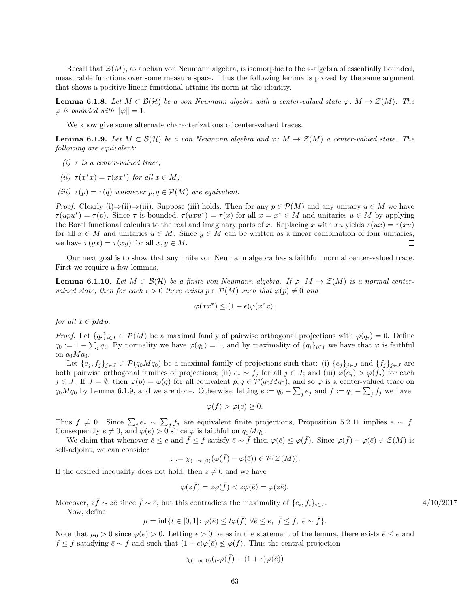Recall that  $\mathcal{Z}(M)$ , as abelian von Neumann algebra, is isomorphic to the ∗-algebra of essentially bounded, measurable functions over some measure space. Thus the following lemma is proved by the same argument that shows a positive linear functional attains its norm at the identity.

<span id="page-63-2"></span>**Lemma 6.1.8.** Let  $M \subset \mathcal{B}(\mathcal{H})$  be a von Neumann algebra with a center-valued state  $\varphi \colon M \to \mathcal{Z}(M)$ . The  $\varphi$  is bounded with  $\|\varphi\| = 1$ .

We know give some alternate characterizations of center-valued traces.

<span id="page-63-0"></span>**Lemma 6.1.9.** Let  $M \subset \mathcal{B}(\mathcal{H})$  be a von Neumann algebra and  $\varphi: M \to \mathcal{Z}(M)$  a center-valued state. The following are equivalent:

- (i)  $\tau$  is a center-valued trace;
- (ii)  $\tau(x^*x) = \tau(xx^*)$  for all  $x \in M$ ;
- (iii)  $\tau(p) = \tau(q)$  whenever  $p, q \in \mathcal{P}(M)$  are equivalent.

*Proof.* Clearly (i)⇒(ii)⇒(iii). Suppose (iii) holds. Then for any  $p \in \mathcal{P}(M)$  and any unitary  $u \in M$  we have  $\tau(upu^*) = \tau(p)$ . Since  $\tau$  is bounded,  $\tau(uxu^*) = \tau(x)$  for all  $x = x^* \in M$  and unitaries  $u \in M$  by applying the Borel functional calculus to the real and imaginary parts of x. Replacing x with xu yields  $\tau(ux) = \tau(xu)$ for all  $x \in M$  and unitaries  $u \in M$ . Since  $y \in M$  can be written as a linear combination of four unitaries, we have  $\tau(yx) = \tau(xy)$  for all  $x, y \in M$ .  $\Box$ 

Our next goal is to show that any finite von Neumann algebra has a faithful, normal center-valued trace. First we require a few lemmas.

<span id="page-63-1"></span>**Lemma 6.1.10.** Let  $M \subset \mathcal{B}(\mathcal{H})$  be a finite von Neumann algebra. If  $\varphi \colon M \to \mathcal{Z}(M)$  is a normal centervalued state, then for each  $\epsilon > 0$  there exists  $p \in \mathcal{P}(M)$  such that  $\varphi(p) \neq 0$  and

$$
\varphi(xx^*) \le (1+\epsilon)\varphi(x^*x).
$$

for all  $x \in pMp$ .

*Proof.* Let  $\{q_i\}_{i\in I} \subset \mathcal{P}(M)$  be a maximal family of pairwise orthogonal projections with  $\varphi(q_i) = 0$ . Define  $q_0 := 1 - \sum_i q_i$ . By normality we have  $\varphi(q_0) = 1$ , and by maximality of  $\{q_i\}_{i \in I}$  we have that  $\varphi$  is faithful on  $q_0Mq_0$ .

Let  $\{e_i, f_i\}_{i\in J} \subset \mathcal{P}(q_0Mq_0)$  be a maximal family of projections such that: (i)  $\{e_i\}_{i\in J}$  and  $\{f_i\}_{i\in J}$  are both pairwise orthogonal families of projections; (ii)  $e_i \sim f_i$  for all  $j \in J$ ; and (iii)  $\varphi(e_i) > \varphi(f_i)$  for each  $j \in J$ . If  $J = \emptyset$ , then  $\varphi(p) = \varphi(q)$  for all equivalent  $p, q \in \mathcal{P}(q_0Mq_0)$ , and so  $\varphi$  is a center-valued trace on  $q_0Mq_0$  by Lemma [6.1.9,](#page-63-0) and we are done. Otherwise, letting  $e := q_0 - \sum_j e_j$  and  $f := q_0 - \sum_j f_j$  we have

$$
\varphi(f) > \varphi(e) \ge 0.
$$

Thus  $f \neq 0$ . Since  $\sum_j e_j \sim \sum_j f_j$  are equivalent finite projections, Proposition [5.2.11](#page-51-1) implies  $e \sim f$ . Consequently  $e \neq 0$ , and  $\varphi(e) > 0$  since  $\varphi$  is faithful on  $q_0 M q_0$ .

We claim that whenever  $\bar{e} \leq e$  and  $\bar{f} \leq f$  satisfy  $\bar{e} \sim \bar{f}$  then  $\varphi(\bar{e}) \leq \varphi(\bar{f})$ . Since  $\varphi(\bar{f}) - \varphi(\bar{e}) \in \mathcal{Z}(M)$  is self-adjoint, we can consider

$$
z := \chi_{(-\infty,0)}(\varphi(\bar{f}) - \varphi(\bar{e})) \in \mathcal{P}(\mathcal{Z}(M)).
$$

If the desired inequality does not hold, then  $z \neq 0$  and we have

$$
\varphi(z\bar{f}) = z\varphi(\bar{f}) < z\varphi(\bar{e}) = \varphi(z\bar{e}).
$$

Moreover,  $z\bar{f} \sim z\bar{e}$  since  $\bar{f} \sim \bar{e}$ , but this contradicts the maximality of  $\{e_i\}$ 

Now, define

$$
\mu = \inf \{ t \in [0,1] \colon \varphi(\bar{e}) \le t\varphi(\bar{f}) \ \forall \bar{e} \le e, \ \bar{f} \le f, \ \bar{e} \sim \bar{f} \}.
$$

Note that  $\mu_0 > 0$  since  $\varphi(e) > 0$ . Letting  $\epsilon > 0$  be as in the statement of the lemma, there exists  $\bar{e} \leq e$  and  $\bar{f} \leq f$  satisfying  $\bar{e} \sim \bar{f}$  and such that  $(1 + \epsilon)\varphi(\bar{e}) \not\leq \varphi(\bar{f})$ . Thus the central projection

$$
\chi_{(-\infty,0)}(\mu\varphi(\bar{f}) - (1+\epsilon)\varphi(\bar{e}))
$$

 $4/10/2017$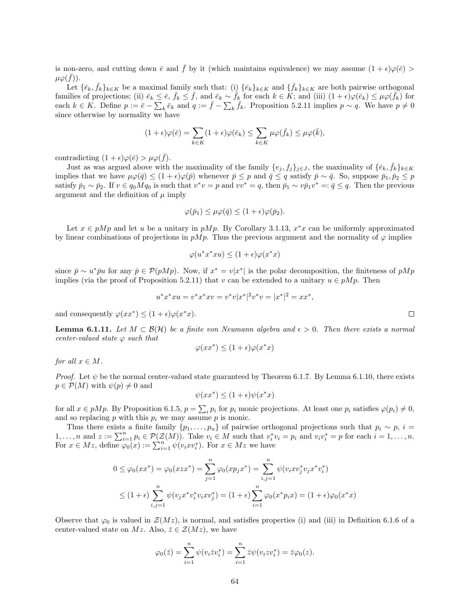is non-zero, and cutting down  $\bar{e}$  and  $\bar{f}$  by it (which maintains equivalence) we may assume  $(1 + \epsilon)\varphi(\bar{e}) >$  $\mu\varphi(\bar{f})).$ 

Let  $\{\bar{e}_k,\bar{f}_k\}_{k\in K}$  be a maximal family such that: (i)  $\{\bar{e}_k\}_{k\in K}$  and  $\{\bar{f}_k\}_{k\in K}$  are both pairwise orthogonal families of projections; (ii)  $\bar{e}_k \leq \bar{e}$ ,  $\bar{f}_k \leq \bar{f}$ , and  $\bar{e}_k \sim \bar{f}_k$  for each  $k \in K$ ; and (iii)  $(1 + \epsilon) \varphi(\bar{e}_k) \leq \mu \varphi(\bar{f}_k)$  for each  $k \in K$ . Define  $p := \bar{e} - \sum_{k} \bar{e}_k$  and  $q := \bar{f} - \sum_{k} \bar{f}_k$ . Proposition [5.2.11](#page-51-1) implies  $p \sim q$ . We have  $p \neq 0$ since otherwise by normality we have

$$
(1+\epsilon)\varphi(\bar{e}) = \sum_{k \in K} (1+\epsilon)\varphi(\bar{e}_k) \le \sum_{k \in K} \mu\varphi(\bar{f}_k) \le \mu\varphi(\bar{k}),
$$

contradicting  $(1 + \epsilon)\varphi(\bar{e}) > \mu\varphi(\bar{f}).$ 

Just as was argued above with the maximality of the family  $\{e_j, f_j\}_{j\in J}$ , the maximality of  $\{\bar{e}_k, \bar{f}_k\}_{k\in K}$ implies that we have  $\mu\varphi(\bar{q}) \leq (1+\epsilon)\varphi(\bar{p})$  whenever  $\bar{p} \leq p$  and  $\bar{q} \leq q$  satisfy  $\bar{p} \sim \bar{q}$ . So, suppose  $\bar{p}_1, \bar{p}_2 \leq p$ satisfy  $\bar{p}_1 \sim \bar{p}_2$ . If  $v \in q_0 M q_0$  is such that  $v^*v = p$  and  $vv^* = q$ , then  $\bar{p}_1 \sim v \bar{p}_1 v^* =: \bar{q} \leq q$ . Then the previous argument and the definition of  $\mu$  imply

$$
\varphi(\bar{p}_1) \le \mu \varphi(\bar{q}) \le (1+\epsilon)\varphi(\bar{p}_2).
$$

Let  $x \in pMp$  and let u be a unitary in  $pMp$ . By Corollary [3.1.13,](#page-23-4)  $x^*x$  can be uniformly approximated by linear combinations of projections in  $pMp$ . Thus the previous argument and the normality of  $\varphi$  implies

$$
\varphi(u^*x^*xu) \le (1+\epsilon)\varphi(x^*x)
$$

since  $\bar{p} \sim u^* \bar{p} u$  for any  $\bar{p} \in \mathcal{P}(pMp)$ . Now, if  $x^* = v|x^*|$  is the polar decomposition, the finiteness of  $pMp$ implies (via the proof of Proposition [5.2.11\)](#page-51-1) that v can be extended to a unitary  $u \in pMp$ . Then

$$
u^*x^*xu = v^*x^*xv = v^*v|x^*|^2v^*v = |x^*|^2 = xx^*,
$$

and consequently  $\varphi(xx^*) \leq (1+\epsilon)\varphi(x^*x)$ .

<span id="page-64-0"></span>**Lemma 6.1.11.** Let  $M \subset \mathcal{B}(\mathcal{H})$  be a finite von Neumann algebra and  $\epsilon > 0$ . Then there exists a normal center-valued state  $\varphi$  such that

$$
\varphi(xx^*) \le (1+\epsilon)\varphi(x^*x)
$$

for all  $x \in M$ .

*Proof.* Let  $\psi$  be the normal center-valued state guaranteed by Theorem [6.1.7.](#page-62-0) By Lemma [6.1.10,](#page-63-1) there exists  $p \in \mathcal{P}(M)$  with  $\psi(p) \neq 0$  and

$$
\psi(xx^*) \le (1+\epsilon)\psi(x^*x)
$$

for all  $x \in pMp$ . By Proposition [6.1.5,](#page-62-1)  $p = \sum_i p_i$  for  $p_i$  monic projections. At least one  $p_i$  satisfies  $\varphi(p_i) \neq 0$ , and so replacing  $p$  with this  $p_i$  we may assume  $p$  is monic.

Thus there exists a finite family  $\{p_1, \ldots, p_n\}$  of pairwise orthogonal projections such that  $p_i \sim p$ ,  $i =$  $1, \ldots, n$  and  $z := \sum_{i=1}^n p_i \in \mathcal{P}(\mathcal{Z}(M))$ . Take  $v_i \in M$  such that  $v_i^* v_i = p_i$  and  $v_i v_i^* = p$  for each  $i = 1, \ldots, n$ . For  $x \in Mz$ , define  $\varphi_0(x) := \sum_{i=1}^n \psi(v_i x v_i^*)$ . For  $x \in Mz$  we have

$$
0 \leq \varphi_0(xx^*) = \varphi_0(xzx^*) = \sum_{j=1}^n \varphi_0(xp_jx^*) = \sum_{i,j=1}^n \psi(v_ixv_j^*v_jx^*v_i^*)
$$
  

$$
\leq (1+\epsilon)\sum_{i,j=1}^n \psi(v_jx^*v_i^*v_ixv_j^*) = (1+\epsilon)\sum_{i=1}^n \varphi_0(x^*p_ix) = (1+\epsilon)\varphi_0(x^*x)
$$

Observe that  $\varphi_0$  is valued in  $\mathcal{Z}(Mz)$ , is normal, and satisfies properties (i) and (iii) in Definition [6.1.6](#page-62-2) of a center-valued state on Mz. Also,  $\bar{z} \in \mathcal{Z}(Mz)$ , we have

$$
\varphi_0(\bar{z}) = \sum_{i=1}^n \psi(v_i \bar{z} v_i^*) = \sum_{i=1}^n \bar{z} \psi(v_i z v_i^*) = \bar{z} \varphi_0(z).
$$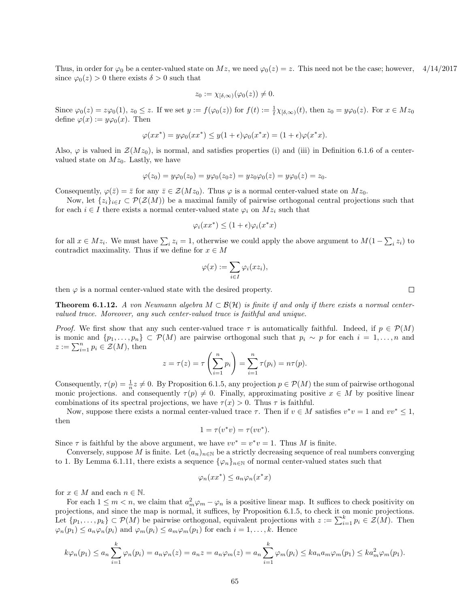Thus, in order for  $\varphi_0$  be a center-valued state on  $Mz$ , we need  $\varphi_0(z) = z$ . This need not be the case; however, 4/14/2017 since  $\varphi_0(z) > 0$  there exists  $\delta > 0$  such that

$$
z_0 := \chi_{\lbrack \delta, \infty)}(\varphi_0(z)) \neq 0.
$$

Since  $\varphi_0(z) = z\varphi_0(1)$ ,  $z_0 \le z$ . If we set  $y := f(\varphi_0(z))$  for  $f(t) := \frac{1}{t}\chi_{\lbrack \delta,\infty)}(t)$ , then  $z_0 = y\varphi_0(z)$ . For  $x \in Mz_0$ define  $\varphi(x) := y\varphi_0(x)$ . Then

$$
\varphi(xx^*) = y\varphi_0(xx^*) \le y(1+\epsilon)\varphi_0(x^*x) = (1+\epsilon)\varphi(x^*x).
$$

Also,  $\varphi$  is valued in  $\mathcal{Z}(Mz_0)$ , is normal, and satisfies properties (i) and (iii) in Definition [6.1.6](#page-62-2) of a centervalued state on  $Mz_0$ . Lastly, we have

$$
\varphi(z_0) = y\varphi_0(z_0) = y\varphi_0(z_0 z) = yz_0\varphi_0(z) = y\varphi_0(z) = z_0.
$$

Consequently,  $\varphi(\bar{z}) = \bar{z}$  for any  $\bar{z} \in \mathcal{Z}(Mz_0)$ . Thus  $\varphi$  is a normal center-valued state on  $Mz_0$ .

Now, let  $\{z_i\}_{i\in I} \subset \mathcal{P}(\mathcal{Z}(M))$  be a maximal family of pairwise orthogonal central projections such that for each  $i \in I$  there exists a normal center-valued state  $\varphi_i$  on  $Mz_i$  such that

$$
\varphi_i(xx^*) \le (1+\epsilon)\varphi_i(x^*x)
$$

for all  $x \in Mz_i$ . We must have  $\sum_i z_i = 1$ , otherwise we could apply the above argument to  $M(1 - \sum_i z_i)$  to contradict maximality. Thus if we define for  $x \in M$ 

$$
\varphi(x) := \sum_{i \in I} \varphi_i(xz_i),
$$

then  $\varphi$  is a normal center-valued state with the desired property.

<span id="page-65-0"></span>**Theorem 6.1.12.** A von Neumann algebra  $M \subset \mathcal{B}(\mathcal{H})$  is finite if and only if there exists a normal centervalued trace. Moreover, any such center-valued trace is faithful and unique.

*Proof.* We first show that any such center-valued trace  $\tau$  is automatically faithful. Indeed, if  $p \in \mathcal{P}(M)$ is monic and  $\{p_1,\ldots,p_n\}\subset \mathcal{P}(M)$  are pairwise orthogonal such that  $p_i \sim p$  for each  $i=1,\ldots,n$  and  $z := \sum_{i=1}^n p_i \in \mathcal{Z}(M)$ , then

$$
z = \tau(z) = \tau\left(\sum_{i=1}^n p_i\right) = \sum_{i=1}^n \tau(p_i) = n\tau(p).
$$

Consequently,  $\tau(p) = \frac{1}{n}z \neq 0$ . By Proposition [6.1.5,](#page-62-1) any projection  $p \in \mathcal{P}(M)$  the sum of pairwise orthogonal monic projections. and consequently  $\tau(p) \neq 0$ . Finally, approximating positive  $x \in M$  by positive linear combinations of its spectral projections, we have  $\tau(x) > 0$ . Thus  $\tau$  is faithful.

Now, suppose there exists a normal center-valued trace  $\tau$ . Then if  $v \in M$  satisfies  $v^*v = 1$  and  $vv^* \leq 1$ , then

$$
1 = \tau(v^*v) = \tau(vv^*).
$$

Since  $\tau$  is faithful by the above argument, we have  $vv^* = v^*v = 1$ . Thus M is finite.

Conversely, suppose M is finite. Let  $(a_n)_{n\in\mathbb{N}}$  be a strictly decreasing sequence of real numbers converging to 1. By Lemma [6.1.11,](#page-64-0) there exists a sequence  $\{\varphi_n\}_{n\in\mathbb{N}}$  of normal center-valued states such that

$$
\varphi_n(xx^*) \le a_n \varphi_n(x^*x)
$$

for  $x \in M$  and each  $n \in \mathbb{N}$ .

For each  $1 \leq m < n$ , we claim that  $a_m^2 \varphi_m - \varphi_n$  is a positive linear map. It suffices to check positivity on projections, and since the map is normal, it suffices, by Proposition [6.1.5,](#page-62-1) to check it on monic projections. Let  $\{p_1,\ldots,p_k\} \subset \mathcal{P}(M)$  be pairwise orthogonal, equivalent projections with  $z := \sum_{i=1}^k p_i \in \mathcal{Z}(M)$ . Then  $\varphi_n(p_1) \leq a_n \varphi_n(p_i)$  and  $\varphi_m(p_i) \leq a_m \varphi_m(p_1)$  for each  $i = 1, \ldots, k$ . Hence

$$
k\varphi_n(p_1) \le a_n \sum_{i=1}^k \varphi_n(p_i) = a_n \varphi_n(z) = a_n z = a_n \varphi_m(z) = a_n \sum_{i=1}^k \varphi_m(p_i) \le ka_n a_m \varphi_m(p_1) \le ka_m^2 \varphi_m(p_1).
$$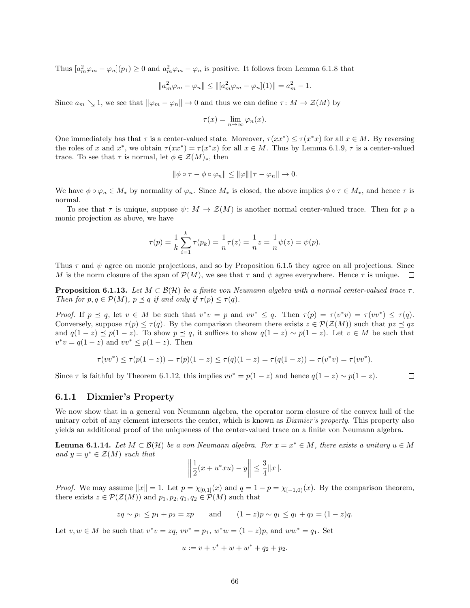Thus  $[a_m^2 \varphi_m - \varphi_n](p_1) \ge 0$  and  $a_m^2 \varphi_m - \varphi_n$  is positive. It follows from Lemma [6.1.8](#page-63-2) that

$$
||a_m^2 \varphi_m - \varphi_n|| \le ||[a_m^2 \varphi_m - \varphi_n](1)|| = a_m^2 - 1.
$$

Since  $a_m \searrow 1$ , we see that  $\|\varphi_m - \varphi_n\| \to 0$  and thus we can define  $\tau : M \to \mathcal{Z}(M)$  by

$$
\tau(x) = \lim_{n \to \infty} \varphi_n(x).
$$

One immediately has that  $\tau$  is a center-valued state. Moreover,  $\tau(xx^*) \leq \tau(x^*x)$  for all  $x \in M$ . By reversing the roles of x and  $x^*$ , we obtain  $\tau(xx^*) = \tau(x^*x)$  for all  $x \in M$ . Thus by Lemma [6.1.9,](#page-63-0)  $\tau$  is a center-valued trace. To see that  $\tau$  is normal, let  $\phi \in \mathcal{Z}(M)_*$ , then

$$
\|\phi\circ\tau-\phi\circ\varphi_n\|\leq\|\varphi\|\|\tau-\varphi_n\|\to 0.
$$

We have  $\phi \circ \varphi_n \in M_*$  by normality of  $\varphi_n$ . Since  $M_*$  is closed, the above implies  $\phi \circ \tau \in M_*$ , and hence  $\tau$  is normal.

To see that  $\tau$  is unique, suppose  $\psi: M \to \mathcal{Z}(M)$  is another normal center-valued trace. Then for p a monic projection as above, we have

$$
\tau(p) = \frac{1}{k} \sum_{i=1}^{k} \tau(p_k) = \frac{1}{n} \tau(z) = \frac{1}{n} z = \frac{1}{n} \psi(z) = \psi(p).
$$

Thus  $\tau$  and  $\psi$  agree on monic projections, and so by Proposition [6.1.5](#page-62-1) they agree on all projections. Since M is the norm closure of the span of  $\mathcal{P}(M)$ , we see that  $\tau$  and  $\psi$  agree everywhere. Hence  $\tau$  is unique.

**Proposition 6.1.13.** Let  $M \subset \mathcal{B}(\mathcal{H})$  be a finite von Neumann algebra with a normal center-valued trace  $\tau$ . Then for  $p, q \in \mathcal{P}(M)$ ,  $p \preceq q$  if and only if  $\tau(p) \leq \tau(q)$ .

Proof. If  $p \leq q$ , let  $v \in M$  be such that  $v^*v = p$  and  $vv^* \leq q$ . Then  $\tau(p) = \tau(v^*v) = \tau(vv^*) \leq \tau(q)$ . Conversely, suppose  $\tau(p) \leq \tau(q)$ . By the comparison theorem there exists  $z \in \mathcal{P}(\mathcal{Z}(M))$  such that  $pz \preceq qz$ and  $q(1-z) \preceq p(1-z)$ . To show  $p \preceq q$ , it suffices to show  $q(1-z) \sim p(1-z)$ . Let  $v \in M$  be such that  $v^*v = q(1-z)$  and  $vv^* \leq p(1-z)$ . Then

$$
\tau(vv^*) \le \tau(p(1-z)) = \tau(p)(1-z) \le \tau(q)(1-z) = \tau(q(1-z)) = \tau(v^*v) = \tau(vv^*).
$$

 $\Box$ 

Since  $\tau$  is faithful by Theorem [6.1.12,](#page-65-0) this implies  $vv^* = p(1-z)$  and hence  $q(1-z) \sim p(1-z)$ .

#### <span id="page-66-0"></span>6.1.1 Dixmier's Property

We now show that in a general von Neumann algebra, the operator norm closure of the convex hull of the unitary orbit of any element intersects the center, which is known as *Dixmier's property*. This property also yields an additional proof of the uniqueness of the center-valued trace on a finite von Neumann algebra.

<span id="page-66-1"></span>**Lemma 6.1.14.** Let  $M \subset \mathcal{B}(\mathcal{H})$  be a von Neumann algebra. For  $x = x^* \in M$ , there exists a unitary  $u \in M$ and  $y = y^* \in \mathcal{Z}(M)$  such that

$$
\left\| \frac{1}{2}(x + u^*xu) - y \right\| \le \frac{3}{4} \|x\|.
$$

*Proof.* We may assume  $||x|| = 1$ . Let  $p = \chi_{[0,1]}(x)$  and  $q = 1 - p = \chi_{[-1,0]}(x)$ . By the comparison theorem, there exists  $z \in \mathcal{P}(\mathcal{Z}(M))$  and  $p_1, p_2, q_1, q_2 \in \mathcal{P}(M)$  such that

$$
zq \sim p_1 \leq p_1 + p_2 = zp
$$
 and  $(1-z)p \sim q_1 \leq q_1 + q_2 = (1-z)q$ .

Let  $v, w \in M$  be such that  $v^*v = zq$ ,  $vv^* = p_1$ ,  $w^*w = (1 - z)p$ , and  $ww^* = q_1$ . Set

$$
u := v + v^* + w + w^* + q_2 + p_2.
$$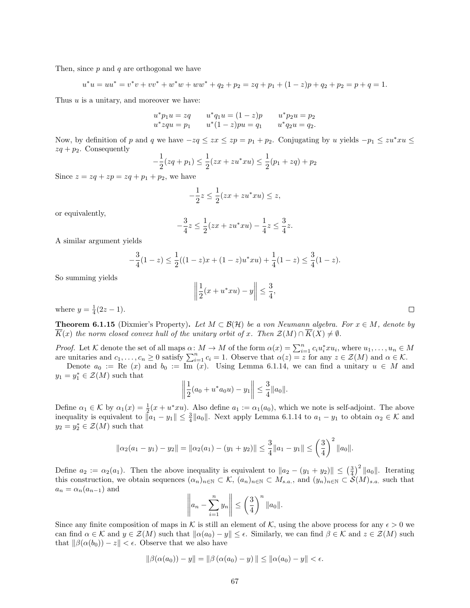Then, since  $p$  and  $q$  are orthogonal we have

$$
u^*u = uu^* = v^*v + vv^* + w^*w + ww^* + q_2 + p_2 = zq + p_1 + (1 - z)p + q_2 + p_2 = p + q = 1.
$$

Thus  $u$  is a unitary, and moreover we have:

$$
u^*p_1u = zq \t u^*q_1u = (1-z)p \t u^*p_2u = p_2u^*zqu = p_1 \t u^*(1-z)pu = q_1 \t u^*q_2u = q_2.
$$

Now, by definition of p and q we have  $-zq \leq zx \leq zp = p_1 + p_2$ . Conjugating by u yields  $-p_1 \leq zu^*xu \leq$  $zq + p_2$ . Consequently

$$
-\frac{1}{2}(zq+p_1) \le \frac{1}{2}(zx+zw^*xu) \le \frac{1}{2}(p_1+zq)+p_2
$$

Since  $z = zq + zp = zq + p_1 + p_2$ , we have

$$
-\frac{1}{2}z \le \frac{1}{2}(zx + zu^*xu) \le z,
$$

or equivalently,

$$
-\frac{3}{4}z \le \frac{1}{2}(zx + zu^*xu) - \frac{1}{4}z \le \frac{3}{4}z.
$$

A similar argument yields

$$
-\frac{3}{4}(1-z) \le \frac{1}{2}((1-z)x + (1-z)u^*xu) + \frac{1}{4}(1-z) \le \frac{3}{4}(1-z).
$$

So summing yields

$$
\left\| \frac{1}{2}(x + u^*xu) - y \right\| \le \frac{3}{4},
$$

where  $y = \frac{1}{4}(2z - 1)$ .

**Theorem 6.1.15** (Dixmier's Property). Let  $M \subset \mathcal{B}(\mathcal{H})$  be a von Neumann algebra. For  $x \in M$ , denote by  $K(x)$  the norm closed convex hull of the unitary orbit of x. Then  $\mathcal{Z}(M) \cap K(X) \neq \emptyset$ .

*Proof.* Let K denote the set of all maps  $\alpha: M \to M$  of the form  $\alpha(x) = \sum_{i=1}^{n} c_i u_i^* x u_i$ , where  $u_1, \ldots, u_n \in M$ are unitaries and  $c_1, \ldots, c_n \geq 0$  satisfy  $\sum_{i=1}^n c_i = 1$ . Observe that  $\alpha(z) = z$  for any  $z \in \mathcal{Z}(M)$  and  $\alpha \in \mathcal{K}$ .

Denote  $a_0 := \text{Re}(x)$  and  $b_0 := \text{Im}(x)$ . Using Lemma [6.1.14,](#page-66-1) we can find a unitary  $u \in M$  and  $y_1 = y_1^* \in \mathcal{Z}(M)$  such that

$$
\left\|\frac{1}{2}(a_0+u^*a_0u)-y_1\right\|\leq \frac{3}{4}\|a_0\|.
$$

Define  $\alpha_1 \in \mathcal{K}$  by  $\alpha_1(x) = \frac{1}{2}(x + u^*xu)$ . Also define  $a_1 := \alpha_1(a_0)$ , which we note is self-adjoint. The above inequality is equivalent to  $||a_1 - y_1|| \leq \frac{3}{4} ||a_0||$ . Next apply Lemma [6.1.14](#page-66-1) to  $a_1 - y_1$  to obtain  $\alpha_2 \in \mathcal{K}$  and  $y_2 = y_2^* \in \mathcal{Z}(M)$  such that

$$
\|\alpha_2(a_1 - y_1) - y_2\| = \|\alpha_2(a_1) - (y_1 + y_2)\| \le \frac{3}{4} \|a_1 - y_1\| \le \left(\frac{3}{4}\right)^2 \|a_0\|.
$$

Define  $a_2 := \alpha_2(a_1)$ . Then the above inequality is equivalent to  $||a_2 - (y_1 + y_2)|| \leq (\frac{3}{4})^2 ||a_0||$ . Iterating this construction, we obtain sequences  $(\alpha_n)_{n\in\mathbb{N}}\subset\mathcal{K}$ ,  $(a_n)_{n\in\mathbb{N}}\subset\mathcal{N}_{s,a}$ , and  $(y_n)_{n\in\mathbb{N}}\subset\mathcal{S}(M)_{s,a}$  such that  $a_n = \alpha_n(a_{n-1})$  and

$$
\left\| a_n - \sum_{i=1}^n y_n \right\| \le \left( \frac{3}{4} \right)^n \|\alpha_0\|.
$$

Since any finite composition of maps in K is still an element of K, using the above process for any  $\epsilon > 0$  we can find  $\alpha \in \mathcal{K}$  and  $y \in \mathcal{Z}(M)$  such that  $\|\alpha(a_0) - y\| \leq \epsilon$ . Similarly, we can find  $\beta \in \mathcal{K}$  and  $z \in \mathcal{Z}(M)$  such that  $\|\beta(\alpha(b_0)) - z\| < \epsilon$ . Observe that we also have

$$
\|\beta(\alpha(a_0)) - y\| = \|\beta(\alpha(a_0) - y)\| \le \|\alpha(a_0) - y\| < \epsilon.
$$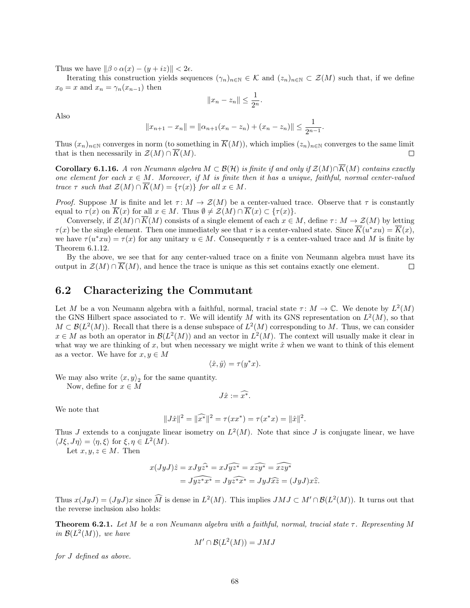Thus we have  $\|\beta \circ \alpha(x) - (y + iz)\| < 2\epsilon$ .

Iterating this construction yields sequences  $(\gamma_n)_{n\in\mathbb{N}}\in\mathcal{K}$  and  $(z_n)_{n\in\mathbb{N}}\subset\mathcal{Z}(M)$  such that, if we define  $x_0 = x$  and  $x_n = \gamma_n(x_{n-1})$  then

$$
||x_n - z_n|| \le \frac{1}{2^n}.
$$

Also

$$
||x_{n+1} - x_n|| = ||\alpha_{n+1}(x_n - z_n) + (x_n - z_n)|| \le \frac{1}{2^{n-1}}.
$$

Thus  $(x_n)_{n\in\mathbb{N}}$  converges in norm (to something in  $\overline{K}(M)$ ), which implies  $(z_n)_{n\in\mathbb{N}}$  converges to the same limit that is then necessarily in  $\mathcal{Z}(M) \cap K(M)$ .  $\Box$ 

Corollary 6.1.16. A von Neumann algebra  $M \subset \mathcal{B}(\mathcal{H})$  is finite if and only if  $\mathcal{Z}(M) \cap \overline{K}(M)$  contains exactly one element for each  $x \in M$ . Moreover, if M is finite then it has a unique, faithful, normal center-valued trace  $\tau$  such that  $\mathcal{Z}(M) \cap \overline{K}(M) = {\tau(x)}$  for all  $x \in M$ .

*Proof.* Suppose M is finite and let  $\tau: M \to \mathcal{Z}(M)$  be a center-valued trace. Observe that  $\tau$  is constantly equal to  $\tau(x)$  on  $\overline{K}(x)$  for all  $x \in M$ . Thus  $\emptyset \neq \mathcal{Z}(M) \cap \overline{K}(x) \subset {\tau(x)}$ .

Conversely, if  $\mathcal{Z}(M) \cap \overline{K}(M)$  consists of a single element of each  $x \in M$ , define  $\tau : M \to \mathcal{Z}(M)$  by letting  $\tau(x)$  be the single element. Then one immediately see that  $\tau$  is a center-valued state. Since  $\overline{K}(u^*xu) = \overline{K}(x)$ , we have  $\tau(u^*xu) = \tau(x)$  for any unitary  $u \in M$ . Consequently  $\tau$  is a center-valued trace and M is finite by Theorem [6.1.12.](#page-65-0)

By the above, we see that for any center-valued trace on a finite von Neumann algebra must have its output in  $\mathcal{Z}(M) \cap \overline{K}(M)$ , and hence the trace is unique as this set contains exactly one element.  $\Box$ 

#### <span id="page-68-0"></span>6.2 Characterizing the Commutant

Let M be a von Neumann algebra with a faithful, normal, tracial state  $\tau: M \to \mathbb{C}$ . We denote by  $L^2(M)$ the GNS Hilbert space associated to  $\tau$ . We will identify M with its GNS representation on  $L^2(M)$ , so that  $M \subset \mathcal{B}(L^2(M))$ . Recall that there is a dense subspace of  $L^2(M)$  corresponding to M. Thus, we can consider  $x \in M$  as both an operator in  $\mathcal{B}(L^2(M))$  and an vector in  $L^2(M)$ . The context will usually make it clear in what way we are thinking of x, but when necessary we might write  $\hat{x}$  when we want to think of this element as a vector. We have for  $x, y \in M$ 

$$
\langle \hat{x}, \hat{y} \rangle = \tau(y^*x).
$$

We may also write  $\langle x, y \rangle_2$  for the same quantity.

Now, define for  $x \in M$ 

$$
J\hat{x}:=\widehat{x^*}.
$$

We note that

$$
||J\hat{x}||^2 = ||\widehat{x^*}||^2 = \tau(xx^*) = \tau(x^*x) = ||\hat{x}||^2.
$$

Thus J extends to a conjugate linear isometry on  $L^2(M)$ . Note that since J is conjugate linear, we have  $\langle J\xi, J\eta \rangle = \langle \eta, \xi \rangle$  for  $\xi, \eta \in L^2(M)$ .

Let  $x, y, z \in M$ . Then

$$
x(JyJ)\hat{z} = xJy\hat{z}^* = xJ\hat{y}\hat{z}^* = x\hat{z}\hat{y}^* = \hat{x}\hat{z}\hat{y}^*
$$

$$
= J\hat{y}\hat{z}^*\hat{x}^* = Jy\hat{z}^*\hat{x}^* = JyJ\hat{x}\hat{z} = (JyJ)x\hat{z}.
$$

Thus  $x(JyJ) = (JyJ)x$  since  $\widehat{M}$  is dense in  $L^2(M)$ . This implies  $JMJ \subset M' \cap \mathcal{B}(L^2(M))$ . It turns out that the reverse inclusion also holds:

**Theorem 6.2.1.** Let M be a von Neumann algebra with a faithful, normal, tracial state  $\tau$ . Representing M in  $\mathcal{B}(L^2(M))$ , we have

$$
M' \cap \mathcal{B}(L^2(M)) = JMJ
$$

for J defined as above.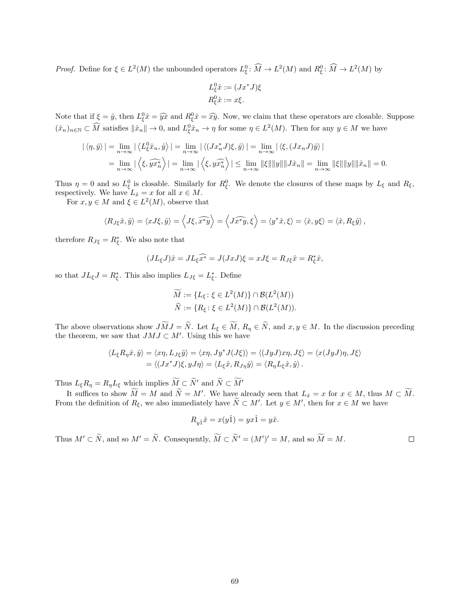*Proof.* Define for  $\xi \in L^2(M)$  the unbounded operators  $L^0_{\xi}$ :  $\widehat{M} \to L^2(M)$  and  $R^0_{\xi}$ :  $\widehat{M} \to L^2(M)$  by

$$
L_{\xi}^{0}\hat{x} := (Jx^*J)\xi
$$
  

$$
R_{\xi}^{0}\hat{x} := x\xi.
$$

Note that if  $\xi = \hat{y}$ , then  $L_{\xi}^0 \hat{x} = \hat{y} \hat{x}$  and  $R_{\xi}^0 \hat{x} = \hat{x} \hat{y}$ . Now, we claim that these operators are closable. Suppose  $(\hat{x}_n)_{n\in\mathbb{N}}\subset\widehat{M}$  satisfies  $\|\hat{x}_n\|\to 0$ , and  $L^0_{\xi}\hat{x}_n\to\eta$  for some  $\eta\in L^2(M)$ . Then for any  $y\in M$  we have

$$
|\langle \eta, \hat{y} \rangle| = \lim_{n \to \infty} |\langle L_{\xi}^0 \hat{x}_n, \hat{y} \rangle| = \lim_{n \to \infty} |\langle (Jx_n^* J)\xi, \hat{y} \rangle| = \lim_{n \to \infty} |\langle \xi, (Jx_n J)\hat{y} \rangle|
$$
  
= 
$$
\lim_{n \to \infty} |\langle \xi, \widehat{yx_n^*} \rangle| = \lim_{n \to \infty} |\langle \xi, y\widehat{x}_n^* \rangle| \le \lim_{n \to \infty} ||\xi|| ||y|| ||J\hat{x}_n|| = \lim_{n \to \infty} ||\xi|| ||y|| ||\hat{x}_n|| = 0.
$$

Thus  $\eta = 0$  and so  $L_{\xi}^{0}$  is closable. Similarly for  $R_{\xi}^{0}$ . We denote the closures of these maps by  $L_{\xi}$  and  $R_{\xi}$ , respectively. We have  $L_{\hat{x}} = x$  for all  $x \in M$ .

For  $x, y \in M$  and  $\xi \in L^2(M)$ , observe that

$$
\langle R_{J\xi}\hat{x},\hat{y}\rangle = \langle xJ\xi,\hat{y}\rangle = \langle J\xi,\widehat{x^*y}\rangle = \langle J\widehat{x^*y},\xi\rangle = \langle y^*\hat{x},\xi\rangle = \langle \hat{x},y\xi\rangle = \langle \hat{x},R_{\xi}\hat{y}\rangle,
$$

therefore  $R_{J\xi} = R_{\xi}^*$ . We also note that

$$
(JL_{\xi}J)\hat{x} = JL_{\xi}\hat{x}^* = J(JxJ)\xi = xJ\xi = R_{J\xi}\hat{x} = R_{\xi}^*\hat{x},
$$

so that  $J L_{\xi} J = R_{\xi}^*$ . This also implies  $L_{J\xi} = L_{\xi}^*$ . Define

$$
\widetilde{M} := \{ L_{\xi} \colon \xi \in L^2(M) \} \cap \mathcal{B}(L^2(M))
$$
  

$$
\widetilde{N} := \{ R_{\xi} \colon \xi \in L^2(M) \} \cap \mathcal{B}(L^2(M)).
$$

The above observations show  $J\widetilde{M}J = \widetilde{N}$ . Let  $L_{\xi} \in \widetilde{M}$ ,  $R_{\eta} \in \widetilde{N}$ , and  $x, y \in M$ . In the discussion preceding the theorem, we saw that  $JMJ \subset M'$ . Using this we have

$$
\langle L_{\xi}R_{\eta}\hat{x},\hat{y}\rangle = \langle x\eta, L_{J\xi}\hat{y}\rangle = \langle x\eta, Jy^*J(J\xi)\rangle = \langle (JyJ)x\eta, J\xi\rangle = \langle x(JyJ)\eta, J\xi\rangle
$$
  
=  $\langle (Jx^*J)\xi, yJ\eta\rangle = \langle L_{\xi}\hat{x}, R_{J\eta}\hat{y}\rangle = \langle R_{\eta}L_{\xi}\hat{x}, \hat{y}\rangle.$ 

Thus  $L_{\xi}R_{\eta}=R_{\eta}L_{\xi}$  which implies  $\widetilde{M}\subset \widetilde{N}'$  and  $\widetilde{N}\subset \widetilde{M}'$ 

It suffices to show  $\widetilde{M} = M$  and  $\widetilde{N} = M'$ . We have already seen that  $L_{\hat{x}} = x$  for  $x \in M$ , thus  $M \subset \widetilde{M}$ . From the definition of  $R_{\xi}$ , we also immediately have  $\tilde{N} \subset M'$ . Let  $y \in M'$ , then for  $x \in M$  we have

$$
R_{y\hat{1}}\hat{x} = x(y\hat{1}) = yx\hat{1} = y\hat{x}.
$$

Thus  $M' \subset \tilde{N}$ , and so  $M' = \tilde{N}$ . Consequently,  $\tilde{M} \subset \tilde{N}' = (M')' = M$ , and so  $\tilde{M} = M$ .  $\Box$